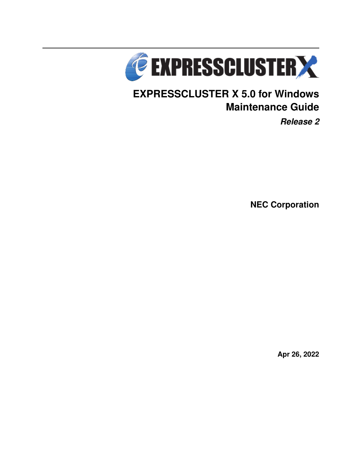

# **EXPRESSCLUSTER X 5.0 for Windows Maintenance Guide**

*Release 2*

**NEC Corporation**

**Apr 26, 2022**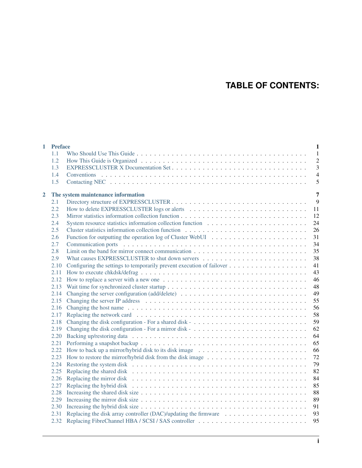## **TABLE OF CONTENTS:**

|                | 1 Preface<br>1.1 | $\mathbf{1}$<br>$\mathbf{1}$                                          |
|----------------|------------------|-----------------------------------------------------------------------|
|                | 1.2              | $\overline{c}$                                                        |
|                | 1.3              | 3                                                                     |
|                | 1.4              | $\overline{4}$                                                        |
|                | 1.5              | 5                                                                     |
|                |                  |                                                                       |
| $\overline{2}$ |                  | 7<br>The system maintenance information                               |
|                | 2.1              | 9                                                                     |
|                | 2.2              | 11                                                                    |
|                | 2.3              | 12                                                                    |
|                | 2.4              | 24                                                                    |
|                | 2.5              | 26                                                                    |
|                | 2.6              | 31                                                                    |
|                | 2.7              | 34                                                                    |
|                | 2.8              | 35                                                                    |
|                | 2.9              | 38                                                                    |
|                | 2.10             | 41                                                                    |
|                | 2.11             | 43                                                                    |
|                | 2.12             | 46                                                                    |
|                | 2.13             | 48                                                                    |
|                | 2.14             | 49                                                                    |
|                | 2.15             | 55                                                                    |
|                | 2.16             | 56                                                                    |
|                | 2.17             | 58                                                                    |
|                | 2.18             | 59                                                                    |
|                | 2.19             | 62                                                                    |
|                | 2.20             | 64                                                                    |
|                | 2.21             | 65                                                                    |
|                | 2.22             | 66                                                                    |
|                | 2.23             | 72                                                                    |
|                | 2.24             | 79                                                                    |
|                | 2.25             | 82                                                                    |
|                | 2.26             | 84                                                                    |
|                | 2.27             | 85                                                                    |
|                | 2.28             | 88                                                                    |
|                | 2.29             | 89                                                                    |
|                | 2.30             | 91                                                                    |
|                | 2.31             | Replacing the disk array controller (DAC)/updating the firmware<br>93 |
|                | 2.32             | 95                                                                    |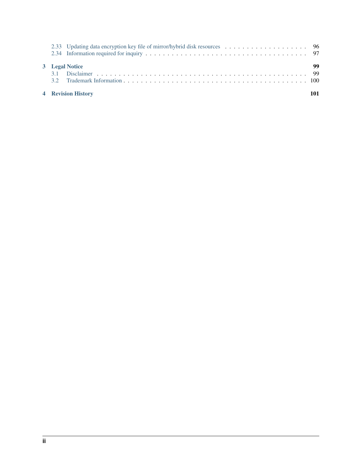| <b>4</b> Revision History |    |
|---------------------------|----|
| 3 Legal Notice            | 99 |
|                           |    |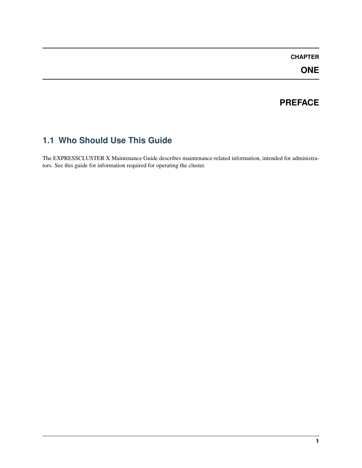### **CHAPTER**

**ONE**

## **PREFACE**

## <span id="page-4-1"></span><span id="page-4-0"></span>**1.1 Who Should Use This Guide**

The EXPRESSCLUSTER X Maintenance Guide describes maintenance-related information, intended for administrators. See this guide for information required for operating the cluster.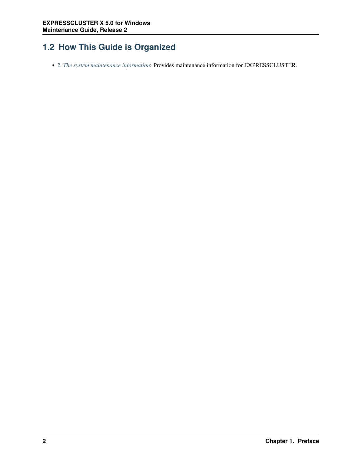## <span id="page-5-0"></span>**1.2 How This Guide is Organized**

• [2.](#page-10-0) *[The system maintenance information](#page-10-0)*: Provides maintenance information for EXPRESSCLUSTER.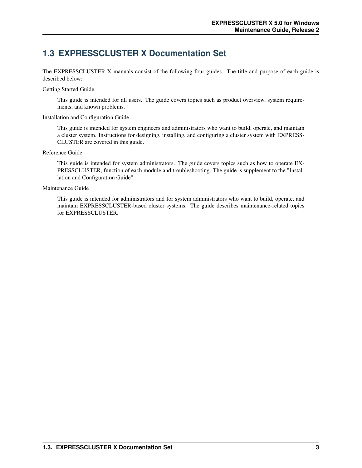## <span id="page-6-0"></span>**1.3 EXPRESSCLUSTER X Documentation Set**

The EXPRESSCLUSTER X manuals consist of the following four guides. The title and purpose of each guide is described below:

#### Getting Started Guide

This guide is intended for all users. The guide covers topics such as product overview, system requirements, and known problems.

### Installation and Configuration Guide

This guide is intended for system engineers and administrators who want to build, operate, and maintain a cluster system. Instructions for designing, installing, and configuring a cluster system with EXPRESS-CLUSTER are covered in this guide.

### Reference Guide

This guide is intended for system administrators. The guide covers topics such as how to operate EX-PRESSCLUSTER, function of each module and troubleshooting. The guide is supplement to the "Installation and Configuration Guide".

### Maintenance Guide

This guide is intended for administrators and for system administrators who want to build, operate, and maintain EXPRESSCLUSTER-based cluster systems. The guide describes maintenance-related topics for EXPRESSCLUSTER.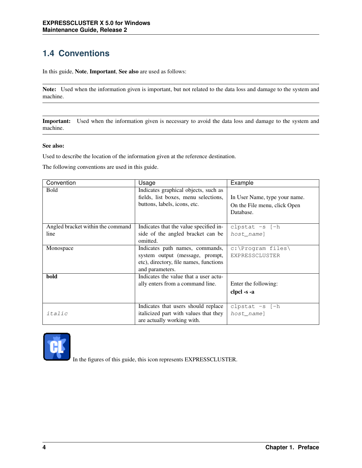## <span id="page-7-0"></span>**1.4 Conventions**

In this guide, Note, Important, See also are used as follows:

Note: Used when the information given is important, but not related to the data loss and damage to the system and machine.

Important: Used when the information given is necessary to avoid the data loss and damage to the system and machine.

### See also:

Used to describe the location of the information given at the reference destination.

The following conventions are used in this guide.

| Convention                        | Usage                                  | Example                       |
|-----------------------------------|----------------------------------------|-------------------------------|
| <b>Bold</b>                       | Indicates graphical objects, such as   |                               |
|                                   | fields, list boxes, menu selections,   | In User Name, type your name. |
|                                   | buttons, labels, icons, etc.           | On the File menu, click Open  |
|                                   |                                        | Database.                     |
|                                   |                                        |                               |
| Angled bracket within the command | Indicates that the value specified in- | clpstat $-s$ [-h              |
| line                              | side of the angled bracket can be      | host name]                    |
|                                   | omitted.                               |                               |
| Monospace                         | Indicates path names, commands,        | c:\Program files\             |
|                                   | system output (message, prompt,        | EXPRESSCLUSTER                |
|                                   | etc), directory, file names, functions |                               |
|                                   | and parameters.                        |                               |
| bold                              | Indicates the value that a user actu-  |                               |
|                                   | ally enters from a command line.       | Enter the following:          |
|                                   |                                        | clpcl -s -a                   |
|                                   |                                        |                               |
|                                   | Indicates that users should replace    | clpstat $-s$ [-h              |
| italic                            | italicized part with values that they  | host name]                    |
|                                   | are actually working with.             |                               |



In the figures of this guide, this icon represents EXPRESSCLUSTER.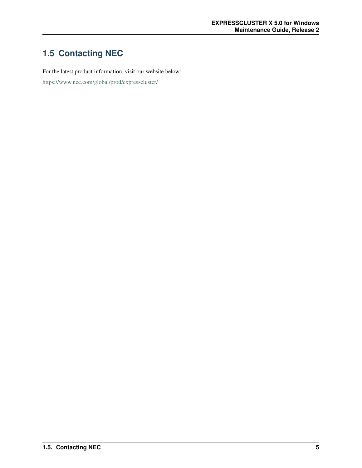## <span id="page-8-0"></span>**1.5 Contacting NEC**

For the latest product information, visit our website below:

<https://www.nec.com/global/prod/expresscluster/>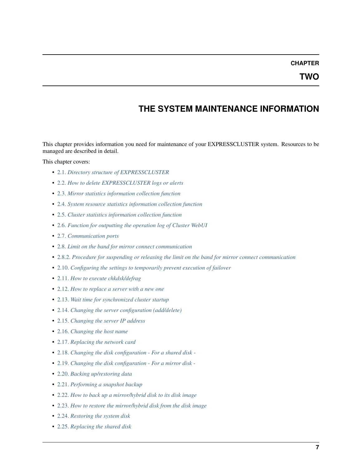### **CHAPTER**

## **THE SYSTEM MAINTENANCE INFORMATION**

<span id="page-10-0"></span>This chapter provides information you need for maintenance of your EXPRESSCLUSTER system. Resources to be managed are described in detail.

This chapter covers:

- [2.1.](#page-12-0) *[Directory structure of EXPRESSCLUSTER](#page-12-0)*
- [2.2.](#page-14-0) *[How to delete EXPRESSCLUSTER logs or alerts](#page-14-0)*
- [2.3.](#page-15-0) *[Mirror statistics information collection function](#page-15-0)*
- [2.4.](#page-27-0) *[System resource statistics information collection function](#page-27-0)*
- [2.5.](#page-29-0) *[Cluster statistics information collection function](#page-29-0)*
- [2.6.](#page-34-0) *[Function for outputting the operation log of Cluster WebUI](#page-34-0)*
- [2.7.](#page-37-0) *[Communication ports](#page-37-0)*
- [2.8.](#page-38-0) *[Limit on the band for mirror connect communication](#page-38-0)*
- [2.8.2.](#page-39-0) *[Procedure for suspending or releasing the limit on the band for mirror connect communication](#page-39-0)*
- [2.10.](#page-44-0) *[Configuring the settings to temporarily prevent execution of failover](#page-44-0)*
- [2.11.](#page-46-0) *[How to execute chkdsk/defrag](#page-46-0)*
- [2.12.](#page-49-0) *[How to replace a server with a new one](#page-49-0)*
- [2.13.](#page-51-0) *[Wait time for synchronized cluster startup](#page-51-0)*
- [2.14.](#page-52-0) *[Changing the server configuration \(add/delete\)](#page-52-0)*
- [2.15.](#page-58-0) *[Changing the server IP address](#page-58-0)*
- [2.16.](#page-59-0) *[Changing the host name](#page-59-0)*
- [2.17.](#page-61-0) *[Replacing the network card](#page-61-0)*
- [2.18.](#page-62-0) *[Changing the disk configuration For a shared disk -](#page-62-0)*
- [2.19.](#page-65-0) *[Changing the disk configuration For a mirror disk -](#page-65-0)*
- [2.20.](#page-67-0) *[Backing up/restoring data](#page-67-0)*
- [2.21.](#page-68-0) *[Performing a snapshot backup](#page-68-0)*
- [2.22.](#page-69-0) *[How to back up a mirror/hybrid disk to its disk image](#page-69-0)*
- [2.23.](#page-75-0) *[How to restore the mirror/hybrid disk from the disk image](#page-75-0)*
- [2.24.](#page-82-0) *[Restoring the system disk](#page-82-0)*
- [2.25.](#page-85-0) *[Replacing the shared disk](#page-85-0)*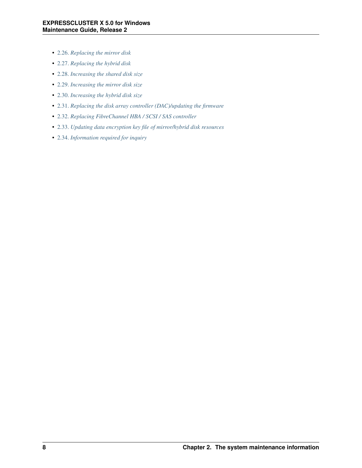- [2.26.](#page-87-0) *[Replacing the mirror disk](#page-87-0)*
- [2.27.](#page-88-0) *[Replacing the hybrid disk](#page-88-0)*
- [2.28.](#page-91-0) *[Increasing the shared disk size](#page-91-0)*
- [2.29.](#page-92-0) *[Increasing the mirror disk size](#page-92-0)*
- [2.30.](#page-94-0) *[Increasing the hybrid disk size](#page-94-0)*
- [2.31.](#page-96-0) *[Replacing the disk array controller \(DAC\)/updating the firmware](#page-96-0)*
- [2.32.](#page-98-0) *[Replacing FibreChannel HBA / SCSI / SAS controller](#page-98-0)*
- [2.33.](#page-99-0) *[Updating data encryption key file of mirror/hybrid disk resources](#page-99-0)*
- [2.34.](#page-100-0) *[Information required for inquiry](#page-100-0)*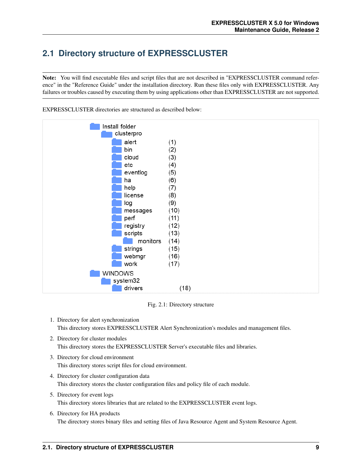## <span id="page-12-0"></span>**2.1 Directory structure of EXPRESSCLUSTER**

Note: You will find executable files and script files that are not described in "EXPRESSCLUSTER command reference" in the "Reference Guide" under the installation directory. Run these files only with EXPRESSCLUSTER. Any failures or troubles caused by executing them by using applications other than EXPRESSCLUSTER are not supported.



EXPRESSCLUSTER directories are structured as described below:

Fig. 2.1: Directory structure

- 1. Directory for alert synchronization This directory stores EXPRESSCLUSTER Alert Synchronization's modules and management files.
- 2. Directory for cluster modules This directory stores the EXPRESSCLUSTER Server's executable files and libraries.
- 3. Directory for cloud environment This directory stores script files for cloud environment.
- 4. Directory for cluster configuration data This directory stores the cluster configuration files and policy file of each module.
- 5. Directory for event logs This directory stores libraries that are related to the EXPRESSCLUSTER event logs.
- 6. Directory for HA products The directory stores binary files and setting files of Java Resource Agent and System Resource Agent.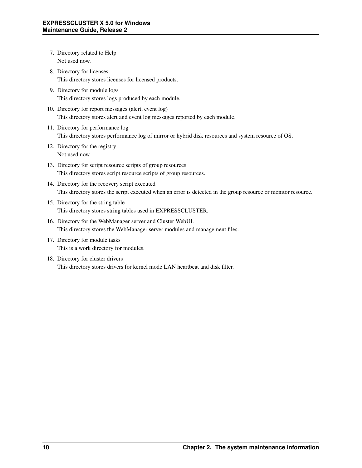- 7. Directory related to Help Not used now.
- 8. Directory for licenses This directory stores licenses for licensed products.
- 9. Directory for module logs This directory stores logs produced by each module.
- 10. Directory for report messages (alert, event log) This directory stores alert and event log messages reported by each module.
- 11. Directory for performance log This directory stores performance log of mirror or hybrid disk resources and system resource of OS.
- 12. Directory for the registry Not used now.
- 13. Directory for script resource scripts of group resources This directory stores script resource scripts of group resources.
- 14. Directory for the recovery script executed This directory stores the script executed when an error is detected in the group resource or monitor resource.
- 15. Directory for the string table This directory stores string tables used in EXPRESSCLUSTER.
- 16. Directory for the WebManager server and Cluster WebUI. This directory stores the WebManager server modules and management files.
- 17. Directory for module tasks This is a work directory for modules.
- 18. Directory for cluster drivers This directory stores drivers for kernel mode LAN heartbeat and disk filter.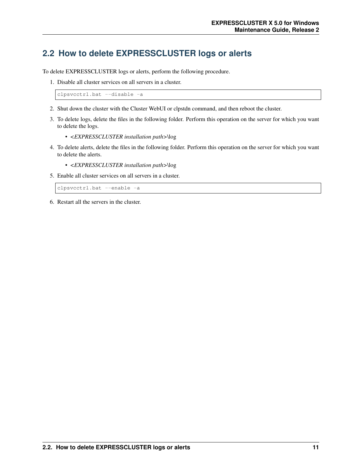## <span id="page-14-0"></span>**2.2 How to delete EXPRESSCLUSTER logs or alerts**

To delete EXPRESSCLUSTER logs or alerts, perform the following procedure.

1. Disable all cluster services on all servers in a cluster.

clpsvcctrl.bat --disable -a

- 2. Shut down the cluster with the Cluster WebUI or clpstdn command, and then reboot the cluster.
- 3. To delete logs, delete the files in the following folder. Perform this operation on the server for which you want to delete the logs.
	- *<EXPRESSCLUSTER installation path>*\log
- 4. To delete alerts, delete the files in the following folder. Perform this operation on the server for which you want to delete the alerts.
	- *<EXPRESSCLUSTER installation path>*\log
- 5. Enable all cluster services on all servers in a cluster.

clpsvcctrl.bat --enable -a

6. Restart all the servers in the cluster.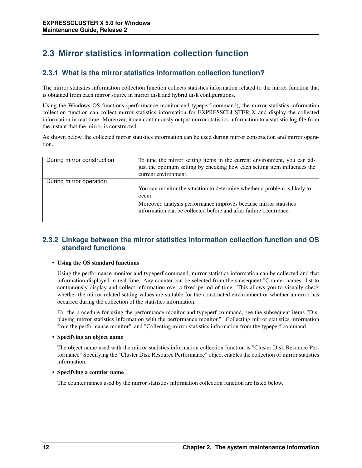## <span id="page-15-0"></span>**2.3 Mirror statistics information collection function**

### **2.3.1 What is the mirror statistics information collection function?**

The mirror statistics information collection function collects statistics information related to the mirror function that is obtained from each mirror source in mirror disk and hybrid disk configurations.

Using the Windows OS functions (performance monitor and typeperf command), the mirror statistics information collection function can collect mirror statistics information for EXPRESSCLUSTER X and display the collected information in real time. Moreover, it can continuously output mirror statistics information to a statistic log file from the instant that the mirror is constructed.

As shown below, the collected mirror statistics information can be used during mirror construction and mirror operation.

| During mirror construction | To tune the mirror setting items in the current environment, you can ad-<br>just the optimum setting by checking how each setting item influences the<br>current environment.                                                 |
|----------------------------|-------------------------------------------------------------------------------------------------------------------------------------------------------------------------------------------------------------------------------|
| During mirror operation    | You can monitor the situation to determine whether a problem is likely to<br>occur.<br>Moreover, analysis performance improves because mirror statistics<br>information can be collected before and after failure occurrence. |

### **2.3.2 Linkage between the mirror statistics information collection function and OS standard functions**

### • Using the OS standard functions

Using the performance monitor and typeperf command, mirror statistics information can be collected and that information displayed in real time. Any counter can be selected from the subsequent "Counter names" list to continuously display and collect information over a fixed period of time. This allows you to visually check whether the mirror-related setting values are suitable for the constructed environment or whether an error has occurred during the collection of the statistics information.

For the procedure for using the performance monitor and typeperf command, see the subsequent items "Displaying mirror statistics information with the performance monitor," "Collecting mirror statistics information from the performance monitor", and "Collecting mirror statistics information from the typeperf command."

### • Specifying an object name

The object name used with the mirror statistics information collection function is "Cluster Disk Resource Performance" Specifying the "Cluster Disk Resource Performance" object enables the collection of mirror statistics information.

#### • Specifying a counter name

The counter names used by the mirror statistics information collection function are listed below.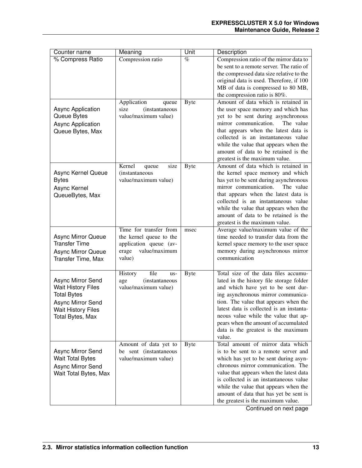| Counter name              | Meaning                        | Unit        | Description                                                                   |
|---------------------------|--------------------------------|-------------|-------------------------------------------------------------------------------|
| % Compress Ratio          | Compression ratio              | $\%$        | Compression ratio of the mirror data to                                       |
|                           |                                |             | be sent to a remote server. The ratio of                                      |
|                           |                                |             | the compressed data size relative to the                                      |
|                           |                                |             | original data is used. Therefore, if 100                                      |
|                           |                                |             | MB of data is compressed to 80 MB,                                            |
|                           |                                |             | the compression ratio is 80%.                                                 |
|                           | Application<br>queue           | <b>Byte</b> | Amount of data which is retained in                                           |
| <b>Async Application</b>  | size<br><i>(instantaneous)</i> |             | the user space memory and which has                                           |
| Queue Bytes               | value/maximum value)           |             | yet to be sent during asynchronous                                            |
| <b>Async Application</b>  |                                |             | mirror communication.<br>The value                                            |
| Queue Bytes, Max          |                                |             | that appears when the latest data is                                          |
|                           |                                |             | collected is an instantaneous value                                           |
|                           |                                |             | while the value that appears when the                                         |
|                           |                                |             | amount of data to be retained is the                                          |
|                           |                                |             | greatest is the maximum value.                                                |
|                           | Kernel<br>size<br>queue        | <b>Byte</b> | Amount of data which is retained in                                           |
| Async Kernel Queue        | (instantaneous                 |             | the kernel space memory and which                                             |
| <b>Bytes</b>              | value/maximum value)           |             | has yet to be sent during asynchronous                                        |
| Async Kernel              |                                |             | mirror communication.<br>The value                                            |
| QueueBytes, Max           |                                |             | that appears when the latest data is                                          |
|                           |                                |             | collected is an instantaneous value                                           |
|                           |                                |             | while the value that appears when the<br>amount of data to be retained is the |
|                           |                                |             | greatest is the maximum value.                                                |
|                           | Time for transfer from         | msec        | Average value/maximum value of the                                            |
| <b>Async Mirror Queue</b> | the kernel queue to the        |             | time needed to transfer data from the                                         |
| <b>Transfer Time</b>      | application queue (av-         |             | kernel space memory to the user space                                         |
| Async Mirror Queue        | erage<br>value/maximum         |             | memory during asynchronous mirror                                             |
| <b>Transfer Time, Max</b> | value)                         |             | communication                                                                 |
|                           |                                |             |                                                                               |
|                           | History<br>file<br>us-         | <b>Byte</b> | Total size of the data files accumu-                                          |
| Async Mirror Send         | <i>(instantaneous)</i><br>age  |             | lated in the history file storage folder                                      |
| <b>Wait History Files</b> | value/maximum value)           |             | and which have yet to be sent dur-                                            |
| <b>Total Bytes</b>        |                                |             | ing asynchronous mirror communica-                                            |
| Async Mirror Send         |                                |             | tion. The value that appears when the                                         |
| <b>Wait History Files</b> |                                |             | latest data is collected is an instanta-                                      |
| Total Bytes, Max          |                                |             | neous value while the value that ap-                                          |
|                           |                                |             | pears when the amount of accumulated                                          |
|                           |                                |             | data is the greatest is the maximum                                           |
|                           |                                |             | value.                                                                        |
|                           | Amount of data yet to          | <b>Byte</b> | Total amount of mirror data which                                             |
| Async Mirror Send         | be sent (instantaneous         |             | is to be sent to a remote server and                                          |
| <b>Wait Total Bytes</b>   | value/maximum value)           |             | which has yet to be sent during asyn-                                         |
| Async Mirror Send         |                                |             | chronous mirror communication. The                                            |
| Wait Total Bytes, Max     |                                |             | value that appears when the latest data                                       |
|                           |                                |             | is collected is an instantaneous value                                        |
|                           |                                |             | while the value that appears when the                                         |
|                           |                                |             | amount of data that has yet be sent is                                        |
|                           |                                |             | the greatest is the maximum value.                                            |

Continued on next page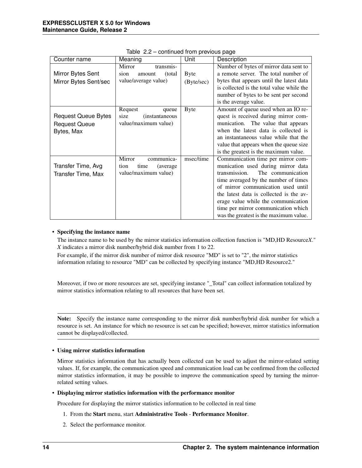| Counter name               | Meaning                        | Unit        | Description                               |
|----------------------------|--------------------------------|-------------|-------------------------------------------|
|                            | Mirror<br>transmis-            |             | Number of bytes of mirror data sent to    |
| Mirror Bytes Sent          | sion<br>(total)<br>amount      | <b>Byte</b> | a remote server. The total number of      |
| Mirror Bytes Sent/sec      | value/average value)           | (Byte/sec)  | bytes that appears until the latest data  |
|                            |                                |             | is collected is the total value while the |
|                            |                                |             | number of bytes to be sent per second     |
|                            |                                |             | is the average value.                     |
|                            | Request<br>queue               | <b>Byte</b> | Amount of queue used when an IO re-       |
| <b>Request Queue Bytes</b> | size<br><i>(instantaneous)</i> |             | quest is received during mirror com-      |
| <b>Request Queue</b>       | value/maximum value)           |             | munication. The value that appears        |
| Bytes, Max                 |                                |             | when the latest data is collected is      |
|                            |                                |             | an instantaneous value while that the     |
|                            |                                |             | value that appears when the queue size    |
|                            |                                |             | is the greatest is the maximum value.     |
|                            | Mirror<br>communica-           | msec/time   | Communication time per mirror com-        |
| Transfer Time, Avg         | time<br>(average)<br>tion      |             | munication used during mirror data        |
| Transfer Time, Max         | value/maximum value)           |             | transmission.<br>The communication        |
|                            |                                |             | time averaged by the number of times      |
|                            |                                |             | of mirror communication used until        |
|                            |                                |             | the latest data is collected is the av-   |
|                            |                                |             | erage value while the communication       |
|                            |                                |             | time per mirror communication which       |
|                            |                                |             | was the greatest is the maximum value.    |

Table 2.2 – continued from previous page

#### • Specifying the instance name

The instance name to be used by the mirror statistics information collection function is "MD,HD Resource*X*." *X* indicates a mirror disk number/hybrid disk number from 1 to 22.

For example, if the mirror disk number of mirror disk resource "MD" is set to "2", the mirror statistics information relating to resource "MD" can be collected by specifying instance "MD,HD Resource2."

Moreover, if two or more resources are set, specifying instance "\_Total" can collect information totalized by mirror statistics information relating to all resources that have been set.

Note: Specify the instance name corresponding to the mirror disk number/hybrid disk number for which a resource is set. An instance for which no resource is set can be specified; however, mirror statistics information cannot be displayed/collected.

#### • Using mirror statistics information

Mirror statistics information that has actually been collected can be used to adjust the mirror-related setting values. If, for example, the communication speed and communication load can be confirmed from the collected mirror statistics information, it may be possible to improve the communication speed by turning the mirrorrelated setting values.

#### • Displaying mirror statistics information with the performance monitor

Procedure for displaying the mirror statistics information to be collected in real time

- 1. From the Start menu, start Administrative Tools Performance Monitor.
- 2. Select the performance monitor.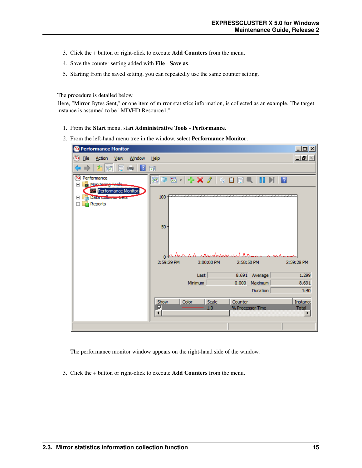- 3. Click the + button or right-click to execute Add Counters from the menu.
- 4. Save the counter setting added with File Save as.
- 5. Starting from the saved setting, you can repeatedly use the same counter setting.

The procedure is detailed below.

Here, "Mirror Bytes Sent," or one item of mirror statistics information, is collected as an example. The target instance is assumed to be "MD/HD Resource1."

- 1. From the Start menu, start Administrative Tools Performance.
- 2. From the left-hand menu tree in the window, select Performance Monitor.



The performance monitor window appears on the right-hand side of the window.

3. Click the + button or right-click to execute Add Counters from the menu.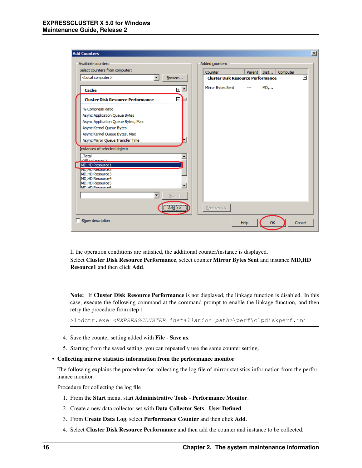| Available counters                            | Added counters                                      |        |      |          | $\vert x \vert$ |
|-----------------------------------------------|-----------------------------------------------------|--------|------|----------|-----------------|
| Select counters from computer:                |                                                     |        |      |          |                 |
| <local computer=""><br/>▼<br/>Browse</local>  | Counter<br><b>Cluster Disk Resource Performance</b> | Parent | Inst | Computer | 冃               |
|                                               |                                                     |        |      |          |                 |
| $\overline{\phantom{a}}$<br>田<br>Cache        | Mirror Bytes Sent                                   |        | $MD$ |          |                 |
| F<br><b>Cluster Disk Resource Performance</b> |                                                     |        |      |          |                 |
| % Compress Ratio                              |                                                     |        |      |          |                 |
| Async Application Queue Bytes                 |                                                     |        |      |          |                 |
| Async Application Queue Bytes, Max            |                                                     |        |      |          |                 |
| Async Kernel Queue Bytes                      |                                                     |        |      |          |                 |
| Async Kernel Queue Bytes, Max                 |                                                     |        |      |          |                 |
| Async Mirror Queue Transfer Time              |                                                     |        |      |          |                 |
| Instances of selected object:                 |                                                     |        |      |          |                 |
|                                               |                                                     |        |      |          |                 |
| Total<br>$\angle$ All instances $\sim$        |                                                     |        |      |          |                 |
| MD,HD Resource 1                              |                                                     |        |      |          |                 |
| <b>MD, TD, Resources</b>                      |                                                     |        |      |          |                 |
| MD, HD Resource3<br>MD, HD Resource 4         |                                                     |        |      |          |                 |
| MD, HD Resource 5                             |                                                     |        |      |          |                 |
| MD HD Resource6                               |                                                     |        |      |          |                 |
| $\blacktriangledown$<br>Search                |                                                     |        |      |          |                 |
|                                               |                                                     |        |      |          |                 |
| Add $>>$                                      | Remove <<                                           |        |      |          |                 |
| $\Box$ Show description                       |                                                     | Help   |      |          | Cancel          |

If the operation conditions are satisfied, the additional counter/instance is displayed. Select Cluster Disk Resource Performance, select counter Mirror Bytes Sent and instance MD,HD Resource1 and then click Add.

Note: If Cluster Disk Resource Performance is not displayed, the linkage function is disabled. In this case, execute the following command at the command prompt to enable the linkage function, and then retry the procedure from step 1.

>lodctr.exe <EXPRESSCLUSTER installation path>\perf\clpdiskperf.ini

- 4. Save the counter setting added with File Save as.
- 5. Starting from the saved setting, you can repeatedly use the same counter setting.
- Collecting mirror statistics information from the performance monitor

The following explains the procedure for collecting the log file of mirror statistics information from the performance monitor.

Procedure for collecting the log file

- 1. From the Start menu, start Administrative Tools Performance Monitor.
- 2. Create a new data collector set with Data Collector Sets User Defined.
- 3. From Create Data Log, select Performance Counter and then click Add.
- 4. Select Cluster Disk Resource Performance and then add the counter and instance to be collected.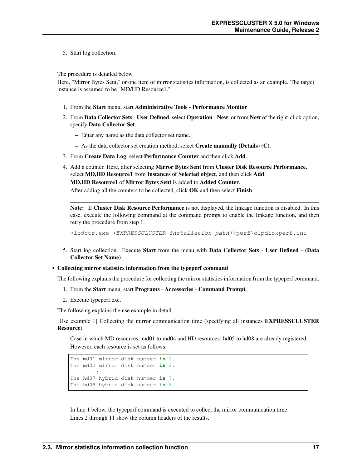5. Start log collection.

The procedure is detailed below.

Here, "Mirror Bytes Sent," or one item of mirror statistics information, is collected as an example. The target instance is assumed to be "MD/HD Resource1."

- 1. From the Start menu, start Administrative Tools Performance Monitor.
- 2. From Data Collector Sets User Defined, select Operation New, or from New of the right-click option, specify Data Collector Set.
	- Enter any name as the data collector set name.
	- As the data collector set creation method, select Create manually (Details) (C).
- 3. From Create Data Log, select Performance Counter and then click Add.
- 4. Add a counter. Here, after selecting Mirror Bytes Sent from Cluster Disk Resource Performance, select MD,HD Resource1 from Instances of Selected object, and then click Add. MD,HD Resource1 of Mirror Bytes Sent is added to Added Counter.

After adding all the counters to be collected, click OK and then select Finish.

Note: If Cluster Disk Resource Performance is not displayed, the linkage function is disabled. In this case, execute the following command at the command prompt to enable the linkage function, and then retry the procedure from step 1.

>lodctr.exe <EXPRESSCLUSTER installation path>\perf\clpdiskperf.ini

5. Start log collection. Execute Start from the menu with Data Collector Sets - User Defined - (Data Collector Set Name).

• Collecting mirror statistics information from the typeperf command

The following explains the procedure for collecting the mirror statistics information from the typeperf command.

- 1. From the Start menu, start Programs Accessories Command Prompt.
- 2. Execute typeperf.exe.

The following explains the use example in detail.

[Use example 1] Collecting the mirror communication time (specifying all instances EXPRESSCLUSTER Resource)

Case in which MD resources: md01 to md04 and HD resources: hd05 to hd08 are already registered However, each resource is set as follows:

```
The md01 mirror disk number is 1.
The md02 mirror disk number is 2.
        :
The hd07 hybrid disk number is 7.
The hd08 hybrid disk number is 8.
```
In line 1 below, the typeperf command is executed to collect the mirror communication time. Lines 2 through 11 show the column headers of the results.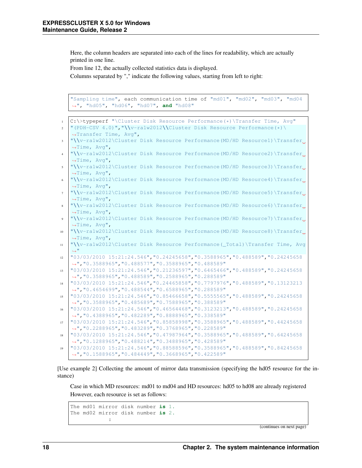Here, the column headers are separated into each of the lines for readability, which are actually printed in one line.

From line 12, the actually collected statistics data is displayed.

Columns separated by "," indicate the following values, starting from left to right:

```
"Sampling time", each communication time of "md01", "md02", "md03", "md04
˓→", "hd05", "hd06", "hd07", and "hd08"
```

```
C:\>typeperf "\Cluster Disk Resource Performance(*)\Transfer Time, Avq"
2 "(PDH-CSV 4.0)","\\v-ra1w2012\\Cluster Disk Resource Performance(*)\
   ˓→Transfer Time, Avg",
3 "\\v-ra1w2012\Cluster Disk Resource Performance(MD/HD Resource1)\Transfer
   ˓→Time, Avg",
4 "\\v-ra1w2012\Cluster Disk Resource Performance(MD/HD Resource2)\Transfer
   ˓→Time, Avg",
   5 "\\v-ra1w2012\Cluster Disk Resource Performance(MD/HD Resource3)\Transfer
   ˓→Time, Avg",
6 "\\v-ra1w2012\Cluster Disk Resource Performance(MD/HD Resource4)\Transfer
   ˓→Time, Avg",
   7 "\\v-ra1w2012\Cluster Disk Resource Performance(MD/HD Resource5)\Transfer
   ˓→Time, Avg",
8 "\\v-ra1w2012\Cluster Disk Resource Performance(MD/HD Resource6)\Transfer
   ˓→Time, Avg",
9 "\\v-ra1w2012\Cluster Disk Resource Performance(MD/HD Resource7)\Transfer
   ˓→Time, Avg",
10 "\\v-ra1w2012\Cluster Disk Resource Performance(MD/HD Resource8)\Transfer
   ˓→Time, Avg",
11 "\\v-ra1w2012\Cluster Disk Resource Performance(_Total)\Transfer Time, Avg
   ˓→"
12 "03/03/2010 15:21:24.546","0.24245658","0.3588965","0.488589","0.24245658
   ˓→","0.3588965","0.488577","0.3588965","0.488589"
13 "03/03/2010 15:21:24.546","0.21236597","0.6465466","0.488589","0.24245658
   ˓→","0.3588965","0.488589","0.2588965","0.288589"
14 "03/03/2010 15:21:24.546","0.24465858","0.7797976","0.488589","0.13123213
   ˓→","0.4654699","0.488544","0.6588965","0.288589"
15 "03/03/2010 15:21:24.546","0.85466658","0.5555565","0.488589","0.24245658
   ˓→","0.3588965","0.485689","0.7588965","0.388589"
16 "03/03/2010 15:21:24.546","0.46564468","0.3123213","0.488589","0.24245658
   ˓→","0.4388965","0.482289","0.8888965","0.338589"
17 "03/03/2010 15:21:24.546","0.85858998","0.3588965","0.488589","0.44245658
   ˓→","0.2288965","0.483289","0.3768965","0.228589"
18 "03/03/2010 15:21:24.546","0.47987964","0.3588965","0.488589","0.64245658
   ˓→","0.1288965","0.488214","0.3488965","0.428589"
19 "03/03/2010 15:21:24.546","0.88588596","0.3588965","0.488589","0.84245658
   ˓→","0.1588965","0.484449","0.3668965","0.422589"
```
[Use example 2] Collecting the amount of mirror data transmission (specifying the hd05 resource for the instance)

Case in which MD resources: md01 to md04 and HD resources: hd05 to hd08 are already registered However, each resource is set as follows:

```
The md01 mirror disk number is 1.
The md02 mirror disk number is 2.
            :
```
(continues on next page)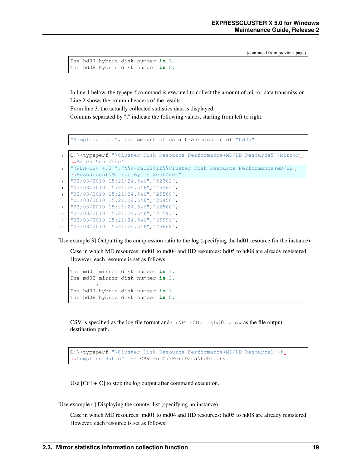(continued from previous page)

```
The hd07 hybrid disk number is 7.
The hd08 hybrid disk number is 8.
```
In line 1 below, the typeperf command is executed to collect the amount of mirror data transmission. Line 2 shows the column headers of the results.

From line 3, the actually collected statistics data is displayed.

Columns separated by "," indicate the following values, starting from left to right:

"Sampling time", the amount of data transmission of "hd05"

```
1 C:\>typeperf "\Cluster Disk Resource Performance(MD/HD Resource5)\Mirror
   ˓→Bytes Sent/sec"
2 "(PDH-CSV 4.0)","\\v-ra1w2012\\Cluster Disk Resource Performance(MD/HD
   ˓→Resource5)\Mirror Bytes Sent/sec"
3 "03/03/2010 15:21:24.546","52362",
4 "03/03/2010 15:21:24.546","45564",
5 "03/03/2010 15:21:24.546","25560",
   6 "03/03/2010 15:21:24.546","25450",
   7 "03/03/2010 15:21:24.546","22560",
8 "03/03/2010 15:21:24.546","21597",
9 "03/03/2010 15:21:24.546","35999",
10 "03/03/2010 15:21:24.546","25668",
```
[Use example 3] Outputting the compression ratio to the log (specifying the hd01 resource for the instance)

Case in which MD resources: md01 to md04 and HD resources: hd05 to hd08 are already registered However, each resource is set as follows:

```
The md01 mirror disk number is 1.
The md02 mirror disk number is 2.
        :
The hd07 hybrid disk number is 7.
The hd08 hybrid disk number is 8.
```
CSV is specified as the log file format and  $C:\Perfbata\hd01$ .csv as the file output destination path.

```
C:\>typeperf "\Cluster Disk Resource Performance(MD/HD Resource1)\%
˓→Compress Ratio" -f CSV -o C:\PerfData\hd01.csv
```
Use [Ctrl]+[C] to stop the log output after command execution.

[Use example 4] Displaying the counter list (specifying no instance)

Case in which MD resources: md01 to md04 and HD resources: hd05 to hd08 are already registered However, each resource is set as follows: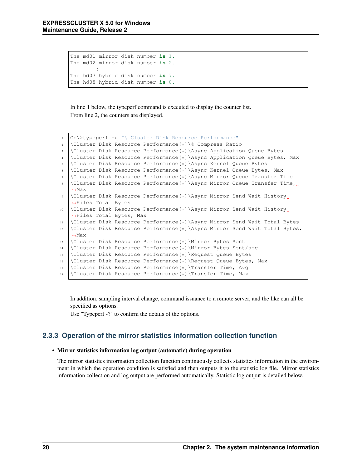```
The md01 mirror disk number is 1.
The md02 mirror disk number is 2.
        :
The hd07 hybrid disk number is 7.
The hd08 hybrid disk number is 8.
```
In line 1 below, the typeperf command is executed to display the counter list. From line 2, the counters are displayed.

```
1 C:\>typeperf -q "\ Cluster Disk Resource Performance"
2 \Cluster Disk Resource Performance(*)\% Compress Ratio
   3 \Cluster Disk Resource Performance(*)\Async Application Queue Bytes
4 \Cluster Disk Resource Performance(*)\Async Application Queue Bytes, Max
5 \Cluster Disk Resource Performance(*)\Async Kernel Queue Bytes
6 \C{[Cluster Disk Resource Performance(*)}\A sync Kernel QueueBytes, Max]7 \Cluster Disk Resource Performance(*)\Async Mirror Queue Transfer Time
8 \Cluster Disk Resource Performance(*)\Async Mirror Queue Transfer Time,
   ˓→Max
   9 \Cluster Disk Resource Performance(*)\Async Mirror Send Wait History
   ˓→Files Total Bytes
10 \Cluster Disk Resource Performance(*)\Async Mirror Send Wait History
   ˓→Files Total Bytes, Max
11 \Cluster Disk Resource Performance(*)\Async Mirror Send Wait Total Bytes
12 \Cluster Disk Resource Performance(*)\Async Mirror Send Wait Total Bytes,
   ˓→Max
13 \Cluster Disk Resource Performance(*)\Mirror Bytes Sent
14 \Cluster Disk Resource Performance(*)\Mirror Bytes Sent/sec
15 \Cluster Disk Resource Performance(*)\Request Queue Bytes
16 \Cluster Disk Resource Performance(*)\Request Queue Bytes, Max
17 \Clustering Disk Resource Performance (*) Transfer Time, Avg
18 \backslashCluster Disk Resource Performance(*) \Transfer Time, Max
```
In addition, sampling interval change, command issuance to a remote server, and the like can all be specified as options.

Use "Typeperf -?" to confirm the details of the options.

### **2.3.3 Operation of the mirror statistics information collection function**

#### • Mirror statistics information log output (automatic) during operation

The mirror statistics information collection function continuously collects statistics information in the environment in which the operation condition is satisfied and then outputs it to the statistic log file. Mirror statistics information collection and log output are performed automatically. Statistic log output is detailed below.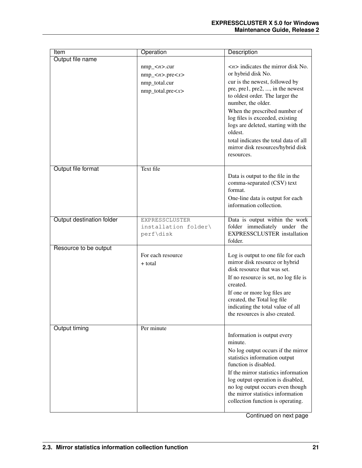| Item                      | Operation                                                         | Description                                                                                                                                                                                                                                                                                                                                                                                                              |
|---------------------------|-------------------------------------------------------------------|--------------------------------------------------------------------------------------------------------------------------------------------------------------------------------------------------------------------------------------------------------------------------------------------------------------------------------------------------------------------------------------------------------------------------|
| Output file name          | $nmp\_n>.cur$<br>$nmp\_n$ -pre $nmp_total.curnmp\_total.pre < x>$ | $\langle n \rangle$ indicates the mirror disk No.<br>or hybrid disk No.<br>cur is the newest, followed by<br>pre, pre1, pre2, , in the newest<br>to oldest order. The larger the<br>number, the older.<br>When the prescribed number of<br>log files is exceeded, existing<br>logs are deleted, starting with the<br>oldest.<br>total indicates the total data of all<br>mirror disk resources/hybrid disk<br>resources. |
| Output file format        | Text file                                                         | Data is output to the file in the<br>comma-separated (CSV) text<br>format.<br>One-line data is output for each<br>information collection.                                                                                                                                                                                                                                                                                |
| Output destination folder | EXPRESSCLUSTER<br>installation folder\<br>perf\disk               | Data is output within the work<br>folder immediately under the<br><b>EXPRESSCLUSTER</b> installation<br>folder.                                                                                                                                                                                                                                                                                                          |
| Resource to be output     | For each resource<br>+ total                                      | Log is output to one file for each<br>mirror disk resource or hybrid<br>disk resource that was set.<br>If no resource is set, no log file is<br>created.<br>If one or more log files are<br>created, the Total log file<br>indicating the total value of all<br>the resources is also created.                                                                                                                           |
| Output timing             | Per minute                                                        | Information is output every<br>minute.<br>No log output occurs if the mirror<br>statistics information output<br>function is disabled.<br>If the mirror statistics information<br>log output operation is disabled,<br>no log output occurs even though<br>the mirror statistics information<br>collection function is operating.                                                                                        |

Continued on next page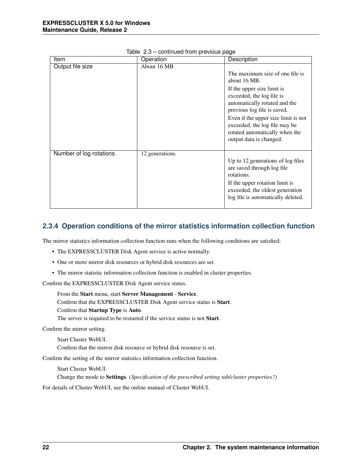| Item                    | Operation      | Description                                                                                                                                                                                                                                                                                                     |
|-------------------------|----------------|-----------------------------------------------------------------------------------------------------------------------------------------------------------------------------------------------------------------------------------------------------------------------------------------------------------------|
| Output file size        | About 16 MB    | The maximum size of one file is<br>about 16 MB.<br>If the upper size limit is<br>exceeded, the log file is<br>automatically rotated and the<br>previous log file is saved.<br>Even if the upper size limit is not<br>exceeded, the log file may be<br>rotated automatically when the<br>output data is changed. |
| Number of log rotations | 12 generations | Up to 12 generations of log files<br>are saved through log file<br>rotations.<br>If the upper rotation limit is<br>exceeded, the oldest generation<br>log file is automatically deleted.                                                                                                                        |

|  | Table 2.3 - continued from previous page |  |  |  |
|--|------------------------------------------|--|--|--|
|--|------------------------------------------|--|--|--|

### **2.3.4 Operation conditions of the mirror statistics information collection function**

The mirror statistics information collection function runs when the following conditions are satisfied:

- The EXPRESSCLUSTER Disk Agent service is active normally.
- One or more mirror disk resources or hybrid disk resources are set.
- The mirror statistic information collection function is enabled in cluster properties.

Confirm the EXPRESSCLUSTER Disk Agent service status.

From the Start menu, start Server Management - Service. Confirm that the EXPRESSCLUSTER Disk Agent service status is Start. Confirm that Startup Type is Auto.

The server is required to be restarted if the service status is not Start.

Confirm the mirror setting.

Start Cluster WebUI.

Confirm that the mirror disk resource or hybrid disk resource is set.

Confirm the setting of the mirror statistics information collection function.

Start Cluster WebUI.

Change the mode to Settings. *(Specification of the prescribed setting tab/cluster properties?)*

For details of Cluster WebUI, see the online manual of Cluster WebUI.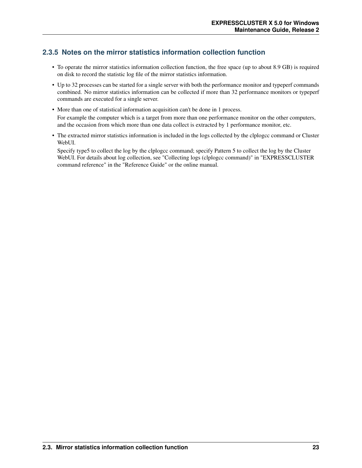### **2.3.5 Notes on the mirror statistics information collection function**

- To operate the mirror statistics information collection function, the free space (up to about 8.9 GB) is required on disk to record the statistic log file of the mirror statistics information.
- Up to 32 processes can be started for a single server with both the performance monitor and typeperf commands combined. No mirror statistics information can be collected if more than 32 performance monitors or typeperf commands are executed for a single server.
- More than one of statistical information acquisition can't be done in 1 process. For example the computer which is a target from more than one performance monitor on the other computers, and the occasion from which more than one data collect is extracted by 1 performance monitor, etc.
- The extracted mirror statistics information is included in the logs collected by the clplogcc command or Cluster WebUI.

Specify type5 to collect the log by the clplogcc command; specify Pattern 5 to collect the log by the Cluster WebUI. For details about log collection, see "Collecting logs (clplogcc command)" in "EXPRESSCLUSTER command reference" in the "Reference Guide" or the online manual.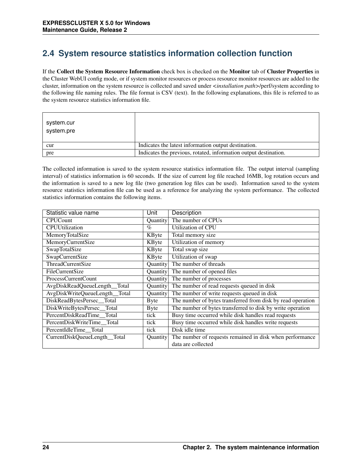## <span id="page-27-0"></span>**2.4 System resource statistics information collection function**

If the Collect the System Resource Information check box is checked on the Monitor tab of Cluster Properties in the Cluster WebUI config mode, or if system monitor resources or process resource monitor resources are added to the cluster, information on the system resource is collected and saved under *<installation path>*/perf/system according to the following file naming rules. The file format is CSV (text). In the following explanations, this file is referred to as the system resource statistics information file.

| system.cur<br>system.pre |                                                                  |
|--------------------------|------------------------------------------------------------------|
| cur                      | Indicates the latest information output destination.             |
| pre                      | Indicates the previous, rotated, information output destination. |

The collected information is saved to the system resource statistics information file. The output interval (sampling interval) of statistics information is 60 seconds. If the size of current log file reached 16MB, log rotation occurs and the information is saved to a new log file (two generation log files can be used). Information saved to the system resource statistics information file can be used as a reference for analyzing the system performance. The collected statistics information contains the following items.

| Statistic value name          | Unit            | Description                                                 |
|-------------------------------|-----------------|-------------------------------------------------------------|
| <b>CPUCount</b>               | <b>Ouantity</b> | The number of CPUs                                          |
| <b>CPUUtilization</b>         | $\%$            | <b>Utilization of CPU</b>                                   |
| MemoryTotalSize               | KByte           | Total memory size                                           |
| MemoryCurrentSize             | KByte           | Utilization of memory                                       |
| SwapTotalSize                 | KByte           | Total swap size                                             |
| SwapCurrentSize               | KByte           | Utilization of swap                                         |
| ThreadCurrentSize             | Quantity        | The number of threads                                       |
| FileCurrentSize               | Quantity        | The number of opened files                                  |
| ProcessCurrentCount           | Quantity        | The number of processes                                     |
| AvgDiskReadQueueLength_Total  | Quantity        | The number of read requests queued in disk                  |
| AvgDiskWriteQueueLength_Total | Quantity        | The number of write requests queued in disk                 |
| DiskReadBytesPersec_Total     | <b>Byte</b>     | The number of bytes transferred from disk by read operation |
| DiskWriteBytesPersec_Total    | <b>Byte</b>     | The number of bytes transferred to disk by write operation  |
| PercentDiskReadTime_Total     | tick            | Busy time occurred while disk handles read requests         |
| PercentDiskWriteTime_Total    | tick            | Busy time occurred while disk handles write requests        |
| PercentIdleTime Total         | tick            | Disk idle time                                              |
| CurrentDiskQueueLength_Total  | <b>Ouantity</b> | The number of requests remained in disk when performance    |
|                               |                 | data are collected                                          |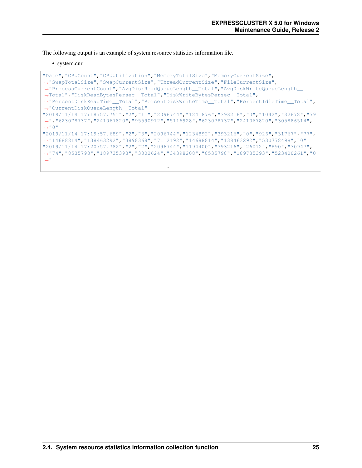The following output is an example of system resource statistics information file.

#### • system.cur

"Date","CPUCount","CPUUtilization","MemoryTotalSize","MemoryCurrentSize", ˓<sup>→</sup>"SwapTotalSize","SwapCurrentSize","ThreadCurrentSize","FileCurrentSize", ˓<sup>→</sup>"ProcessCurrentCount","AvgDiskReadQueueLength\_\_Total","AvgDiskWriteQueueLength\_\_ ˓<sup>→</sup>Total","DiskReadBytesPersec\_\_Total","DiskWriteBytesPersec\_\_Total", ˓<sup>→</sup>"PercentDiskReadTime\_\_Total","PercentDiskWriteTime\_\_Total","PercentIdleTime\_\_Total", ˓<sup>→</sup>"CurrentDiskQueueLength\_\_Total" "2019/11/14 17:18:57.751","2","11","2096744","1241876","393216","0","1042","32672","79 ˓<sup>→</sup>","623078737","241067820","95590912","5116928","623078737","241067820","305886514", ˓<sup>→</sup>"0" "2019/11/14 17:19:57.689","2","3","2096744","1234892","393216","0","926","31767","77", ˓<sup>→</sup>"14688814","138463292","3898368","7112192","14688814","138463292","530778498","0" "2019/11/14 17:20:57.782","2","2","2096744","1194400","393216","26012","890","30947", ˓<sup>→</sup>"74","8535798","189735393","3802624","34398208","8535798","189735393","523400261","0 ˓<sup>→</sup>" :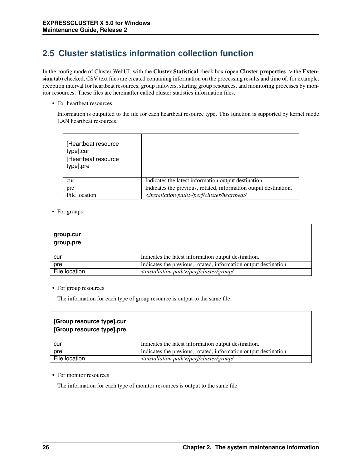## <span id="page-29-0"></span>**2.5 Cluster statistics information collection function**

In the config mode of Cluster WebUI, with the Cluster Statistical check box (open Cluster properties -> the Extension tab) checked, CSV text files are created containing information on the processing results and time of, for example, reception interval for heartbeat resources, group failovers, starting group resources, and monitoring processes by monitor resources. These files are hereinafter called cluster statistics information files.

• For heartbeat resources

Information is outputted to the file for each heartbeat resource type. This function is supported by kernel mode LAN heartbeat resources.

| [Heartbeat resource<br>type].cur<br>[Heartbeat resource<br>type].pre |                                                                  |
|----------------------------------------------------------------------|------------------------------------------------------------------|
| cur                                                                  | Indicates the latest information output destination.             |
| pre                                                                  | Indicates the previous, rotated, information output destination. |
| File location                                                        | <installation path="">/perf/cluster/heartbeat/</installation>    |

• For groups

| group.cur<br>group.pre |                                                                  |
|------------------------|------------------------------------------------------------------|
| cur                    | Indicates the latest information output destination.             |
| pre                    | Indicates the previous, rotated, information output destination. |
| File location          | <installation path="">/perf/cluster/group/</installation>        |

• For group resources

The information for each type of group resource is output to the same file.

| [Group resource type].cur<br>[Group resource type].pre |                                                                  |
|--------------------------------------------------------|------------------------------------------------------------------|
| cur                                                    | Indicates the latest information output destination.             |
| pre                                                    | Indicates the previous, rotated, information output destination. |
| File location                                          | <installation path="">/perf/cluster/group/</installation>        |

• For monitor resources

The information for each type of monitor resources is output to the same file.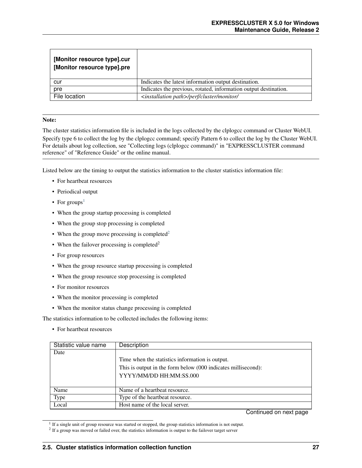| [Monitor resource type].cur<br>[Monitor resource type].pre |                                                                  |
|------------------------------------------------------------|------------------------------------------------------------------|
| cur                                                        | Indicates the latest information output destination.             |
| pre                                                        | Indicates the previous, rotated, information output destination. |
| File location                                              | <installation path="">/perf/cluster/monitor/</installation>      |

#### Note:

The cluster statistics information file is included in the logs collected by the clplogcc command or Cluster WebUI. Specify type 6 to collect the log by the clplogcc command; specify Pattern 6 to collect the log by the Cluster WebUI. For details about log collection, see "Collecting logs (clplogcc command)" in "EXPRESSCLUSTER command reference" of "Reference Guide" or the online manual.

Listed below are the timing to output the statistics information to the cluster statistics information file:

- For heartbeat resources
- Periodical output
- For groups<sup>[1](#page-30-0)</sup>
- When the group startup processing is completed
- When the group stop processing is completed
- When the group move processing is completed<sup>[2](#page-30-1)</sup>
- When the failover processing is completed<sup>2</sup>
- For group resources
- When the group resource startup processing is completed
- When the group resource stop processing is completed
- For monitor resources
- When the monitor processing is completed
- When the monitor status change processing is completed

The statistics information to be collected includes the following items:

• For heartbeat resources

| Statistic value name | Description                                                   |
|----------------------|---------------------------------------------------------------|
| Date                 |                                                               |
|                      | Time when the statistics information is output.               |
|                      | This is output in the form below (000 indicates millisecond): |
|                      | YYYY/MM/DD HH:MM:SS.000                                       |
|                      |                                                               |
| Name                 | Name of a heartbeat resource.                                 |
| Type                 | Type of the heartbeat resource.                               |
| Local                | Host name of the local server.                                |

Continued on next page

<span id="page-30-0"></span><sup>&</sup>lt;sup>1</sup> If a single unit of group resource was started or stopped, the group statistics information is not output.

<span id="page-30-1"></span> $2$  If a group was moved or failed over, the statistics information is output to the failover target server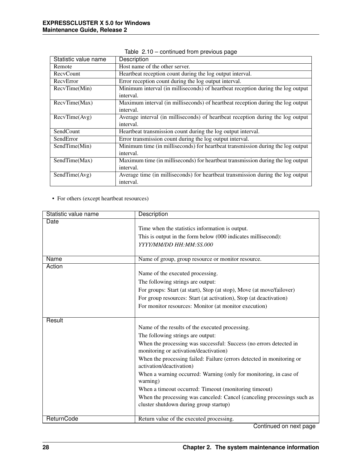| Statistic value name | Description                                                                     |
|----------------------|---------------------------------------------------------------------------------|
| Remote               | Host name of the other server.                                                  |
| RecyCount            | Heartbeat reception count during the log output interval.                       |
| RecyError            | Error reception count during the log output interval.                           |
| RecvTime(Min)        | Minimum interval (in milliseconds) of heartbeat reception during the log output |
|                      | interval.                                                                       |
| RecvTime(Max)        | Maximum interval (in milliseconds) of heartbeat reception during the log output |
|                      | interval.                                                                       |
| RecvTime(Avg)        | Average interval (in milliseconds) of heartbeat reception during the log output |
|                      | interval.                                                                       |
| SendCount            | Heartbeat transmission count during the log output interval.                    |
| SendError            | Error transmission count during the log output interval.                        |
| SendTime(Min)        | Minimum time (in milliseconds) for heartbeat transmission during the log output |
|                      | interval.                                                                       |
| SendTime(Max)        | Maximum time (in milliseconds) for heartbeat transmission during the log output |
|                      | interval.                                                                       |
| SendTime(Avg)        | Average time (in milliseconds) for heartbeat transmission during the log output |
|                      | interval.                                                                       |

Table 2.10 – continued from previous page

• For others (except heartbeat resources)

| Statistic value name | Description                                                                                       |
|----------------------|---------------------------------------------------------------------------------------------------|
| Date                 |                                                                                                   |
|                      | Time when the statistics information is output.                                                   |
|                      | This is output in the form below (000 indicates millisecond):                                     |
|                      | YYYY/MM/DD HH:MM:SS.000                                                                           |
|                      |                                                                                                   |
| Name                 | Name of group, group resource or monitor resource.                                                |
| Action               |                                                                                                   |
|                      | Name of the executed processing.                                                                  |
|                      | The following strings are output:                                                                 |
|                      | For groups: Start (at start), Stop (at stop), Move (at move/failover)                             |
|                      | For group resources: Start (at activation), Stop (at deactivation)                                |
|                      | For monitor resources: Monitor (at monitor execution)                                             |
|                      |                                                                                                   |
| Result               |                                                                                                   |
|                      | Name of the results of the executed processing.                                                   |
|                      | The following strings are output:                                                                 |
|                      | When the processing was successful: Success (no errors detected in                                |
|                      | monitoring or activation/deactivation)                                                            |
|                      | When the processing failed: Failure (errors detected in monitoring or<br>activation/deactivation) |
|                      | When a warning occurred: Warning (only for monitoring, in case of                                 |
|                      | warning)                                                                                          |
|                      | When a timeout occurred: Timeout (monitoring timeout)                                             |
|                      | When the processing was canceled: Cancel (canceling processings such as                           |
|                      | cluster shutdown during group startup)                                                            |
|                      |                                                                                                   |
| ReturnCode           | Return value of the executed processing.                                                          |

Continued on next page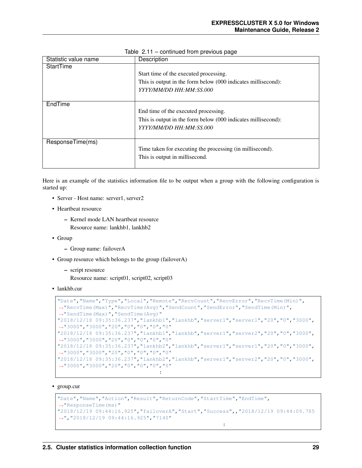| Statistic value name | Description                                                                                                                        |
|----------------------|------------------------------------------------------------------------------------------------------------------------------------|
| StartTime            | Start time of the executed processing.<br>This is output in the form below (000 indicates millisecond):<br>YYYY/MM/DD HH:MM:SS.000 |
| EndTime              | End time of the executed processing.<br>This is output in the form below (000 indicates millisecond):<br>YYYY/MM/DD HH:MM:SS.000   |
| ResponseTime(ms)     | Time taken for executing the processing (in millisecond).<br>This is output in millisecond.                                        |

Table 2.11 – continued from previous page

Here is an example of the statistics information file to be output when a group with the following configuration is started up:

- Server Host name: server1, server2
- Heartbeat resource
	- Kernel mode LAN heartbeat resource Resource name: lankhb1, lankhb2
- Group
	- Group name: failoverA
- Group resource which belongs to the group (failoverA)
	- script resource
		- Resource name: script01, script02, script03
- lankhb.cur

```
"Date", "Name", "Type", "Local", "Remote", "RecvCount", "RecvError", "RecvTime(Min)",
˓→"RecvTime(Max)","RecvTime(Avg)","SendCount","SendError","SendTime(Min)",
˓→"SendTime(Max)","SendTime(Avg)"
"2018/12/18 09:35:36.237","lankhb1","lankhb","server1","server1","20","0","3000",
˓→"3000","3000","20","0","0","0","0"
"2018/12/18 09:35:36.237","lankhb1","lankhb","server1","server2","20","0","3000",
˓→"3000","3000","20","0","0","0","0"
"2018/12/18 09:35:36.237","lankhb2","lankhb","server1","server1","20","0","3000",
˓→"3000","3000","20","0","0","0","0"
"2018/12/18 09:35:36.237","lankhb2","lankhb","server1","server2","20","0","3000",
˓→"3000","3000","20","0","0","0","0"
                                 :
```
• group.cur

```
"Date","Name","Action","Result","ReturnCode","StartTime","EndTime",
˓→"ResponseTime(ms)"
"2018/12/19 09:44:16.925","failoverA","Start","Success",,"2018/12/19 09:44:09.785
˓→","2018/12/19 09:44:16.925","7140"
```
: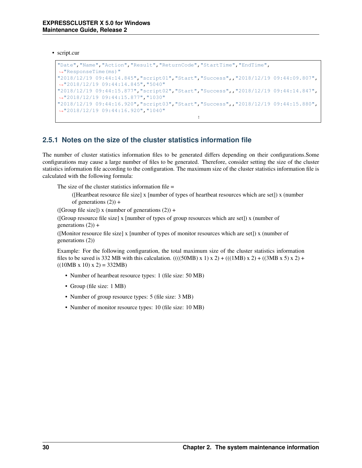• script.cur

```
"Date","Name","Action","Result","ReturnCode","StartTime","EndTime",
˓→"ResponseTime(ms)"
"2018/12/19 09:44:14.845","script01","Start","Success",,"2018/12/19 09:44:09.807",
˓→"2018/12/19 09:44:14.845","5040"
"2018/12/19 09:44:15.877","script02","Start","Success",,"2018/12/19 09:44:14.847",
˓→"2018/12/19 09:44:15.877","1030"
"2018/12/19 09:44:16.920","script03","Start","Success",,"2018/12/19 09:44:15.880",
˓→"2018/12/19 09:44:16.920","1040"
                                            :
```
### **2.5.1 Notes on the size of the cluster statistics information file**

The number of cluster statistics information files to be generated differs depending on their configurations.Some configurations may cause a large number of files to be generated. Therefore, consider setting the size of the cluster statistics information file according to the configuration. The maximum size of the cluster statistics information file is calculated with the following formula:

The size of the cluster statistics information file  $=$ 

([Heartbeat resource file size] x [number of types of heartbeat resources which are set]) x (number of generations  $(2)$  +

([Group file size]) x (number of generations  $(2)$ ) +

([Group resource file size] x [number of types of group resources which are set]) x (number of generations  $(2)$  +

([Monitor resource file size] x [number of types of monitor resources which are set]) x (number of generations (2))

Example: For the following configuration, the total maximum size of the cluster statistics information files to be saved is 332 MB with this calculation. ((((50MB) x 1) x 2) + (((1MB) x 2) + ((3MB x 5) x 2) +  $((10MB x 10) x 2) = 332MB)$ 

- Number of heartbeat resource types: 1 (file size: 50 MB)
- Group (file size: 1 MB)
- Number of group resource types: 5 (file size: 3 MB)
- Number of monitor resource types: 10 (file size: 10 MB)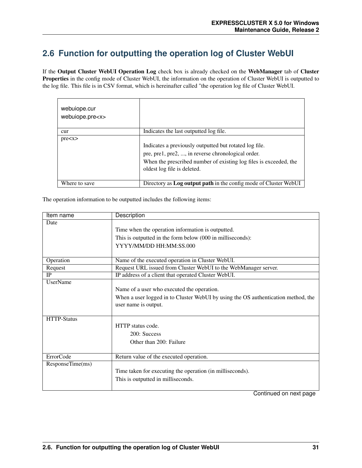## <span id="page-34-0"></span>**2.6 Function for outputting the operation log of Cluster WebUI**

If the Output Cluster WebUI Operation Log check box is already checked on the WebManager tab of Cluster Properties in the config mode of Cluster WebUI, the information on the operation of Cluster WebUI is outputted to the log file. This file is in CSV format, which is hereinafter called "the operation log file of Cluster WebUI.

| webuiope.cur<br>webuiope.pre <x></x> |                                                                                                                                                                                                                  |
|--------------------------------------|------------------------------------------------------------------------------------------------------------------------------------------------------------------------------------------------------------------|
| cur                                  | Indicates the last outputted log file.                                                                                                                                                                           |
| pre < x>                             | Indicates a previously outputted but rotated log file.<br>pre, pre1, pre2, , in reverse chronological order.<br>When the prescribed number of existing log files is exceeded, the<br>oldest log file is deleted. |
| Where to save                        | Directory as Log output path in the config mode of Cluster WebUI                                                                                                                                                 |

The operation information to be outputted includes the following items:

| Item name          | Description                                                                       |
|--------------------|-----------------------------------------------------------------------------------|
| Date               |                                                                                   |
|                    | Time when the operation information is outputted.                                 |
|                    | This is outputted in the form below (000 in milliseconds):                        |
|                    | YYYY/MM/DD HH:MM:SS.000                                                           |
|                    |                                                                                   |
| Operation          | Name of the executed operation in Cluster WebUI.                                  |
| Request            | Request URL issued from Cluster WebUI to the WebManager server.                   |
| <b>IP</b>          | IP address of a client that operated Cluster WebUI.                               |
| <b>UserName</b>    |                                                                                   |
|                    | Name of a user who executed the operation.                                        |
|                    | When a user logged in to Cluster WebUI by using the OS authentication method, the |
|                    | user name is output.                                                              |
|                    |                                                                                   |
| <b>HTTP-Status</b> |                                                                                   |
|                    | HTTP status code.                                                                 |
|                    | 200: Success                                                                      |
|                    | Other than 200: Failure                                                           |
|                    |                                                                                   |
| <b>ErrorCode</b>   | Return value of the executed operation.                                           |
| ResponseTime(ms)   |                                                                                   |
|                    | Time taken for executing the operation (in milliseconds).                         |
|                    | This is outputted in milliseconds.                                                |
|                    |                                                                                   |
|                    | $\sim$ $\sim$<br>$\mathbf{I}$                                                     |

Continued on next page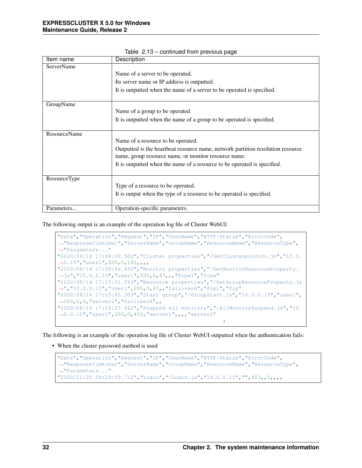| Item name           | Description                                                                                                                             |
|---------------------|-----------------------------------------------------------------------------------------------------------------------------------------|
| <b>ServerName</b>   |                                                                                                                                         |
|                     | Name of a server to be operated.                                                                                                        |
|                     | Its server name or IP address is outputted.                                                                                             |
|                     | It is outputted when the name of a server to be operated is specified.                                                                  |
| GroupName           |                                                                                                                                         |
|                     | Name of a group to be operated.                                                                                                         |
|                     | It is outputted when the name of a group to be operated is specified.                                                                   |
| <b>ResourceName</b> |                                                                                                                                         |
|                     | Name of a resource to be operated.                                                                                                      |
|                     | Outputted is the heartbeat resource name, network partition resolution resource<br>name, group resource name, or monitor resource name. |
|                     | It is outputted when the name of a resource to be operated is specified.                                                                |
| ResourceType        |                                                                                                                                         |
|                     | Type of a resource to be operated.                                                                                                      |
|                     | It is output when the type of a resource to be operated is specified.                                                                   |
| Parameters          | Operation-specific parameters.                                                                                                          |

Table 2.13 – continued from previous page

The following output is an example of the operation log file of Cluster WebUI:

```
"Date","Operation","Request","IP","UserName","HTTP-Status","ErrorCode",
˓→"ResponseTime(ms)","ServerName","GroupName","ResourceName","ResourceType",
˓→"Parameters..."
"2020/08/14 17:08:39.902","Cluster properties","/GetClusterproInfo.js","10.0.
˓→0.15","user1",200,0,141,,,,
"2020/08/14 17:08:46.659","Monitor properties","/GetMonitorResourceProperty.
˓→js","10.0.0.15","user1",200,0,47,,,"fipw1","fipw"
"2020/08/14 17:15:31.093","Resource properties","/GetGroupResourceProperty.js
˓→","10.0.0.15","user1",200,0,47,,"failoverA","fip1","fip"
"2020/08/14 17:15:45.309","Start group","/GroupStart.js","10.0.0.15","user1",
˓→200,0,0,"server1","failoverA",,
"2020/08/14 17:16:23.862","Suspend all monitors","/AllMonitorSuspend.js","10.
˓→0.0.15","user1",200,0,453,"server1",,,,"server2"
                                                     :
```
The following is an example of the operation log file of Cluster WebUI outputted when the authentication fails:

• When the cluster password method is used

```
"Date","Operation","Request","IP","UserName","HTTP-Status","ErrorCode",
˓→"ResponseTime(ms)","ServerName","GroupName","ResourceName","ResourceType",
˓→"Parameters..."
"2020/11/20 09:29:59.710","Login","/Login.js","10.0.0.15","",403,,0,,,,
```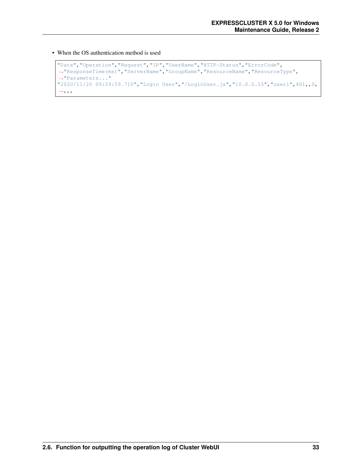• When the OS authentication method is used

```
"Date","Operation","Request","IP","UserName","HTTP-Status","ErrorCode",
˓→"ResponseTime(ms)","ServerName","GroupName","ResourceName","ResourceType",
˓→"Parameters..."
"2020/11/20 09:29:59.710","Login User","/LoginUser.js","10.0.0.15","user1",401,,0,
\leftrightarrow, , ,
```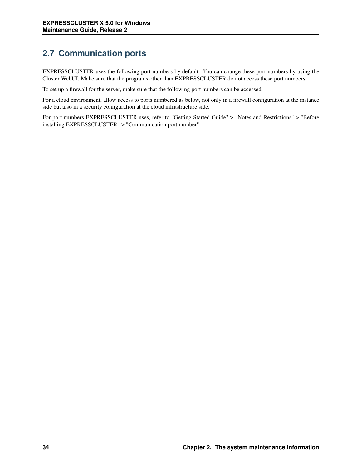# **2.7 Communication ports**

EXPRESSCLUSTER uses the following port numbers by default. You can change these port numbers by using the Cluster WebUI. Make sure that the programs other than EXPRESSCLUSTER do not access these port numbers.

To set up a firewall for the server, make sure that the following port numbers can be accessed.

For a cloud environment, allow access to ports numbered as below, not only in a firewall configuration at the instance side but also in a security configuration at the cloud infrastructure side.

For port numbers EXPRESSCLUSTER uses, refer to "Getting Started Guide" > "Notes and Restrictions" > "Before installing EXPRESSCLUSTER" > "Communication port number".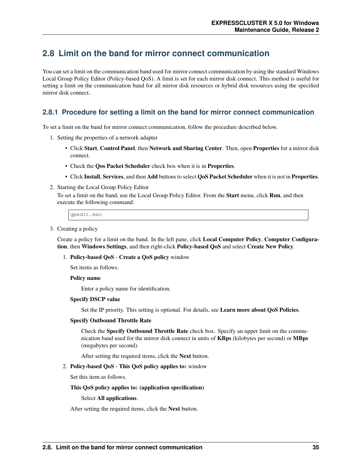## **2.8 Limit on the band for mirror connect communication**

You can set a limit on the communication band used for mirror connect communication by using the standard Windows Local Group Policy Editor (Policy-based QoS). A limit is set for each mirror disk connect. This method is useful for setting a limit on the communication band for all mirror disk resources or hybrid disk resources using the specified mirror disk connect.

## **2.8.1 Procedure for setting a limit on the band for mirror connect communication**

To set a limit on the band for mirror connect communication, follow the procedure described below.

- 1. Setting the properties of a network adapter
	- Click Start, Control Panel, then Network and Sharing Center. Then, open Properties for a mirror disk connect.
	- Check the Qos Packet Scheduler check box when it is in Properties.
	- Click Install, Services, and then Add buttons to select QoS Packet Scheduler when it is not in Properties.
- 2. Starting the Local Group Policy Editor

To set a limit on the band, use the Local Group Policy Editor. From the **Start** menu, click **Run**, and then execute the following command:

gpedit.msc

3. Creating a policy

Create a policy for a limit on the band. In the left pane, click Local Computer Policy, Computer Configuration, then Windows Settings, and then right-click Policy-based QoS and select Create New Policy.

#### 1. Policy-based QoS - Create a QoS policy window

Set items as follows.

Policy name

Enter a policy name for identification.

#### Specify DSCP value

Set the IP priority. This setting is optional. For details, see Learn more about QoS Policies.

#### Specify Outbound Throttle Rate

Check the Specify Outbound Throttle Rate check box. Specify an upper limit on the communication band used for the mirror disk connect in units of KBps (kilobytes per second) or MBps (megabytes per second).

After setting the required items, click the Next button.

#### 2. Policy-based QoS - This QoS policy applies to: window

Set this item as follows.

#### This QoS policy applies to: (application specification)

#### Select All applications.

After setting the required items, click the Next button.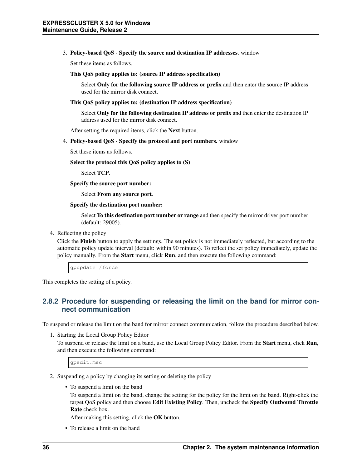#### 3. Policy-based QoS - Specify the source and destination IP addresses. window

Set these items as follows.

This QoS policy applies to: (source IP address specification)

Select Only for the following source IP address or prefix and then enter the source IP address used for the mirror disk connect.

This QoS policy applies to: (destination IP address specification)

Select Only for the following destination IP address or prefix and then enter the destination IP address used for the mirror disk connect.

After setting the required items, click the Next button.

4. Policy-based QoS - Specify the protocol and port numbers. window

Set these items as follows.

Select the protocol this QoS policy applies to (S)

Select TCP.

Specify the source port number:

Select From any source port.

Specify the destination port number:

Select **To this destination port number or range** and then specify the mirror driver port number (default: 29005).

4. Reflecting the policy

Click the Finish button to apply the settings. The set policy is not immediately reflected, but according to the automatic policy update interval (default: within 90 minutes). To reflect the set policy immediately, update the policy manually. From the **Start** menu, click **Run**, and then execute the following command:

gpupdate /force

This completes the setting of a policy.

### **2.8.2 Procedure for suspending or releasing the limit on the band for mirror connect communication**

To suspend or release the limit on the band for mirror connect communication, follow the procedure described below.

1. Starting the Local Group Policy Editor

To suspend or release the limit on a band, use the Local Group Policy Editor. From the Start menu, click Run, and then execute the following command:

gpedit.msc

- 2. Suspending a policy by changing its setting or deleting the policy
	- To suspend a limit on the band

To suspend a limit on the band, change the setting for the policy for the limit on the band. Right-click the target QoS policy and then choose Edit Existing Policy. Then, uncheck the Specify Outbound Throttle Rate check box.

After making this setting, click the OK button.

• To release a limit on the band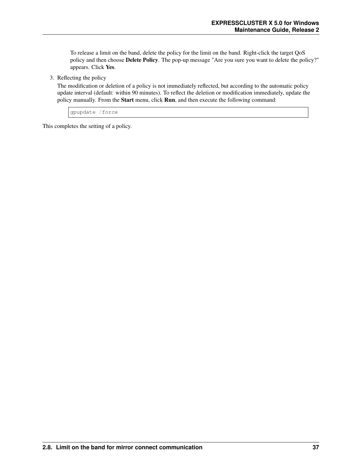To release a limit on the band, delete the policy for the limit on the band. Right-click the target QoS policy and then choose Delete Policy. The pop-up message "Are you sure you want to delete the policy?" appears. Click Yes.

3. Reflecting the policy

The modification or deletion of a policy is not immediately reflected, but according to the automatic policy update interval (default: within 90 minutes). To reflect the deletion or modification immediately, update the policy manually. From the Start menu, click Run, and then execute the following command:

gpupdate /force

This completes the setting of a policy.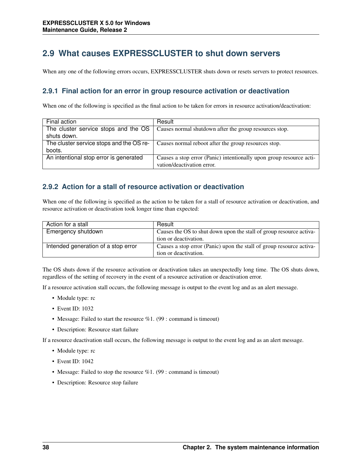## **2.9 What causes EXPRESSCLUSTER to shut down servers**

When any one of the following errors occurs, EXPRESSCLUSTER shuts down or resets servers to protect resources.

### **2.9.1 Final action for an error in group resource activation or deactivation**

When one of the following is specified as the final action to be taken for errors in resource activation/deactivation:

| Final action                             | Result                                                                                             |
|------------------------------------------|----------------------------------------------------------------------------------------------------|
|                                          | The cluster service stops and the $OS \mid$ Causes normal shutdown after the group resources stop. |
| shuts down.                              |                                                                                                    |
| The cluster service stops and the OS re- | Causes normal reboot after the group resources stop.                                               |
| boots.                                   |                                                                                                    |
| An intentional stop error is generated   | Causes a stop error (Panic) intentionally upon group resource acti-                                |
|                                          | vation/deactivation error.                                                                         |

### **2.9.2 Action for a stall of resource activation or deactivation**

When one of the following is specified as the action to be taken for a stall of resource activation or deactivation, and resource activation or deactivation took longer time than expected:

| Action for a stall                  | Result                                                               |
|-------------------------------------|----------------------------------------------------------------------|
| Emergency shutdown                  | Causes the OS to shut down upon the stall of group resource activa-  |
|                                     | tion or deactivation.                                                |
| Intended generation of a stop error | Causes a stop error (Panic) upon the stall of group resource activa- |
|                                     | tion or deactivation.                                                |

The OS shuts down if the resource activation or deactivation takes an unexpectedly long time. The OS shuts down, regardless of the setting of recovery in the event of a resource activation or deactivation error.

If a resource activation stall occurs, the following message is output to the event log and as an alert message.

- Module type: rc
- Event ID: 1032
- Message: Failed to start the resource  $\%1$ . (99 : command is timeout)
- Description: Resource start failure

If a resource deactivation stall occurs, the following message is output to the event log and as an alert message.

- Module type: rc
- Event ID: 1042
- Message: Failed to stop the resource  $\%1$ . (99 : command is timeout)
- Description: Resource stop failure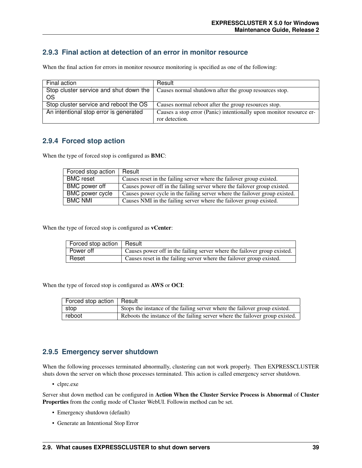### **2.9.3 Final action at detection of an error in monitor resource**

When the final action for errors in monitor resource monitoring is specified as one of the following:

| Final action                           | Result                                                              |
|----------------------------------------|---------------------------------------------------------------------|
| Stop cluster service and shut down the | Causes normal shutdown after the group resources stop.              |
| OS                                     |                                                                     |
| Stop cluster service and reboot the OS | Causes normal reboot after the group resources stop.                |
| An intentional stop error is generated | Causes a stop error (Panic) intentionally upon monitor resource er- |
|                                        | ror detection.                                                      |

### **2.9.4 Forced stop action**

When the type of forced stop is configured as BMC:

| Forced stop action     | Result                                                                     |
|------------------------|----------------------------------------------------------------------------|
| <b>BMC</b> reset       | Causes reset in the failing server where the failover group existed.       |
| BMC power off          | Causes power off in the failing server where the failover group existed.   |
| <b>BMC</b> power cycle | Causes power cycle in the failing server where the failover group existed. |
| <b>BMC NMI</b>         | Causes NMI in the failing server where the failover group existed.         |

When the type of forced stop is configured as **vCenter**:

| Forced stop action   Result |                                                                          |
|-----------------------------|--------------------------------------------------------------------------|
| Power off                   | Causes power off in the failing server where the failover group existed. |
| Reset                       | Causes reset in the failing server where the failover group existed.     |

When the type of forced stop is configured as AWS or OCI:

| Forced stop action   Result |                                                                              |
|-----------------------------|------------------------------------------------------------------------------|
| stop                        | Stops the instance of the failing server where the failover group existed.   |
| reboot                      | Reboots the instance of the failing server where the failover group existed. |

### **2.9.5 Emergency server shutdown**

When the following processes terminated abnormally, clustering can not work properly. Then EXPRESSCLUSTER shuts down the server on which those processes terminated. This action is called emergency server shutdown.

• clprc.exe

Server shut down method can be configured in Action When the Cluster Service Process is Abnormal of Cluster Properties from the config mode of Cluster WebUI. Followin method can be set.

- Emergency shutdown (default)
- Generate an Intentional Stop Error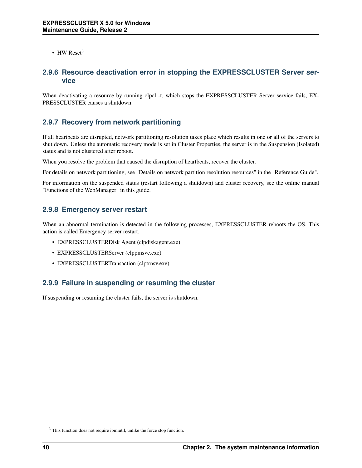• HW Reset<sup>[3](#page-43-0)</sup>

### **2.9.6 Resource deactivation error in stopping the EXPRESSCLUSTER Server service**

When deactivating a resource by running clpcl -t, which stops the EXPRESSCLUSTER Server service fails, EX-PRESSCLUSTER causes a shutdown.

### **2.9.7 Recovery from network partitioning**

If all heartbeats are disrupted, network partitioning resolution takes place which results in one or all of the servers to shut down. Unless the automatic recovery mode is set in Cluster Properties, the server is in the Suspension (Isolated) status and is not clustered after reboot.

When you resolve the problem that caused the disruption of heartbeats, recover the cluster.

For details on network partitioning, see "Details on network partition resolution resources" in the "Reference Guide".

For information on the suspended status (restart following a shutdown) and cluster recovery, see the online manual "Functions of the WebManager" in this guide.

### **2.9.8 Emergency server restart**

When an abnormal termination is detected in the following processes, EXPRESSCLUSTER reboots the OS. This action is called Emergency server restart.

- EXPRESSCLUSTERDisk Agent (clpdiskagent.exe)
- EXPRESSCLUSTERServer (clppmsvc.exe)
- EXPRESSCLUSTERTransaction (clptrnsv.exe)

### **2.9.9 Failure in suspending or resuming the cluster**

If suspending or resuming the cluster fails, the server is shutdown.

<span id="page-43-0"></span><sup>&</sup>lt;sup>3</sup> This function does not require ipmiutil, unlike the force stop function.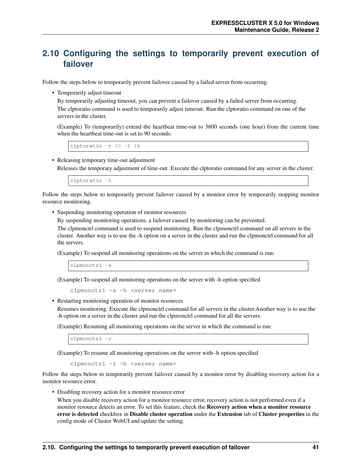## **2.10 Configuring the settings to temporarily prevent execution of failover**

Follow the steps below to temporarily prevent failover caused by a failed server from occurring.

• Temporarily adjust timeout

By temporarily adjusting timeout, you can prevent a failover caused by a failed server from occurring. The clptoratio command is used to temporarily adjust timeout. Run the clptoratio command on one of the servers in the cluster.

(Example) To (temporarily) extend the heartbeat time-out to 3600 seconds (one hour) from the current time when the heartbeat time-out is set to 90 seconds:

clptoratio -r 40 -t 1h

• Releasing temporary time-out adjustment

Releases the temporary adjustment of time-out. Execute the clptoratio command for any server in the cluster.

clptoratio -i

Follow the steps below to temporarily prevent failover caused by a monitor error by temporarily stopping monitor resource monitoring.

• Suspending monitoring operation of monitor resources

By suspending monitoring operations, a failover caused by monitoring can be prevented.

The clpmonctrl command is used to suspend monitoring. Run the clpmonctrl command on all servers in the cluster. Another way is to use the -h option on a server in the cluster and run the clpmonctrl command for all the servers.

(Example) To suspend all monitoring operations on the server in which the command is run:

clpmonctrl -s

(Example) To suspend all monitoring operations on the server with -h option specified

clpmonctrl -s -h <server name>

• Restarting monitoring operation of monitor resources

Resumes monitoring. Execute the clpmonctrl command for all servers in the cluster.Another way is to use the -h option on a server in the cluster and run the clpmonctrl command for all the servers.

(Example) Resuming all monitoring operations on the server in which the command is run:

clpmonctrl -r

(Example) To resume all monitoring operations on the server with -h option specified

clpmonctrl -r -h <server name>

Follow the steps below to temporarily prevent failover caused by a monitor error by disabling recovery action for a monitor resource error.

• Disabling recovery action for a monitor resource error

When you disable recovery action for a monitor resource error, recovery action is not performed even if a monitor resource detects an error. To set this feature, check the **Recovery action when a monitor resource** error is detected checkbox in Disable cluster operation under the Extension tab of Cluster properties in the config mode of Cluster WebUI and update the setting.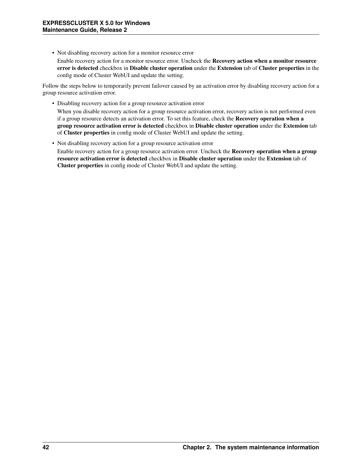• Not disabling recovery action for a monitor resource error Enable recovery action for a monitor resource error. Uncheck the Recovery action when a monitor resource

error is detected checkbox in Disable cluster operation under the Extension tab of Cluster properties in the config mode of Cluster WebUI and update the setting.

Follow the steps below to temporarily prevent failover caused by an activation error by disabling recovery action for a group resource activation error.

• Disabling recovery action for a group resource activation error

When you disable recovery action for a group resource activation error, recovery action is not performed even if a group resource detects an activation error. To set this feature, check the Recovery operation when a group resource activation error is detected checkbox in Disable cluster operation under the Extension tab of Cluster properties in config mode of Cluster WebUI and update the setting.

• Not disabling recovery action for a group resource activation error Enable recovery action for a group resource activation error. Uncheck the Recovery operation when a group resource activation error is detected checkbox in Disable cluster operation under the Extension tab of Cluster properties in config mode of Cluster WebUI and update the setting.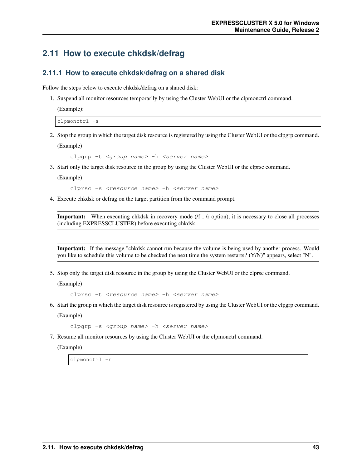## **2.11 How to execute chkdsk/defrag**

### **2.11.1 How to execute chkdsk/defrag on a shared disk**

Follow the steps below to execute chkdsk/defrag on a shared disk:

1. Suspend all monitor resources temporarily by using the Cluster WebUI or the clpmonctrl command.

```
(Example):
```
clpmonctrl -s

2. Stop the group in which the target disk resource is registered by using the Cluster WebUI or the clpgrp command. (Example)

clpgrp -t <group name> -h <server name>

3. Start only the target disk resource in the group by using the Cluster WebUI or the clprsc command.

(Example)

clprsc -s <resource name> -h <server name>

4. Execute chkdsk or defrag on the target partition from the command prompt.

Important: When executing chkdsk in recovery mode (/f , /r option), it is necessary to close all processes (including EXPRESSCLUSTER) before executing chkdsk.

Important: If the message "chkdsk cannot run because the volume is being used by another process. Would you like to schedule this volume to be checked the next time the system restarts? (Y/N)" appears, select "N".

5. Stop only the target disk resource in the group by using the Cluster WebUI or the clprsc command.

(Example)

clprsc -t <resource name> -h <server name>

6. Start the group in which the target disk resource is registered by using the Cluster WebUI or the clpgrp command.

(Example)

clpgrp -s <group name> -h <server name>

7. Resume all monitor resources by using the Cluster WebUI or the clpmonctrl command.

(Example)

clpmonctrl -r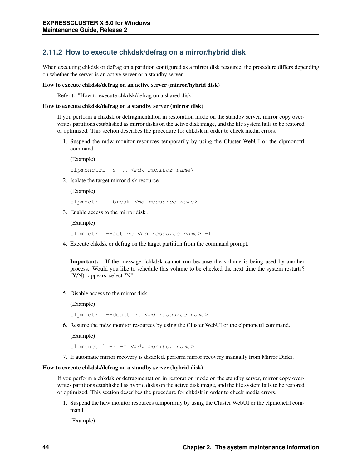### **2.11.2 How to execute chkdsk/defrag on a mirror/hybrid disk**

When executing chkdsk or defrag on a partition configured as a mirror disk resource, the procedure differs depending on whether the server is an active server or a standby server.

#### How to execute chkdsk/defrag on an active server (mirror/hybrid disk)

Refer to "How to execute chkdsk/defrag on a shared disk"

#### How to execute chkdsk/defrag on a standby server (mirror disk)

If you perform a chkdsk or defragmentation in restoration mode on the standby server, mirror copy overwrites partitions established as mirror disks on the active disk image, and the file system fails to be restored or optimized. This section describes the procedure for chkdsk in order to check media errors.

1. Suspend the mdw monitor resources temporarily by using the Cluster WebUI or the clpmonctrl command.

```
(Example)
clpmonctrl -s -m <mdw monitor name>
```
- 
- 2. Isolate the target mirror disk resource.

(Example)

clpmdctrl --break <md resource name>

3. Enable access to the mirror disk .

(Example)

```
clpmdctrl --active <md resource name> -f
```
4. Execute chkdsk or defrag on the target partition from the command prompt.

Important: If the message "chkdsk cannot run because the volume is being used by another process. Would you like to schedule this volume to be checked the next time the system restarts? (Y/N)" appears, select "N".

5. Disable access to the mirror disk.

(Example)

```
clpmdctrl --deactive <md resource name>
```
6. Resume the mdw monitor resources by using the Cluster WebUI or the clpmonctrl command.

(Example)

clpmonctrl -r -m <mdw monitor name>

7. If automatic mirror recovery is disabled, perform mirror recovery manually from Mirror Disks.

#### How to execute chkdsk/defrag on a standby server (hybrid disk)

If you perform a chkdsk or defragmentation in restoration mode on the standby server, mirror copy overwrites partitions established as hybrid disks on the active disk image, and the file system fails to be restored or optimized. This section describes the procedure for chkdsk in order to check media errors.

1. Suspend the hdw monitor resources temporarily by using the Cluster WebUI or the clpmonctrl command.

(Example)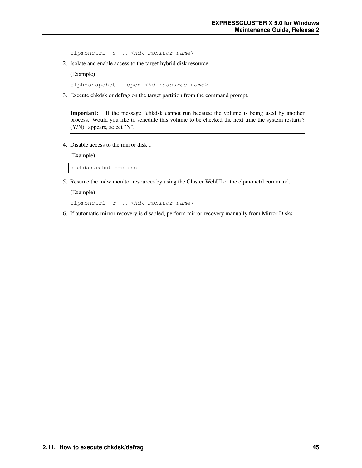clpmonctrl -s -m <hdw monitor name>

2. Isolate and enable access to the target hybrid disk resource.

(Example)

clphdsnapshot --open <hd resource name>

3. Execute chkdsk or defrag on the target partition from the command prompt.

Important: If the message "chkdsk cannot run because the volume is being used by another process. Would you like to schedule this volume to be checked the next time the system restarts? (Y/N)" appears, select "N".

4. Disable access to the mirror disk ..

(Example)

clphdsnapshot --close

5. Resume the mdw monitor resources by using the Cluster WebUI or the clpmonctrl command.

(Example)

clpmonctrl -r -m <hdw monitor name>

6. If automatic mirror recovery is disabled, perform mirror recovery manually from Mirror Disks.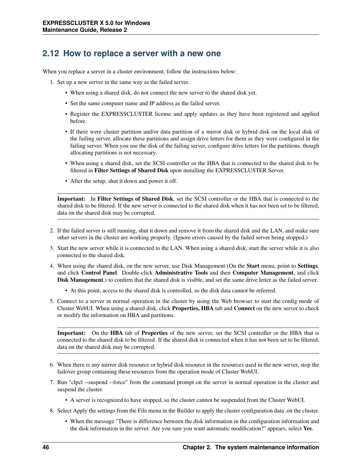## **2.12 How to replace a server with a new one**

When you replace a server in a cluster environment, follow the instructions below:

- 1. Set up a new server in the same way as the failed server.
	- When using a shared disk, do not connect the new server to the shared disk yet.
	- Set the same computer name and IP address as the failed server.
	- Register the EXPRESSCLUSTER license and apply updates as they have been registered and applied before.
	- If there were cluster partition and/or data partition of a mirror disk or hybrid disk on the local disk of the failing server, allocate these partitions and assign drive letters for them as they were configured in the failing server. When you use the disk of the failing server, configure drive letters for the partitions, though allocating partitions is not necessary.
	- When using a shared disk, set the SCSI controller or the HBA that is connected to the shared disk to be filtered in Filter Settings of Shared Disk upon installing the EXPRESSCLUSTER Server.
	- After the setup, shut it down and power it off.

Important: In Filter Settings of Shared Disk, set the SCSI controller or the HBA that is connected to the shared disk to be filtered. If the new server is connected to the shared disk when it has not been set to be filtered, data on the shared disk may be corrupted.

- 2. If the failed server is still running, shut it down and remove it from the shared disk and the LAN, and make sure other servers in the cluster are working properly. (Ignore errors caused by the failed server being stopped.)
- 3. Start the new server while it is connected to the LAN. When using a shared disk, start the server while it is also connected to the shared disk.
- 4. When using the shared disk, on the new server, use Disk Management (On the Start menu, point to Settings, and click Control Panel. Double-click Administrative Tools and then Computer Management, and click Disk Management.) to confirm that the shared disk is visible, and set the same drive letter as the failed server.
	- At this point, access to the shared disk is controlled, so the disk data cannot be referred.
- 5. Connect to a server in normal operation in the cluster by using the Web browser to start the config mode of Cluster WebUI. When using a shared disk, click Properties, HBA tab and Connect on the new server to check or modify the information on HBA and partitions.

Important: On the HBA tab of Properties of the new server, set the SCSI controller or the HBA that is connected to the shared disk to be filtered. If the shared disk is connected when it has not been set to be filtered, data on the shared disk may be corrupted.

- 6. When there is any mirror disk resource or hybrid disk resource in the resources used in the new server, stop the failover group containing these resources from the operation mode of Cluster WebUI.
- 7. Run "clpcl --suspend --force" from the command prompt on the server in normal operation in the cluster and suspend the cluster.
	- A server is recognized to have stopped, so the cluster cannot be suspended from the Cluster WebUI.
- 8. Select Apply the settings from the File menu in the Builder to apply the cluster configuration data .on the cluster.
	- When the message "There is difference between the disk information in the configuration information and the disk information in the server. Are you sure you want automatic modification?" appears, select Yes.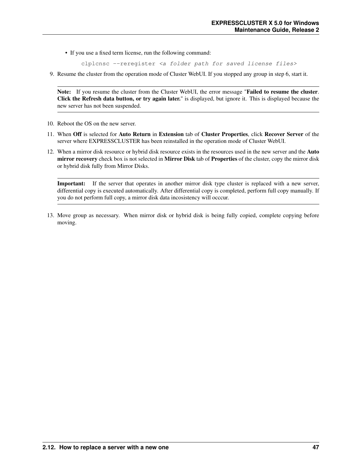• If you use a fixed term license, run the following command:

clplcnsc --reregister <a folder path for saved license files>

9. Resume the cluster from the operation mode of Cluster WebUI. If you stopped any group in step 6, start it.

Note: If you resume the cluster from the Cluster WebUI, the error message "Failed to resume the cluster. Click the Refresh data button, or try again later." is displayed, but ignore it. This is displayed because the new server has not been suspended.

- 10. Reboot the OS on the new server.
- 11. When Off is selected for Auto Return in Extension tab of Cluster Properties, click Recover Server of the server where EXPRESSCLUSTER has been reinstalled in the operation mode of Cluster WebUI.
- 12. When a mirror disk resource or hybrid disk resource exists in the resources used in the new server and the Auto mirror recovery check box is not selected in Mirror Disk tab of Properties of the cluster, copy the mirror disk or hybrid disk fully from Mirror Disks.

Important: If the server that operates in another mirror disk type cluster is replaced with a new server, differential copy is executed automatically. After differential copy is completed, perform full copy manually. If you do not perform full copy, a mirror disk data incosistency will occcur.

13. Move group as necessary. When mirror disk or hybrid disk is being fully copied, complete copying before moving.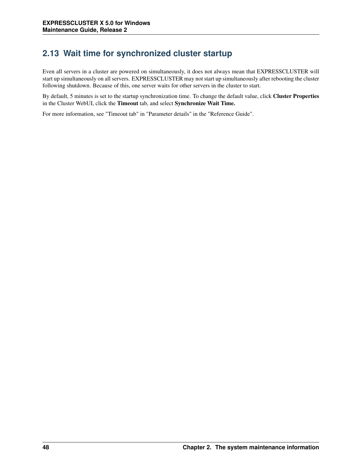# **2.13 Wait time for synchronized cluster startup**

Even all servers in a cluster are powered on simultaneously, it does not always mean that EXPRESSCLUSTER will start up simultaneously on all servers. EXPRESSCLUSTER may not start up simultaneously after rebooting the cluster following shutdown. Because of this, one server waits for other servers in the cluster to start.

By default, 5 minutes is set to the startup synchronization time. To change the default value, click Cluster Properties in the Cluster WebUI, click the Timeout tab, and select Synchronize Wait Time.

For more information, see "Timeout tab" in "Parameter details" in the "Reference Guide".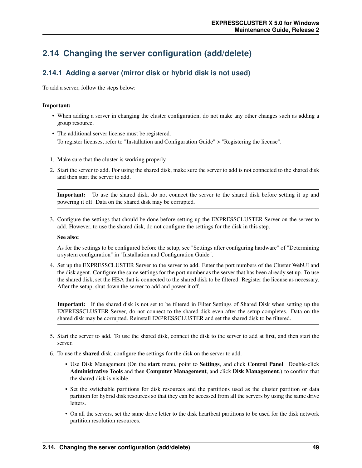## **2.14 Changing the server configuration (add/delete)**

## **2.14.1 Adding a server (mirror disk or hybrid disk is not used)**

To add a server, follow the steps below:

#### Important:

- When adding a server in changing the cluster configuration, do not make any other changes such as adding a group resource.
- The additional server license must be registered. To register licenses, refer to "Installation and Configuration Guide" > "Registering the license".
- 1. Make sure that the cluster is working properly.
- 2. Start the server to add. For using the shared disk, make sure the server to add is not connected to the shared disk and then start the server to add.

Important: To use the shared disk, do not connect the server to the shared disk before setting it up and powering it off. Data on the shared disk may be corrupted.

3. Configure the settings that should be done before setting up the EXPRESSCLUSTER Server on the server to add. However, to use the shared disk, do not configure the settings for the disk in this step.

#### See also:

As for the settings to be configured before the setup, see "Settings after configuring hardware" of "Determining a system configuration" in "Installation and Configuration Guide".

4. Set up the EXPRESSCLUSTER Server to the server to add. Enter the port numbers of the Cluster WebUI and the disk agent. Configure the same settings for the port number as the server that has been already set up. To use the shared disk, set the HBA that is connected to the shared disk to be filtered. Register the license as necessary. After the setup, shut down the server to add and power it off.

Important: If the shared disk is not set to be filtered in Filter Settings of Shared Disk when setting up the EXPRESSCLUSTER Server, do not connect to the shared disk even after the setup completes. Data on the shared disk may be corrupted. Reinstall EXPRESSCLUSTER and set the shared disk to be filtered.

- 5. Start the server to add. To use the shared disk, connect the disk to the server to add at first, and then start the server.
- 6. To use the shared disk, configure the settings for the disk on the server to add.
	- Use Disk Management (On the start menu, point to Settings, and click Control Panel. Double-click Administrative Tools and then Computer Management, and click Disk Management.) to confirm that the shared disk is visible.
	- Set the switchable partitions for disk resources and the partitions used as the cluster partition or data partition for hybrid disk resources so that they can be accessed from all the servers by using the same drive letters.
	- On all the servers, set the same drive letter to the disk heartbeat partitions to be used for the disk network partition resolution resources.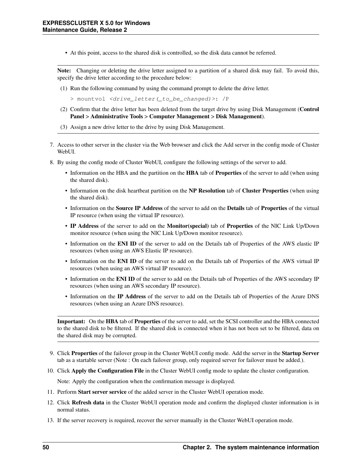• At this point, access to the shared disk is controlled, so the disk data cannot be referred.

Note: Changing or deleting the drive letter assigned to a partition of a shared disk may fail. To avoid this, specify the drive letter according to the procedure below:

- (1) Run the following command by using the command prompt to delete the drive letter.
	- > mountvol <drive\_letter(\_to\_be\_changed)>: /P
- (2) Confirm that the drive letter has been deleted from the target drive by using Disk Management (Control Panel > Administrative Tools > Computer Management > Disk Management).
- (3) Assign a new drive letter to the drive by using Disk Management.
- 7. Access to other server in the cluster via the Web browser and click the Add server in the config mode of Cluster WebUL.
- 8. By using the config mode of Cluster WebUI, configure the following settings of the server to add.
	- Information on the HBA and the partition on the **HBA** tab of **Properties** of the server to add (when using the shared disk).
	- Information on the disk heartbeat partition on the NP Resolution tab of Cluster Properties (when using the shared disk).
	- Information on the Source IP Address of the server to add on the Details tab of Properties of the virtual IP resource (when using the virtual IP resource).
	- IP Address of the server to add on the Monitor(special) tab of Properties of the NIC Link Up/Down monitor resource (when using the NIC Link Up/Down monitor resource).
	- Information on the ENI ID of the server to add on the Details tab of Properties of the AWS elastic IP resources (when using an AWS Elastic IP resource).
	- Information on the ENI ID of the server to add on the Details tab of Properties of the AWS virtual IP resources (when using an AWS virtual IP resource).
	- Information on the ENI ID of the server to add on the Details tab of Properties of the AWS secondary IP resources (when using an AWS secondary IP resource).
	- Information on the IP Address of the server to add on the Details tab of Properties of the Azure DNS resources (when using an Azure DNS resource).

Important: On the HBA tab of Properties of the server to add, set the SCSI controller and the HBA connected to the shared disk to be filtered. If the shared disk is connected when it has not been set to be filtered, data on the shared disk may be corrupted.

- 9. Click Properties of the failover group in the Cluster WebUI config mode. Add the server in the Startup Server tab as a startable server (Note : On each failover group, only required server for failover must be added.).
- 10. Click Apply the Configuration File in the Cluster WebUI config mode to update the cluster configuration.

Note: Apply the configuration when the confirmation message is displayed.

- 11. Perform Start server service of the added server in the Cluster WebUI operation mode.
- 12. Click Refresh data in the Cluster WebUI operation mode and confirm the displayed cluster information is in normal status.
- 13. If the server recovery is required, recover the server manually in the Cluster WebUI operation mode.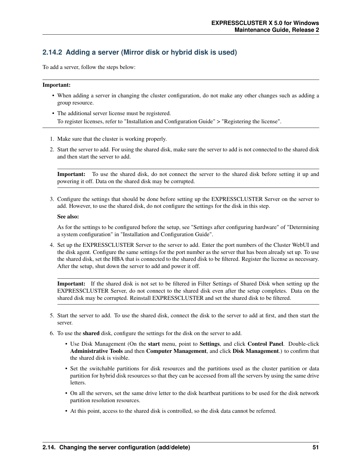## **2.14.2 Adding a server (Mirror disk or hybrid disk is used)**

To add a server, follow the steps below:

#### Important:

- When adding a server in changing the cluster configuration, do not make any other changes such as adding a group resource.
- The additional server license must be registered. To register licenses, refer to "Installation and Configuration Guide" > "Registering the license".
- 1. Make sure that the cluster is working properly.
- 2. Start the server to add. For using the shared disk, make sure the server to add is not connected to the shared disk and then start the server to add.

Important: To use the shared disk, do not connect the server to the shared disk before setting it up and powering it off. Data on the shared disk may be corrupted.

3. Configure the settings that should be done before setting up the EXPRESSCLUSTER Server on the server to add. However, to use the shared disk, do not configure the settings for the disk in this step.

#### See also:

As for the settings to be configured before the setup, see "Settings after configuring hardware" of "Determining a system configuration" in "Installation and Configuration Guide".

4. Set up the EXPRESSCLUSTER Server to the server to add. Enter the port numbers of the Cluster WebUI and the disk agent. Configure the same settings for the port number as the server that has been already set up. To use the shared disk, set the HBA that is connected to the shared disk to be filtered. Register the license as necessary. After the setup, shut down the server to add and power it off.

Important: If the shared disk is not set to be filtered in Filter Settings of Shared Disk when setting up the EXPRESSCLUSTER Server, do not connect to the shared disk even after the setup completes. Data on the shared disk may be corrupted. Reinstall EXPRESSCLUSTER and set the shared disk to be filtered.

- 5. Start the server to add. To use the shared disk, connect the disk to the server to add at first, and then start the server.
- 6. To use the shared disk, configure the settings for the disk on the server to add.
	- Use Disk Management (On the start menu, point to Settings, and click Control Panel. Double-click Administrative Tools and then Computer Management, and click Disk Management.) to confirm that the shared disk is visible.
	- Set the switchable partitions for disk resources and the partitions used as the cluster partition or data partition for hybrid disk resources so that they can be accessed from all the servers by using the same drive letters.
	- On all the servers, set the same drive letter to the disk heartbeat partitions to be used for the disk network partition resolution resources.
	- At this point, access to the shared disk is controlled, so the disk data cannot be referred.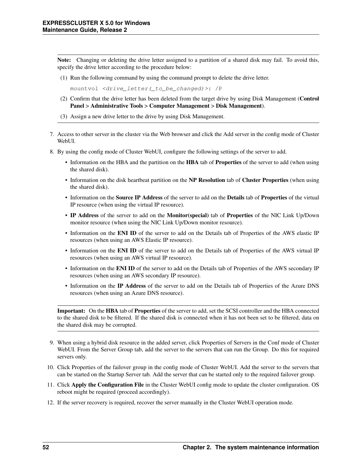Note: Changing or deleting the drive letter assigned to a partition of a shared disk may fail. To avoid this, specify the drive letter according to the procedure below:

(1) Run the following command by using the command prompt to delete the drive letter.

mountvol <drive\_letter(\_to\_be\_changed)>: /P

- (2) Confirm that the drive letter has been deleted from the target drive by using Disk Management (Control Panel > Administrative Tools > Computer Management > Disk Management).
- (3) Assign a new drive letter to the drive by using Disk Management.
- 7. Access to other server in the cluster via the Web browser and click the Add server in the config mode of Cluster WebUL.
- 8. By using the config mode of Cluster WebUI, configure the following settings of the server to add.
	- Information on the HBA and the partition on the HBA tab of Properties of the server to add (when using the shared disk).
	- Information on the disk heartbeat partition on the NP Resolution tab of Cluster Properties (when using the shared disk).
	- Information on the Source IP Address of the server to add on the Details tab of Properties of the virtual IP resource (when using the virtual IP resource).
	- IP Address of the server to add on the Monitor(special) tab of Properties of the NIC Link Up/Down monitor resource (when using the NIC Link Up/Down monitor resource).
	- Information on the ENI ID of the server to add on the Details tab of Properties of the AWS elastic IP resources (when using an AWS Elastic IP resource).
	- Information on the ENI ID of the server to add on the Details tab of Properties of the AWS virtual IP resources (when using an AWS virtual IP resource).
	- Information on the ENI ID of the server to add on the Details tab of Properties of the AWS secondary IP resources (when using an AWS secondary IP resource).
	- Information on the IP Address of the server to add on the Details tab of Properties of the Azure DNS resources (when using an Azure DNS resource).

Important: On the HBA tab of Properties of the server to add, set the SCSI controller and the HBA connected to the shared disk to be filtered. If the shared disk is connected when it has not been set to be filtered, data on the shared disk may be corrupted.

- 9. When using a hybrid disk resource in the added server, click Properties of Servers in the Conf mode of Cluster WebUI. From the Server Group tab, add the server to the servers that can run the Group. Do this for required servers only.
- 10. Click Properties of the failover group in the config mode of Cluster WebUI. Add the server to the servers that can be started on the Startup Server tab. Add the server that can be started only to the required failover group.
- 11. Click Apply the Configuration File in the Cluster WebUI config mode to update the cluster configuration. OS reboot might be required (proceed accordingly).
- 12. If the server recovery is required, recover the server manually in the Cluster WebUI operation mode.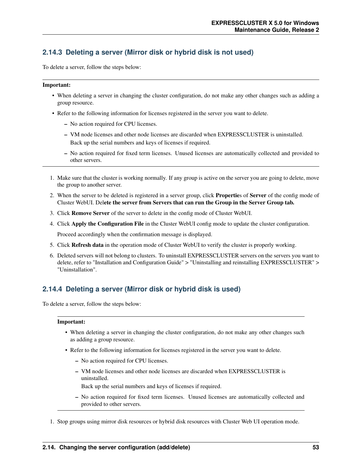## **2.14.3 Deleting a server (Mirror disk or hybrid disk is not used)**

To delete a server, follow the steps below:

#### Important:

- When deleting a server in changing the cluster configuration, do not make any other changes such as adding a group resource.
- Refer to the following information for licenses registered in the server you want to delete.
	- No action required for CPU licenses.
	- VM node licenses and other node licenses are discarded when EXPRESSCLUSTER is uninstalled. Back up the serial numbers and keys of licenses if required.
	- No action required for fixed term licenses. Unused licenses are automatically collected and provided to other servers.
- 1. Make sure that the cluster is working normally. If any group is active on the server you are going to delete, move the group to another server.
- 2. When the server to be deleted is registered in a server group, click Properties of Server of the config mode of Cluster WebUI. Delete the server from Servers that can run the Group in the Server Group tab.
- 3. Click Remove Server of the server to delete in the config mode of Cluster WebUI.
- 4. Click Apply the Configuration File in the Cluster WebUI config mode to update the cluster configuration.

Proceed accordingly when the confirmation message is displayed.

- 5. Click Refresh data in the operation mode of Cluster WebUI to verify the cluster is properly working.
- 6. Deleted servers will not belong to clusters. To uninstall EXPRESSCLUSTER servers on the servers you want to delete, refer to "Installation and Configuration Guide" > "Uninstalling and reinstalling EXPRESSCLUSTER" > "Uninstallation".

## **2.14.4 Deleting a server (Mirror disk or hybrid disk is used)**

To delete a server, follow the steps below:

#### Important:

- When deleting a server in changing the cluster configuration, do not make any other changes such as adding a group resource.
- Refer to the following information for licenses registered in the server you want to delete.
	- No action required for CPU licenses.
	- VM node licenses and other node licenses are discarded when EXPRESSCLUSTER is uninstalled.

Back up the serial numbers and keys of licenses if required.

- No action required for fixed term licenses. Unused licenses are automatically collected and provided to other servers.
- 1. Stop groups using mirror disk resources or hybrid disk resources with Cluster Web UI operation mode.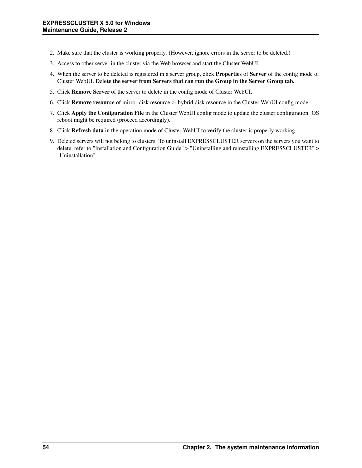- 2. Make sure that the cluster is working properly. (However, ignore errors in the server to be deleted.)
- 3. Access to other server in the cluster via the Web browser and start the Cluster WebUI.
- 4. When the server to be deleted is registered in a server group, click Properties of Server of the config mode of Cluster WebUI. Delete the server from Servers that can run the Group in the Server Group tab.
- 5. Click Remove Server of the server to delete in the config mode of Cluster WebUI.
- 6. Click Remove resource of mirror disk resource or hybrid disk resource in the Cluster WebUI config mode.
- 7. Click Apply the Configuration File in the Cluster WebUI config mode to update the cluster configuration. OS reboot might be required (proceed accordingly).
- 8. Click Refresh data in the operation mode of Cluster WebUI to verify the cluster is properly working.
- 9. Deleted servers will not belong to clusters. To uninstall EXPRESSCLUSTER servers on the servers you want to delete, refer to "Installation and Configuration Guide" > "Uninstalling and reinstalling EXPRESSCLUSTER" > "Uninstallation".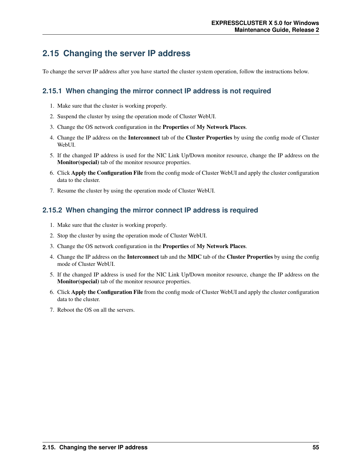## **2.15 Changing the server IP address**

To change the server IP address after you have started the cluster system operation, follow the instructions below.

### **2.15.1 When changing the mirror connect IP address is not required**

- 1. Make sure that the cluster is working properly.
- 2. Suspend the cluster by using the operation mode of Cluster WebUI.
- 3. Change the OS network configuration in the Properties of My Network Places.
- 4. Change the IP address on the Interconnect tab of the Cluster Properties by using the config mode of Cluster WebUI.
- 5. If the changed IP address is used for the NIC Link Up/Down monitor resource, change the IP address on the Monitor(special) tab of the monitor resource properties.
- 6. Click Apply the Configuration File from the config mode of Cluster WebUI and apply the cluster configuration data to the cluster.
- 7. Resume the cluster by using the operation mode of Cluster WebUI.

### **2.15.2 When changing the mirror connect IP address is required**

- 1. Make sure that the cluster is working properly.
- 2. Stop the cluster by using the operation mode of Cluster WebUI.
- 3. Change the OS network configuration in the Properties of My Network Places.
- 4. Change the IP address on the Interconnect tab and the MDC tab of the Cluster Properties by using the config mode of Cluster WebUI.
- 5. If the changed IP address is used for the NIC Link Up/Down monitor resource, change the IP address on the Monitor(special) tab of the monitor resource properties.
- 6. Click Apply the Configuration File from the config mode of Cluster WebUI and apply the cluster configuration data to the cluster.
- 7. Reboot the OS on all the servers.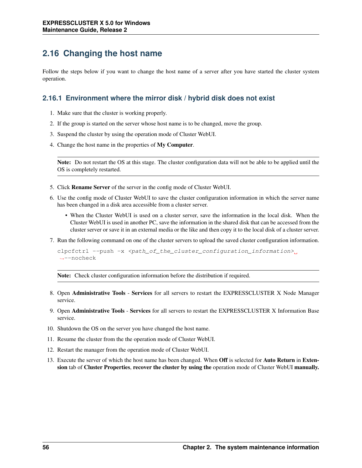# **2.16 Changing the host name**

Follow the steps below if you want to change the host name of a server after you have started the cluster system operation.

### **2.16.1 Environment where the mirror disk / hybrid disk does not exist**

- 1. Make sure that the cluster is working properly.
- 2. If the group is started on the server whose host name is to be changed, move the group.
- 3. Suspend the cluster by using the operation mode of Cluster WebUI.
- 4. Change the host name in the properties of My Computer.

Note: Do not restart the OS at this stage. The cluster configuration data will not be able to be applied until the OS is completely restarted.

- 5. Click Rename Server of the server in the config mode of Cluster WebUI.
- 6. Use the config mode of Cluster WebUI to save the cluster configuration information in which the server name has been changed in a disk area accessible from a cluster server.
	- When the Cluster WebUI is used on a cluster server, save the information in the local disk. When the Cluster WebUI is used in another PC, save the information in the shared disk that can be accessed from the cluster server or save it in an external media or the like and then copy it to the local disk of a cluster server.
- 7. Run the following command on one of the cluster servers to upload the saved cluster configuration information.

```
clpotctrl --push -x <path_of_the_cluster_configuration_information>.
˓→--nocheck
```
Note: Check cluster configuration information before the distribution if required.

- 8. Open Administrative Tools Services for all servers to restart the EXPRESSCLUSTER X Node Manager service.
- 9. Open Administrative Tools Services for all servers to restart the EXPRESSCLUSTER X Information Base service.
- 10. Shutdown the OS on the server you have changed the host name.
- 11. Resume the cluster from the the operation mode of Cluster WebUI.
- 12. Restart the manager from the operation mode of Cluster WebUI.
- 13. Execute the server of which the host name has been changed. When **Off** is selected for **Auto Return** in **Exten**sion tab of Cluster Properties, recover the cluster by using the operation mode of Cluster WebUI manually.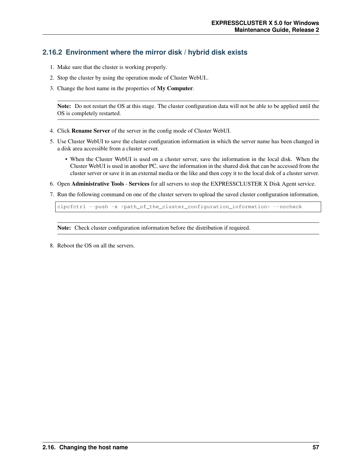## **2.16.2 Environment where the mirror disk / hybrid disk exists**

- 1. Make sure that the cluster is working properly.
- 2. Stop the cluster by using the operation mode of Cluster WebUI..
- 3. Change the host name in the properties of My Computer.

Note: Do not restart the OS at this stage. The cluster configuration data will not be able to be applied until the OS is completely restarted.

- 4. Click Rename Server of the server in the config mode of Cluster WebUI.
- 5. Use Cluster WebUI to save the cluster configuration information in which the server name has been changed in a disk area accessible from a cluster server.
	- When the Cluster WebUI is used on a cluster server, save the information in the local disk. When the Cluster WebUI is used in another PC, save the information in the shared disk that can be accessed from the cluster server or save it in an external media or the like and then copy it to the local disk of a cluster server.
- 6. Open Administrative Tools Services for all servers to stop the EXPRESSCLUSTER X Disk Agent service.
- 7. Run the following command on one of the cluster servers to upload the saved cluster configuration information.

clpcfctrl --push -x <path\_of\_the\_cluster\_configuration\_information> --nocheck

Note: Check cluster configuration information before the distribution if required.

8. Reboot the OS on all the servers.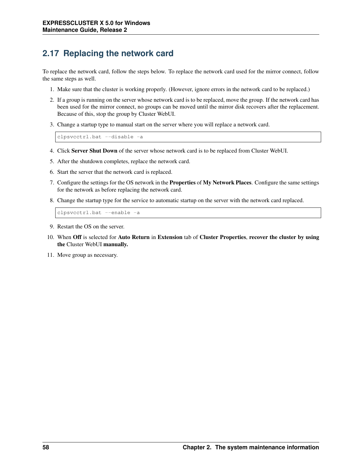# **2.17 Replacing the network card**

To replace the network card, follow the steps below. To replace the network card used for the mirror connect, follow the same steps as well.

- 1. Make sure that the cluster is working properly. (However, ignore errors in the network card to be replaced.)
- 2. If a group is running on the server whose network card is to be replaced, move the group. If the network card has been used for the mirror connect, no groups can be moved until the mirror disk recovers after the replacement. Because of this, stop the group by Cluster WebUI.
- 3. Change a startup type to manual start on the server where you will replace a network card.

clpsvcctrl.bat --disable -a

- 4. Click Server Shut Down of the server whose network card is to be replaced from Cluster WebUI.
- 5. After the shutdown completes, replace the network card.
- 6. Start the server that the network card is replaced.
- 7. Configure the settings for the OS network in the Properties of My Network Places. Configure the same settings for the network as before replacing the network card.
- 8. Change the startup type for the service to automatic startup on the server with the network card replaced.

clpsvcctrl.bat --enable -a

- 9. Restart the OS on the server.
- 10. When Off is selected for Auto Return in Extension tab of Cluster Properties, recover the cluster by using the Cluster WebUI manually.
- 11. Move group as necessary.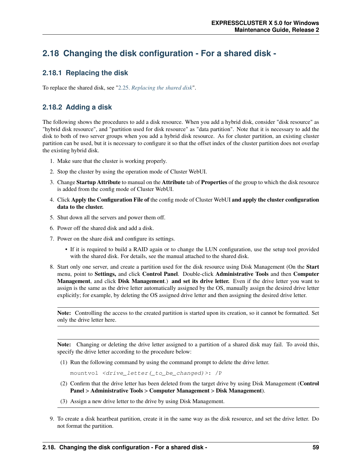# **2.18 Changing the disk configuration - For a shared disk -**

### **2.18.1 Replacing the disk**

To replace the shared disk, see ["2.25.](#page-85-0) *[Replacing the shared disk](#page-85-0)*".

## **2.18.2 Adding a disk**

The following shows the procedures to add a disk resource. When you add a hybrid disk, consider "disk resource" as "hybrid disk resource", and "partition used for disk resource" as "data partition". Note that it is necessary to add the disk to both of two server groups when you add a hybrid disk resource. As for cluster partition, an existing cluster partition can be used, but it is necessary to configure it so that the offset index of the cluster partition does not overlap the existing hybrid disk.

- 1. Make sure that the cluster is working properly.
- 2. Stop the cluster by using the operation mode of Cluster WebUI.
- 3. Change Startup Attribute to manual on the Attribute tab of Properties of the group to which the disk resource is added from the config mode of Cluster WebUI.
- 4. Click Apply the Configuration File of the config mode of Cluster WebUI and apply the cluster configuration data to the cluster.
- 5. Shut down all the servers and power them off.
- 6. Power off the shared disk and add a disk.
- 7. Power on the share disk and configure its settings.
	- If it is required to build a RAID again or to change the LUN configuration, use the setup tool provided with the shared disk. For details, see the manual attached to the shared disk.
- 8. Start only one server, and create a partition used for the disk resource using Disk Management (On the Start menu, point to Settings, and click Control Panel. Double-click Administrative Tools and then Computer Management, and click Disk Management.) and set its drive letter. Even if the drive letter you want to assign is the same as the drive letter automatically assigned by the OS, manually assign the desired drive letter explicitly; for example, by deleting the OS assigned drive letter and then assigning the desired drive letter.

Note: Controlling the access to the created partition is started upon its creation, so it cannot be formatted. Set only the drive letter here.

Note: Changing or deleting the drive letter assigned to a partition of a shared disk may fail. To avoid this, specify the drive letter according to the procedure below:

(1) Run the following command by using the command prompt to delete the drive letter.

mountvol <drive\_letter(\_to\_be\_changed)>: /P

- (2) Confirm that the drive letter has been deleted from the target drive by using Disk Management (Control Panel > Administrative Tools > Computer Management > Disk Management).
- (3) Assign a new drive letter to the drive by using Disk Management.
- 9. To create a disk heartbeat partition, create it in the same way as the disk resource, and set the drive letter. Do not format the partition.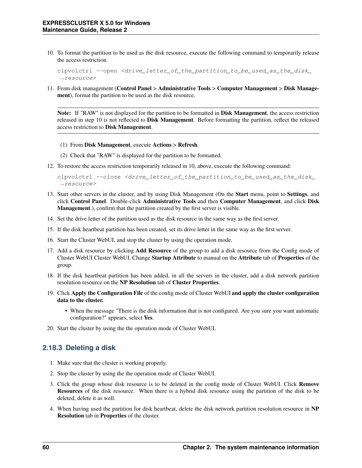10. To format the partition to be used as the disk resource, execute the following command to temporarily release the access restriction.

```
clpvolctrl --open <drive_letter_of_the_partition_to_be_used_as_the_disk_
˓→resource>
```
11. From disk management (Control Panel > Administrative Tools > Computer Management > Disk Management), format the partition to be used as the disk resource.

Note: If "RAW" is not displayed for the partition to be formatted in Disk Management, the access restriction released in step 10 is not reflected to Disk Management. Before formatting the partition, reflect the released access restriction to Disk Management.

(1) From Disk Management, execute Actions > Refresh.

(2) Check that "RAW" is displayed for the partition to be formatted.

12. To restore the access restriction temporarily released in 10, above, execute the following command:

```
clpvolctrl --close <drive_letter_of_the_partition_to_be_used_as_the_disk_
˓→resource>
```
- 13. Start other servers in the cluster, and by using Disk Management (On the Start menu, point to Settings, and click Control Panel. Double-click Administrative Tools and then Computer Management, and click Disk Management.), confirm that the partition created by the first server is visible.
- 14. Set the drive letter of the partition used as the disk resource in the same way as the first server.
- 15. If the disk heartbeat partition has been created, set its drive letter in the same way as the first server.
- 16. Start the Cluster WebUI, and stop the cluster by using the operation mode.
- 17. Add a disk resource by clicking Add Resource of the group to add a disk resource from the Config mode of Cluster WebUI Cluster WebUI. Change Startup Attribute to manual on the Attribute tab of Properties of the group.
- 18. If the disk heartbeat partition has been added, in all the servers in the cluster, add a disk network partition resolution resource on the NP Resolution tab of Cluster Properties.
- 19. Click Apply the Configuration File of the config mode of Cluster WebUI and apply the cluster configuration data to the cluster.
	- When the message "There is the disk information that is not configured. Are you sure you want automatic configuration?" appears, select Yes.
- 20. Start the cluster by using the the operation mode of Cluster WebUI.

### **2.18.3 Deleting a disk**

- 1. Make sure that the cluster is working properly.
- 2. Stop the cluster by using the the operation mode of Cluster WebUI.
- 3. Click the group whose disk resource is to be deleted in the config mode of Cluster WebUI. Click Remove Resources of the disk resource. When there is a hybrid disk resource using the partition of the disk to be deleted, delete it as well.
- 4. When having used the partition for disk heartbeat, delete the disk network partition resolution resource in NP Resolution tab in Properties of the cluster.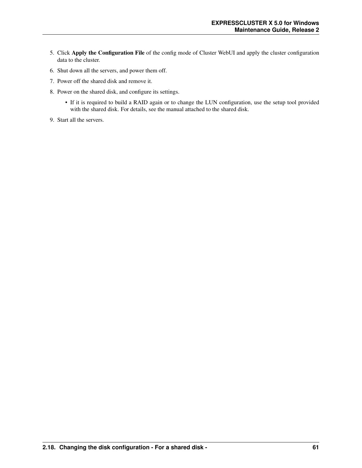- 5. Click Apply the Configuration File of the config mode of Cluster WebUI and apply the cluster configuration data to the cluster.
- 6. Shut down all the servers, and power them off.
- 7. Power off the shared disk and remove it.
- 8. Power on the shared disk, and configure its settings.
	- If it is required to build a RAID again or to change the LUN configuration, use the setup tool provided with the shared disk. For details, see the manual attached to the shared disk.
- 9. Start all the servers.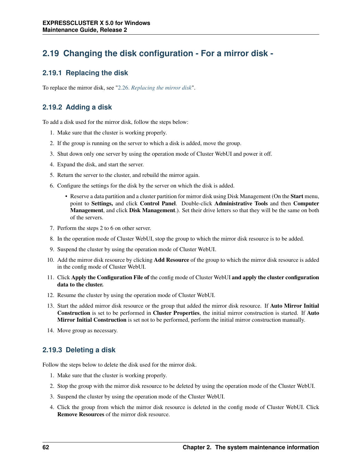# **2.19 Changing the disk configuration - For a mirror disk -**

### **2.19.1 Replacing the disk**

To replace the mirror disk, see ["2.26.](#page-87-0) *[Replacing the mirror disk](#page-87-0)*".

## **2.19.2 Adding a disk**

To add a disk used for the mirror disk, follow the steps below:

- 1. Make sure that the cluster is working properly.
- 2. If the group is running on the server to which a disk is added, move the group.
- 3. Shut down only one server by using the operation mode of Cluster WebUI and power it off.
- 4. Expand the disk, and start the server.
- 5. Return the server to the cluster, and rebuild the mirror again.
- 6. Configure the settings for the disk by the server on which the disk is added.
	- Reserve a data partition and a cluster partition for mirror disk using Disk Management (On the **Start** menu, point to Settings, and click Control Panel. Double-click Administrative Tools and then Computer **Management, and click Disk Management.**). Set their drive letters so that they will be the same on both of the servers.
- 7. Perform the steps 2 to 6 on other server.
- 8. In the operation mode of Cluster WebUI, stop the group to which the mirror disk resource is to be added.
- 9. Suspend the cluster by using the operation mode of Cluster WebUI.
- 10. Add the mirror disk resource by clicking **Add Resource** of the group to which the mirror disk resource is added in the config mode of Cluster WebUI.
- 11. Click Apply the Configuration File of the config mode of Cluster WebUI and apply the cluster configuration data to the cluster.
- 12. Resume the cluster by using the operation mode of Cluster WebUI.
- 13. Start the added mirror disk resource or the group that added the mirror disk resource. If Auto Mirror Initial Construction is set to be performed in Cluster Properties, the initial mirror construction is started. If Auto Mirror Initial Construction is set not to be performed, perform the initial mirror construction manually.
- 14. Move group as necessary.

### **2.19.3 Deleting a disk**

Follow the steps below to delete the disk used for the mirror disk.

- 1. Make sure that the cluster is working properly.
- 2. Stop the group with the mirror disk resource to be deleted by using the operation mode of the Cluster WebUI.
- 3. Suspend the cluster by using the operation mode of the Cluster WebUI.
- 4. Click the group from which the mirror disk resource is deleted in the config mode of Cluster WebUI. Click Remove Resources of the mirror disk resource.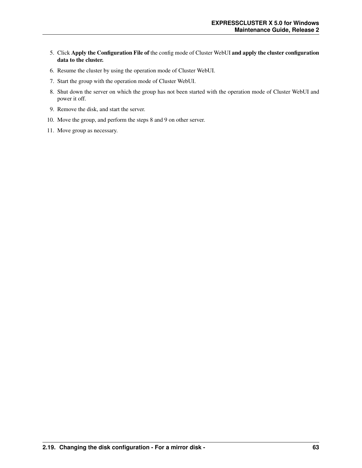- 5. Click Apply the Configuration File of the config mode of Cluster WebUI and apply the cluster configuration data to the cluster.
- 6. Resume the cluster by using the operation mode of Cluster WebUI.
- 7. Start the group with the operation mode of Cluster WebUI.
- 8. Shut down the server on which the group has not been started with the operation mode of Cluster WebUI and power it off.
- 9. Remove the disk, and start the server.
- 10. Move the group, and perform the steps 8 and 9 on other server.
- 11. Move group as necessary.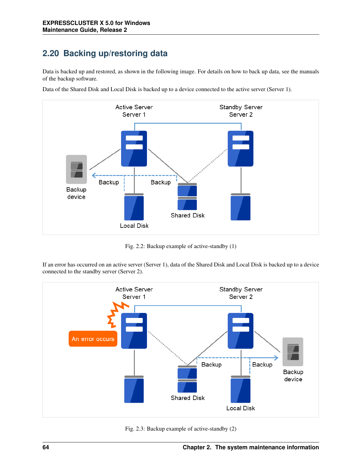# **2.20 Backing up/restoring data**

Data is backed up and restored, as shown in the following image. For details on how to back up data, see the manuals of the backup software.



Data of the Shared Disk and Local Disk is backed up to a device connected to the active server (Server 1).

Fig. 2.2: Backup example of active-standby (1)

If an error has occurred on an active server (Server 1), data of the Shared Disk and Local Disk is backed up to a device connected to the standby server (Server 2).



Fig. 2.3: Backup example of active-standby (2)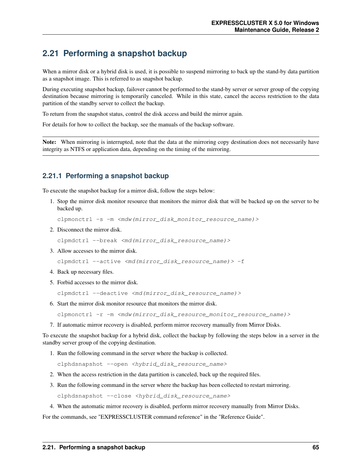## <span id="page-68-0"></span>**2.21 Performing a snapshot backup**

When a mirror disk or a hybrid disk is used, it is possible to suspend mirroring to back up the stand-by data partition as a snapshot image. This is referred to as snapshot backup.

During executing snapshot backup, failover cannot be performed to the stand-by server or server group of the copying destination because mirroring is temporarily canceled. While in this state, cancel the access restriction to the data partition of the standby server to collect the backup.

To return from the snapshot status, control the disk access and build the mirror again.

For details for how to collect the backup, see the manuals of the backup software.

Note: When mirroring is interrupted, note that the data at the mirroring copy destination does not necessarily have integrity as NTFS or application data, depending on the timing of the mirroring.

### **2.21.1 Performing a snapshot backup**

To execute the snapshot backup for a mirror disk, follow the steps below:

1. Stop the mirror disk monitor resource that monitors the mirror disk that will be backed up on the server to be backed up.

clpmonctrl -s -m <mdw(mirror\_disk\_monitor\_resource\_name)>

2. Disconnect the mirror disk.

clpmdctrl --break <md(mirror\_disk\_resource\_name)>

3. Allow accesses to the mirror disk.

clpmdctrl --active <md(mirror\_disk\_resource\_name)> -f

- 4. Back up necessary files.
- 5. Forbid accesses to the mirror disk.

clpmdctrl --deactive <md(mirror\_disk\_resource\_name)>

6. Start the mirror disk monitor resource that monitors the mirror disk.

clpmonctrl -r -m <mdw(mirror\_disk\_resource\_monitor\_resource\_name)>

7. If automatic mirror recovery is disabled, perform mirror recovery manually from Mirror Disks.

To execute the snapshot backup for a hybrid disk, collect the backup by following the steps below in a server in the standby server group of the copying destination.

1. Run the following command in the server where the backup is collected.

clphdsnapshot --open <hybrid\_disk\_resource\_name>

- 2. When the access restriction in the data partition is canceled, back up the required files.
- 3. Run the following command in the server where the backup has been collected to restart mirroring.

clphdsnapshot --close <hybrid\_disk\_resource\_name>

4. When the automatic mirror recovery is disabled, perform mirror recovery manually from Mirror Disks.

For the commands, see "EXPRESSCLUSTER command reference" in the "Reference Guide".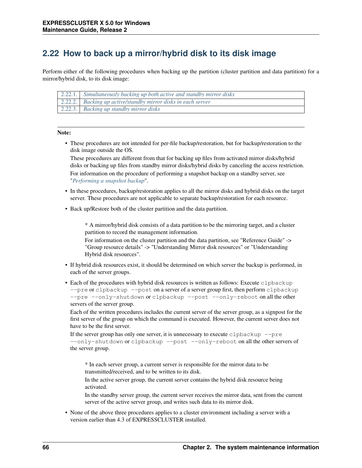## **2.22 How to back up a mirror/hybrid disk to its disk image**

Perform either of the following procedures when backing up the partition (cluster partition and data partition) for a mirror/hybrid disk, to its disk image:

| 2.22.1. Simultaneously backing up both active and standby mirror disks  |
|-------------------------------------------------------------------------|
| $\boxed{2.22.2.}$ Backing up active/standby mirror disks in each server |
| 2.22.3. Backing up standby mirror disks                                 |

#### Note:

• These procedures are not intended for per-file backup/restoration, but for backup/restoration to the disk image outside the OS.

These procedures are different from that for backing up files from activated mirror disks/hybrid disks or backing up files from standby mirror disks/hybrid disks by canceling the access restriction. For information on the procedure of performing a snapshot backup on a standby server, see "*[Performing a snapshot backup](#page-68-0)*".

- In these procedures, backup/restoration applies to all the mirror disks and hybrid disks on the target server. These procedures are not applicable to separate backup/restoration for each resource.
- Back up/Restore both of the cluster partition and the data partition.

\* A mirror/hybrid disk consists of a data partition to be the mirroring target, and a cluster partition to record the management information.

For information on the cluster partition and the data partition, see "Reference Guide" -> "Group resource details" -> "Understanding Mirror disk resources" or "Understanding Hybrid disk resources".

- If hybrid disk resources exist, it should be determined on which server the backup is performed, in each of the server groups.
- Each of the procedures with hybrid disk resources is written as follows: Execute clpbackup --pre or clpbackup --post on a server of a server group first, then perform clpbackup --pre --only-shutdown or clpbackup --post --only-reboot on all the other servers of the server group.

Each of the written procedures includes the current server of the server group, as a signpost for the first server of the group on which the command is executed. However, the current server does not have to be the first server.

If the server group has only one server, it is unnecessary to execute clpbackup  $-\text{pre}$ --only-shutdown or clpbackup --post --only-reboot on all the other servers of the server group.

\* In each server group, a current server is responsible for the mirror data to be transmitted/received, and to be written to its disk.

In the active server group, the current server contains the hybrid disk resource being activated.

In the standby server group, the current server receives the mirror data, sent from the current server of the active server group, and writes such data to its mirror disk.

• None of the above three procedures applies to a cluster environment including a server with a version earlier than 4.3 of EXPRESSCLUSTER installed.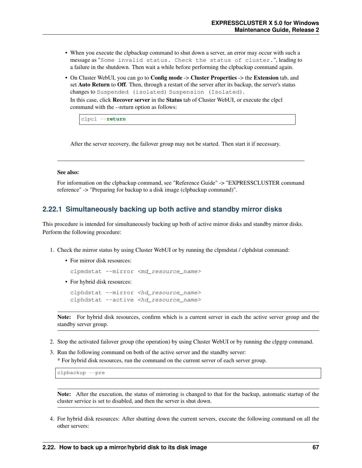- When you execute the clpbackup command to shut down a server, an error may occur with such a message as "Some invalid status. Check the status of cluster.", leading to a failure in the shutdown. Then wait a while before performing the clpbackup command again.
- On Cluster WebUI, you can go to **Config mode** -> **Cluster Properties** -> the **Extension** tab, and set Auto Return to Off. Then, through a restart of the server after its backup, the server's status changes to Suspended (isolated) Suspension (Isolated).

In this case, click Recover server in the Status tab of Cluster WebUI, or execute the clpcl command with the --return option as follows:

clpcl --**return**

After the server recovery, the failover group may not be started. Then start it if necessary.

#### See also:

For information on the clpbackup command, see "Reference Guide" -> "EXPRESSCLUSTER command reference" -> "Preparing for backup to a disk image (clpbackup command)".

### <span id="page-70-0"></span>**2.22.1 Simultaneously backing up both active and standby mirror disks**

This procedure is intended for simultaneously backing up both of active mirror disks and standby mirror disks. Perform the following procedure:

- 1. Check the mirror status by using Cluster WebUI or by running the clpmdstat / clphdstat command:
	- For mirror disk resources:

clpmdstat --mirror <md resource name>

• For hybrid disk resources:

```
clphdstat --mirror <hd_resource_name>
clphdstat --active <hd_resource_name>
```
Note: For hybrid disk resources, confirm which is a current server in each the active server group and the standby server group.

- 2. Stop the activated failover group (the operation) by using Cluster WebUI or by running the clpgrp command.
- 3. Run the following command on both of the active server and the standby server:

\* For hybrid disk resources, run the command on the current server of each server group.

clpbackup --pre

Note: After the execution, the status of mirroring is changed to that for the backup, automatic startup of the cluster service is set to disabled, and then the server is shut down.

4. For hybrid disk resources: After shutting down the current servers, execute the following command on all the other servers: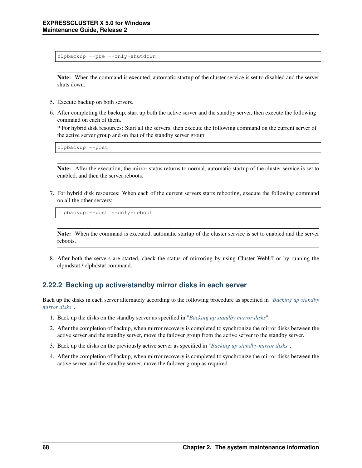clpbackup --pre --only-shutdown

Note: When the command is executed, automatic startup of the cluster service is set to disabled and the server shuts down.

- 5. Execute backup on both servers.
- 6. After completing the backup, start up both the active server and the standby server, then execute the following command on each of them.

\* For hybrid disk resources: Start all the servers, then execute the following command on the current server of the active server group and on that of the standby server group:

clpbackup --post

Note: After the execution, the mirror status returns to normal, automatic startup of the cluster service is set to enabled, and then the server reboots.

7. For hybrid disk resources: When each of the current servers starts rebooting, execute the following command on all the other servers:

clpbackup --post --only-reboot

Note: When the command is executed, automatic startup of the cluster service is set to enabled and the server reboots.

8. After both the servers are started, check the status of mirroring by using Cluster WebUI or by running the clpmdstat / clphdstat command.

### <span id="page-71-0"></span>**2.22.2 Backing up active/standby mirror disks in each server**

Back up the disks in each server alternately according to the following procedure as specified in "*[Backing up standby](#page-72-0) [mirror disks](#page-72-0)*".

- 1. Back up the disks on the standby server as specified in "*[Backing up standby mirror disks](#page-72-0)*".
- 2. After the completion of backup, when mirror recovery is completed to synchronize the mirror disks between the active server and the standby server, move the failover group from the active server to the standby server.
- 3. Back up the disks on the previously active server as specified in "*[Backing up standby mirror disks](#page-72-0)*".
- 4. After the completion of backup, when mirror recovery is completed to synchronize the mirror disks between the active server and the standby server, move the failover group as required.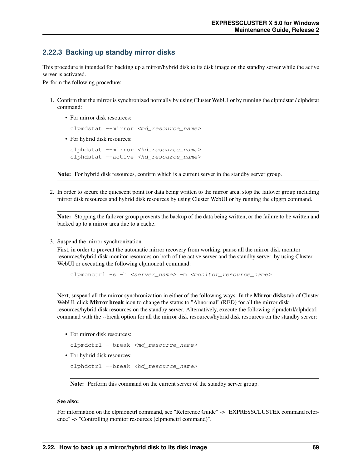### **2.22.3 Backing up standby mirror disks**

This procedure is intended for backing up a mirror/hybrid disk to its disk image on the standby server while the active server is activated.

Perform the following procedure:

- 1. Confirm that the mirror is synchronized normally by using Cluster WebUI or by running the clpmdstat / clphdstat command:
	- For mirror disk resources:

clpmdstat --mirror <md\_resource\_name>

• For hybrid disk resources:

```
clphdstat --mirror <hd_resource_name>
clphdstat --active <hd_resource_name>
```
Note: For hybrid disk resources, confirm which is a current server in the standby server group.

2. In order to secure the quiescent point for data being written to the mirror area, stop the failover group including mirror disk resources and hybrid disk resources by using Cluster WebUI or by running the clpgrp command.

Note: Stopping the failover group prevents the backup of the data being written, or the failure to be written and backed up to a mirror area due to a cache.

3. Suspend the mirror synchronization.

First, in order to prevent the automatic mirror recovery from working, pause all the mirror disk monitor resources/hybrid disk monitor resources on both of the active server and the standby server, by using Cluster WebUI or executing the following clpmonctrl command:

clpmonctrl -s -h <server\_name> -m <monitor\_resource\_name>

Next, suspend all the mirror synchronization in either of the following ways: In the Mirror disks tab of Cluster WebUI, click **Mirror break** icon to change the status to "Abnormal" (RED) for all the mirror disk resources/hybrid disk resources on the standby server. Alternatively, execute the following clpmdctrl/clphdctrl command with the --break option for all the mirror disk resources/hybrid disk resources on the standby server:

• For mirror disk resources:

```
clpmdctrl --break <md_resource_name>
```
• For hybrid disk resources:

```
clphdctrl --break <hd_resource_name>
```
Note: Perform this command on the current server of the standby server group.

#### See also:

For information on the clpmonctrl command, see "Reference Guide" -> "EXPRESSCLUSTER command reference" -> "Controlling monitor resources (clpmonctrl command)".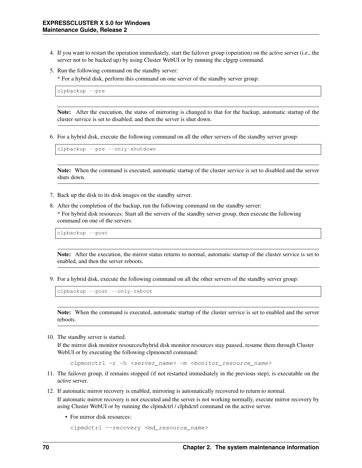- 4. If you want to restart the operation immediately, start the failover group (operation) on the active server (i.e., the server not to be backed up) by using Cluster WebUI or by running the clpgrp command.
- 5. Run the following command on the standby server:

\* For a hybrid disk, perform this command on one server of the standby server group:

clpbackup --pre

Note: After the execution, the status of mirroring is changed to that for the backup, automatic startup of the cluster service is set to disabled, and then the server is shut down.

6. For a hybrid disk, execute the following command on all the other servers of the standby server group:

clpbackup --pre --only-shutdown

Note: When the command is executed, automatic startup of the cluster service is set to disabled and the server shuts down.

- 7. Back up the disk to its disk images on the standby server.
- 8. After the completion of the backup, run the following command on the standby server:

\* For hybrid disk resources: Start all the servers of the standby server group, then execute the following command on one of the servers:

clpbackup --post

Note: After the execution, the mirror status returns to normal, automatic startup of the cluster service is set to enabled, and then the server reboots.

9. For a hybrid disk, execute the following command on all the other servers of the standby server group:

clpbackup --post --only-reboot

Note: When the command is executed, automatic startup of the cluster service is set to enabled and the server reboots.

10. The standby server is started.

If the mirror disk monitor resources/hybrid disk monitor resources stay paused, resume them through Cluster WebUI or by executing the following clpmonctrl command:

clpmonctrl -r -h <server\_name> -m <monitor\_resource\_name>

- 11. The failover group, if remains stopped (if not restarted immediately in the previous step), is executable on the active server.
- 12. If automatic mirror recovery is enabled, mirroring is automatically recovered to return to normal. If automatic mirror recovery is not executed and the server is not working normally, execute mirror recovery by using Cluster WebUI or by running the clpmdctrl / clphdctrl command on the active server.
	- For mirror disk resources:

```
clpmdctrl --recovery <md_resource_name>
```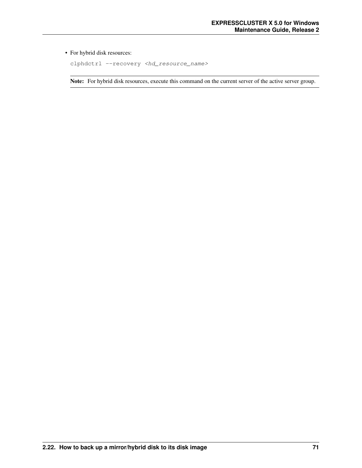### • For hybrid disk resources:

clphdctrl --recovery <hd\_resource\_name>

Note: For hybrid disk resources, execute this command on the current server of the active server group.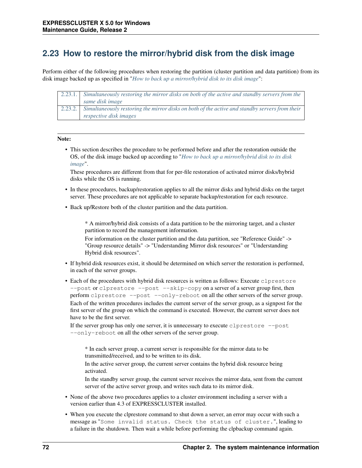## **2.23 How to restore the mirror/hybrid disk from the disk image**

Perform either of the following procedures when restoring the partition (cluster partition and data partition) from its disk image backed up as specified in "*[How to back up a mirror/hybrid disk to its disk image](#page-69-0)*":

| 2.23.1.  | Simultaneously restoring the mirror disks on both of the active and standby servers from the   |
|----------|------------------------------------------------------------------------------------------------|
|          | same disk image                                                                                |
| 2.23.2.1 | Simultaneously restoring the mirror disks on both of the active and standby servers from their |
|          | respective disk images                                                                         |

### Note:

• This section describes the procedure to be performed before and after the restoration outside the OS, of the disk image backed up according to "*[How to back up a mirror/hybrid disk to its disk](#page-69-0) [image](#page-69-0)*".

These procedures are different from that for per-file restoration of activated mirror disks/hybrid disks while the OS is running.

- In these procedures, backup/restoration applies to all the mirror disks and hybrid disks on the target server. These procedures are not applicable to separate backup/restoration for each resource.
- Back up/Restore both of the cluster partition and the data partition.

\* A mirror/hybrid disk consists of a data partition to be the mirroring target, and a cluster partition to record the management information.

For information on the cluster partition and the data partition, see "Reference Guide" -> "Group resource details" -> "Understanding Mirror disk resources" or "Understanding Hybrid disk resources".

- If hybrid disk resources exist, it should be determined on which server the restoration is performed, in each of the server groups.
- Each of the procedures with hybrid disk resources is written as follows: Execute clprestore --post or clprestore --post --skip-copy on a server of a server group first, then perform clprestore --post --only-reboot on all the other servers of the server group. Each of the written procedures includes the current server of the server group, as a signpost for the first server of the group on which the command is executed. However, the current server does not have to be the first server.

If the server group has only one server, it is unnecessary to execute clprestore  $-$ -post --only-reboot on all the other servers of the server group.

\* In each server group, a current server is responsible for the mirror data to be transmitted/received, and to be written to its disk.

In the active server group, the current server contains the hybrid disk resource being activated.

In the standby server group, the current server receives the mirror data, sent from the current server of the active server group, and writes such data to its mirror disk.

- None of the above two procedures applies to a cluster environment including a server with a version earlier than 4.3 of EXPRESSCLUSTER installed.
- When you execute the clprestore command to shut down a server, an error may occur with such a message as "Some invalid status. Check the status of cluster.", leading to a failure in the shutdown. Then wait a while before performing the clpbackup command again.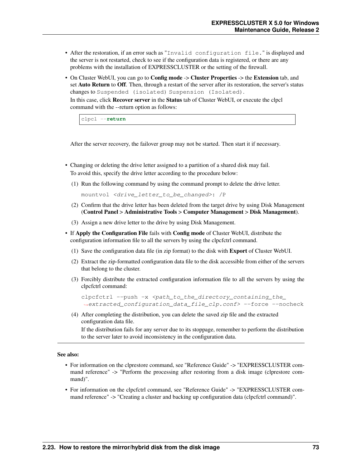- After the restoration, if an error such as "Invalid configuration file." is displayed and the server is not restarted, check to see if the configuration data is registered, or there are any problems with the installation of EXPRESSCLUSTER or the setting of the firewall.
- On Cluster WebUI, you can go to **Config mode** -> **Cluster Properties** -> the **Extension** tab, and set Auto Return to Off. Then, through a restart of the server after its restoration, the server's status changes to Suspended (isolated) Suspension (Isolated).

In this case, click Recover server in the Status tab of Cluster WebUI, or execute the clpcl command with the --return option as follows:

clpcl --**return**

After the server recovery, the failover group may not be started. Then start it if necessary.

- Changing or deleting the drive letter assigned to a partition of a shared disk may fail. To avoid this, specify the drive letter according to the procedure below:
	- (1) Run the following command by using the command prompt to delete the drive letter.

mountvol <drive\_letter\_to\_be\_changed>: /P

- (2) Confirm that the drive letter has been deleted from the target drive by using Disk Management (Control Panel > Administrative Tools > Computer Management > Disk Management).
- (3) Assign a new drive letter to the drive by using Disk Management.
- If Apply the Configuration File fails with Config mode of Cluster WebUI, distribute the configuration information file to all the servers by using the clpcfctrl command.
	- (1) Save the configuration data file (in zip format) to the disk with Export of Cluster WebUI.
	- (2) Extract the zip-formatted configuration data file to the disk accessible from either of the servers that belong to the cluster.
	- (3) Forcibly distribute the extracted configuration information file to all the servers by using the clpcfctrl command:

```
clpcfctrl --push -x <path_to_the_directory_containing_the_
˓→extracted_configuration_data_file_clp.conf> --force --nocheck
```
(4) After completing the distribution, you can delete the saved zip file and the extracted configuration data file.

If the distribution fails for any server due to its stoppage, remember to perform the distribution to the server later to avoid inconsistency in the configuration data.

### See also:

- For information on the clprestore command, see "Reference Guide" -> "EXPRESSCLUSTER command reference" -> "Perform the processing after restoring from a disk image (clprestore command)".
- For information on the clpcfctrl command, see "Reference Guide" -> "EXPRESSCLUSTER command reference" -> "Creating a cluster and backing up configuration data (clpcfctrl command)".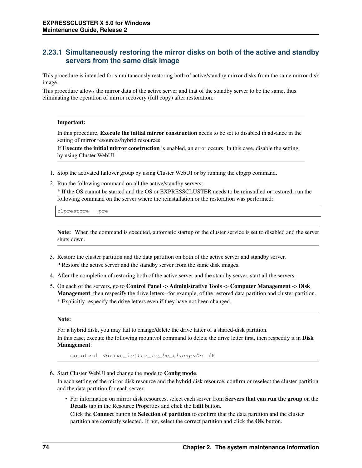### <span id="page-77-0"></span>**2.23.1 Simultaneously restoring the mirror disks on both of the active and standby servers from the same disk image**

This procedure is intended for simultaneously restoring both of active/standby mirror disks from the same mirror disk image.

This procedure allows the mirror data of the active server and that of the standby server to be the same, thus eliminating the operation of mirror recovery (full copy) after restoration.

### Important:

In this procedure, Execute the initial mirror construction needs to be set to disabled in advance in the setting of mirror resources/hybrid resources.

If Execute the initial mirror construction is enabled, an error occurs. In this case, disable the setting by using Cluster WebUI.

- 1. Stop the activated failover group by using Cluster WebUI or by running the clpgrp command.
- 2. Run the following command on all the active/standby servers:

\* If the OS cannot be started and the OS or EXPRESSCLUSTER needs to be reinstalled or restored, run the following command on the server where the reinstallation or the restoration was performed:

clprestore --pre

Note: When the command is executed, automatic startup of the cluster service is set to disabled and the server shuts down.

- 3. Restore the cluster partition and the data partition on both of the active server and standby server.
	- \* Restore the active server and the standby server from the same disk images.
- 4. After the completion of restoring both of the active server and the standby server, start all the servers.
- 5. On each of the servers, go to Control Panel -> Administrative Tools -> Computer Management -> Disk Management, then respecify the drive letters--for example, of the restored data partition and cluster partition. \* Explicitly respecify the drive letters even if they have not been changed.

#### Note:

For a hybrid disk, you may fail to change/delete the drive latter of a shared-disk partition.

In this case, execute the following mountvol command to delete the drive letter first, then respecify it in Disk Management:

mountvol <drive\_letter\_to\_be\_changed>: /P

6. Start Cluster WebUI and change the mode to Config mode.

In each setting of the mirror disk resource and the hybrid disk resource, confirm or reselect the cluster partition and the data partition for each server.

• For information on mirror disk resources, select each server from Servers that can run the group on the Details tab in the Resource Properties and click the Edit button.

Click the **Connect** button in **Selection of partition** to confirm that the data partition and the cluster partition are correctly selected. If not, select the correct partition and click the OK button.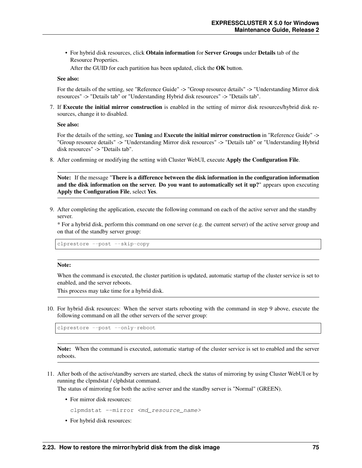• For hybrid disk resources, click Obtain information for Server Groups under Details tab of the Resource Properties.

After the GUID for each partition has been updated, click the OK button.

#### See also:

For the details of the setting, see "Reference Guide" -> "Group resource details" -> "Understanding Mirror disk resources" -> "Details tab" or "Understanding Hybrid disk resources" -> "Details tab".

7. If Execute the initial mirror construction is enabled in the setting of mirror disk resources/hybrid disk resources, change it to disabled.

#### See also:

For the details of the setting, see Tuning and Execute the initial mirror construction in "Reference Guide" -> "Group resource details" -> "Understanding Mirror disk resources" -> "Details tab" or "Understanding Hybrid disk resources" -> "Details tab".

8. After confirming or modifying the setting with Cluster WebUI, execute Apply the Configuration File.

Note: If the message "There is a difference between the disk information in the configuration information and the disk information on the server. Do you want to automatically set it up?" appears upon executing Apply the Configuration File, select Yes.

9. After completing the application, execute the following command on each of the active server and the standby server.

\* For a hybrid disk, perform this command on one server (e.g. the current server) of the active server group and on that of the standby server group:

clprestore --post --skip-copy

#### Note:

When the command is executed, the cluster partition is updated, automatic startup of the cluster service is set to enabled, and the server reboots.

This process may take time for a hybrid disk.

10. For hybrid disk resources: When the server starts rebooting with the command in step 9 above, execute the following command on all the other servers of the server group:

clprestore --post --only-reboot

Note: When the command is executed, automatic startup of the cluster service is set to enabled and the server reboots.

11. After both of the active/standby servers are started, check the status of mirroring by using Cluster WebUI or by running the clpmdstat / clphdstat command.

The status of mirroring for both the active server and the standby server is "Normal" (GREEN).

• For mirror disk resources:

clpmdstat --mirror <md resource name>

• For hybrid disk resources: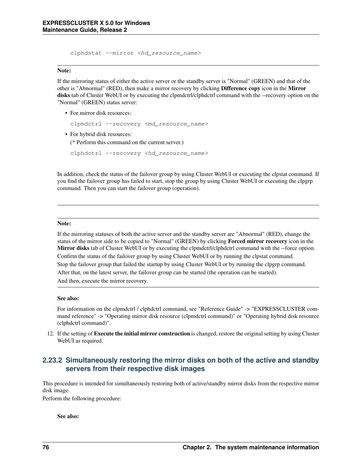clphdstat --mirror <hd\_resource\_name>

#### Note:

If the mirroring status of either the active server or the standby server is "Normal" (GREEN) and that of the other is "Abnormal" (RED), then make a mirror recovery by clicking Difference copy icon in the Mirror disks tab of Cluster WebUI or by executing the clpmdctrl/clphdctrl command with the --recovery option on the "Normal" (GREEN) status server:

• For mirror disk resources:

```
clpmdctrl --recovery <md_resource_name>
```
• For hybrid disk resources:

(\* Perform this command on the current server.)

clphdctrl --recovery <hd\_resource\_name>

In addition, check the status of the failover group by using Cluster WebUI or executing the clpstat command. If you find the failover group has failed to start, stop the group by using Cluster WebUI or executing the clpgrp command. Then you can start the failover group (operation).

### Note:

If the mirroring statuses of both the active server and the standby server are "Abnormal" (RED), change the status of the mirror side to be copied to "Normal" (GREEN) by clicking Forced mirror recovery icon in the Mirror disks tab of Cluster WebUI or by executing the clpmdctrl/clphdctrl command with the --force option. Confirm the status of the failover group by using Cluster WebUI or by running the clpstat command. Stop the failover group that failed the startup by using Cluster WebUI or by running the clpgrp command. After that, on the latest server, the failover group can be started (the operation can be started). And then, execute the mirror recovery.

### See also:

For information on the clpmdctrl / clphdctrl command, see "Reference Guide" -> "EXPRESSCLUSTER command reference" -> "Operating mirror disk resource (clpmdctrl command)" or "Operating hybrid disk resource (clphdctrl command)".

12. If the setting of **Execute the initial mirror construction** is changed, restore the original setting by using Cluster WebUI as required.

### <span id="page-79-0"></span>**2.23.2 Simultaneously restoring the mirror disks on both of the active and standby servers from their respective disk images**

This procedure is intended for simultaneously restoring both of active/standby mirror disks from the respective mirror disk image.

Perform the following procedure:

### See also: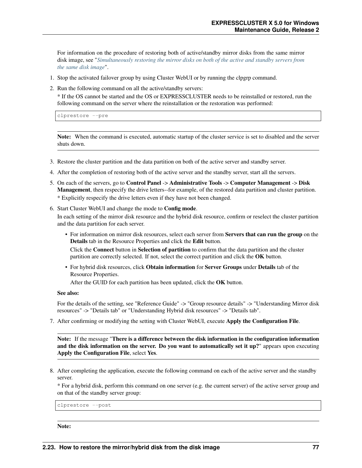For information on the procedure of restoring both of active/standby mirror disks from the same mirror disk image, see "*[Simultaneously restoring the mirror disks on both of the active and standby servers from](#page-77-0) [the same disk image](#page-77-0)*".

- 1. Stop the activated failover group by using Cluster WebUI or by running the clpgrp command.
- 2. Run the following command on all the active/standby servers:

\* If the OS cannot be started and the OS or EXPRESSCLUSTER needs to be reinstalled or restored, run the following command on the server where the reinstallation or the restoration was performed:

clprestore --pre

Note: When the command is executed, automatic startup of the cluster service is set to disabled and the server shuts down.

- 3. Restore the cluster partition and the data partition on both of the active server and standby server.
- 4. After the completion of restoring both of the active server and the standby server, start all the servers.
- 5. On each of the servers, go to Control Panel -> Administrative Tools -> Computer Management -> Disk Management, then respecify the drive letters--for example, of the restored data partition and cluster partition. \* Explicitly respecify the drive letters even if they have not been changed.
- 6. Start Cluster WebUI and change the mode to Config mode.

In each setting of the mirror disk resource and the hybrid disk resource, confirm or reselect the cluster partition and the data partition for each server.

• For information on mirror disk resources, select each server from Servers that can run the group on the Details tab in the Resource Properties and click the Edit button.

Click the **Connect** button in **Selection of partition** to confirm that the data partition and the cluster partition are correctly selected. If not, select the correct partition and click the OK button.

• For hybrid disk resources, click Obtain information for Server Groups under Details tab of the Resource Properties.

After the GUID for each partition has been updated, click the OK button.

See also:

For the details of the setting, see "Reference Guide" -> "Group resource details" -> "Understanding Mirror disk resources" -> "Details tab" or "Understanding Hybrid disk resources" -> "Details tab".

7. After confirming or modifying the setting with Cluster WebUI, execute Apply the Configuration File.

Note: If the message "There is a difference between the disk information in the configuration information and the disk information on the server. Do you want to automatically set it up?" appears upon executing Apply the Configuration File, select Yes.

8. After completing the application, execute the following command on each of the active server and the standby server.

\* For a hybrid disk, perform this command on one server (e.g. the current server) of the active server group and on that of the standby server group:

clprestore --post

Note: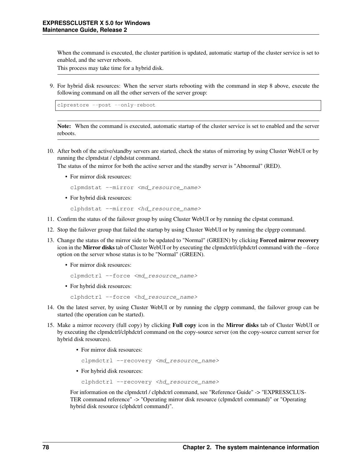When the command is executed, the cluster partition is updated, automatic startup of the cluster service is set to enabled, and the server reboots.

This process may take time for a hybrid disk.

9. For hybrid disk resources: When the server starts rebooting with the command in step 8 above, execute the following command on all the other servers of the server group:

clprestore --post --only-reboot

Note: When the command is executed, automatic startup of the cluster service is set to enabled and the server reboots.

10. After both of the active/standby servers are started, check the status of mirroring by using Cluster WebUI or by running the clpmdstat / clphdstat command.

The status of the mirror for both the active server and the standby server is "Abnormal" (RED).

• For mirror disk resources:

```
clpmdstat --mirror <md_resource_name>
```
• For hybrid disk resources:

```
clphdstat --mirror <hd resource name>
```
- 11. Confirm the status of the failover group by using Cluster WebUI or by running the clpstat command.
- 12. Stop the failover group that failed the startup by using Cluster WebUI or by running the clpgrp command.
- 13. Change the status of the mirror side to be updated to "Normal" (GREEN) by clicking Forced mirror recovery icon in the Mirror disks tab of Cluster WebUI or by executing the clpmdctrl/clphdctrl command with the --force option on the server whose status is to be "Normal" (GREEN).
	- For mirror disk resources:

```
clpmdctrl --force <md_resource_name>
```
• For hybrid disk resources:

```
clphdctrl --force <hd_resource_name>
```
- 14. On the latest server, by using Cluster WebUI or by running the clpgrp command, the failover group can be started (the operation can be started).
- 15. Make a mirror recovery (full copy) by clicking Full copy icon in the Mirror disks tab of Cluster WebUI or by executing the clpmdctrl/clphdctrl command on the copy-source server (on the copy-source current server for hybrid disk resources).
	- For mirror disk resources:

clpmdctrl --recovery <md\_resource\_name>

• For hybrid disk resources:

clphdctrl --recovery <hd\_resource\_name>

For information on the clpmdctrl / clphdctrl command, see "Reference Guide" -> "EXPRESSCLUS-TER command reference" -> "Operating mirror disk resource (clpmdctrl command)" or "Operating hybrid disk resource (clphdctrl command)".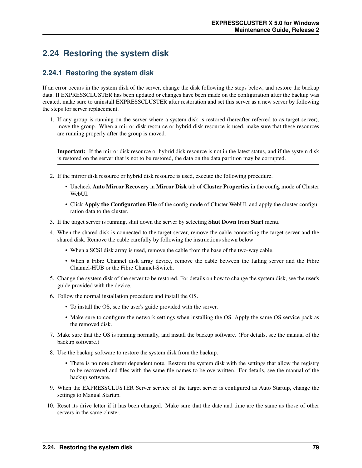## **2.24 Restoring the system disk**

### **2.24.1 Restoring the system disk**

If an error occurs in the system disk of the server, change the disk following the steps below, and restore the backup data. If EXPRESSCLUSTER has been updated or changes have been made on the configuration after the backup was created, make sure to uninstall EXPRESSCLUSTER after restoration and set this server as a new server by following the steps for server replacement.

1. If any group is running on the server where a system disk is restored (hereafter referred to as target server), move the group. When a mirror disk resource or hybrid disk resource is used, make sure that these resources are running properly after the group is moved.

Important: If the mirror disk resource or hybrid disk resource is not in the latest status, and if the system disk is restored on the server that is not to be restored, the data on the data partition may be corrupted.

- 2. If the mirror disk resource or hybrid disk resource is used, execute the following procedure.
	- Uncheck Auto Mirror Recovery in Mirror Disk tab of Cluster Properties in the config mode of Cluster WebUI.
	- Click Apply the Configuration File of the config mode of Cluster WebUI, and apply the cluster configuration data to the cluster.
- 3. If the target server is running, shut down the server by selecting Shut Down from Start menu.
- 4. When the shared disk is connected to the target server, remove the cable connecting the target server and the shared disk. Remove the cable carefully by following the instructions shown below:
	- When a SCSI disk array is used, remove the cable from the base of the two-way cable.
	- When a Fibre Channel disk array device, remove the cable between the failing server and the Fibre Channel-HUB or the Fibre Channel-Switch.
- 5. Change the system disk of the server to be restored. For details on how to change the system disk, see the user's guide provided with the device.
- 6. Follow the normal installation procedure and install the OS.
	- To install the OS, see the user's guide provided with the server.
	- Make sure to configure the network settings when installing the OS. Apply the same OS service pack as the removed disk.
- 7. Make sure that the OS is running normally, and install the backup software. (For details, see the manual of the backup software.)
- 8. Use the backup software to restore the system disk from the backup.
	- There is no note cluster dependent note. Restore the system disk with the settings that allow the registry to be recovered and files with the same file names to be overwritten. For details, see the manual of the backup software.
- 9. When the EXPRESSCLUSTER Server service of the target server is configured as Auto Startup, change the settings to Manual Startup.
- 10. Reset its drive letter if it has been changed. Make sure that the date and time are the same as those of other servers in the same cluster.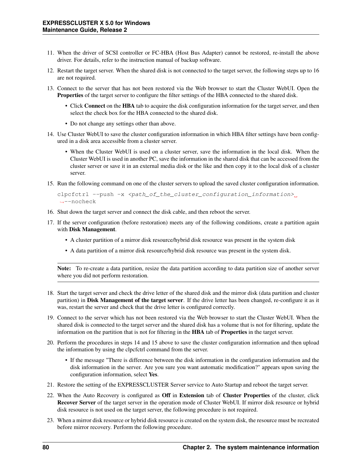- 11. When the driver of SCSI controller or FC-HBA (Host Bus Adapter) cannot be restored, re-install the above driver. For details, refer to the instruction manual of backup software.
- 12. Restart the target server. When the shared disk is not connected to the target server, the following steps up to 16 are not required.
- 13. Connect to the server that has not been restored via the Web browser to start the Cluster WebUI. Open the Properties of the target server to configure the filter settings of the HBA connected to the shared disk.
	- Click Connect on the HBA tab to acquire the disk configuration information for the target server, and then select the check box for the HBA connected to the shared disk.
	- Do not change any settings other than above.
- 14. Use Cluster WebUI to save the cluster configuration information in which HBA filter settings have been configured in a disk area accessible from a cluster server.
	- When the Cluster WebUI is used on a cluster server, save the information in the local disk. When the Cluster WebUI is used in another PC, save the information in the shared disk that can be accessed from the cluster server or save it in an external media disk or the like and then copy it to the local disk of a cluster server.
- 15. Run the following command on one of the cluster servers to upload the saved cluster configuration information.

```
clpcfctrl --push -x <path_of_the_cluster_configuration_information>
˓→--nocheck
```
- 16. Shut down the target server and connect the disk cable, and then reboot the server.
- 17. If the server configuration (before restoration) meets any of the following conditions, create a partition again with Disk Management.
	- A cluster partition of a mirror disk resource/hybrid disk resource was present in the system disk
	- A data partition of a mirror disk resource/hybrid disk resource was present in the system disk.

Note: To re-create a data partition, resize the data partition according to data partition size of another server where you did not perform restoration.

- 18. Start the target server and check the drive letter of the shared disk and the mirror disk (data partition and cluster partition) in Disk Management of the target server. If the drive letter has been changed, re-configure it as it was, restart the server and check that the drive letter is configured correctly.
- 19. Connect to the server which has not been restored via the Web browser to start the Cluster WebUI. When the shared disk is connected to the target server and the shared disk has a volume that is not for filtering, update the information on the partition that is not for filtering in the HBA tab of Properties in the target server.
- 20. Perform the procedures in steps 14 and 15 above to save the cluster configuration information and then upload the information by using the clpcfctrl command from the server.
	- If the message "There is difference between the disk information in the configuration information and the disk information in the server. Are you sure you want automatic modification?" appears upon saving the configuration information, select Yes.
- 21. Restore the setting of the EXPRESSCLUSTER Server service to Auto Startup and reboot the target server.
- 22. When the Auto Recovery is configured as Off in Extension tab of Cluster Properties of the cluster, click Recover Server of the target server in the operation mode of Cluster WebUI. If mirror disk resource or hybrid disk resource is not used on the target server, the following procedure is not required.
- 23. When a mirror disk resource or hybrid disk resource is created on the system disk, the resource must be recreated before mirror recovery. Perform the following procedure.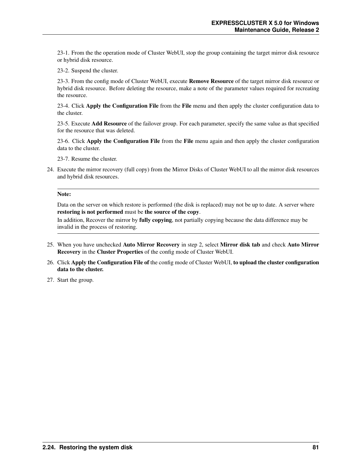23-1. From the the operation mode of Cluster WebUI, stop the group containing the target mirror disk resource or hybrid disk resource.

23-2. Suspend the cluster.

23-3. From the config mode of Cluster WebUI, execute Remove Resource of the target mirror disk resource or hybrid disk resource. Before deleting the resource, make a note of the parameter values required for recreating the resource.

23-4. Click **Apply the Configuration File** from the **File** menu and then apply the cluster configuration data to the cluster.

23-5. Execute Add Resource of the failover group. For each parameter, specify the same value as that specified for the resource that was deleted.

23-6. Click Apply the Configuration File from the File menu again and then apply the cluster configuration data to the cluster.

23-7. Resume the cluster.

24. Execute the mirror recovery (full copy) from the Mirror Disks of Cluster WebUI to all the mirror disk resources and hybrid disk resources.

#### Note:

Data on the server on which restore is performed (the disk is replaced) may not be up to date. A server where restoring is not performed must be the source of the copy.

In addition, Recover the mirror by fully copying, not partially copying because the data difference may be invalid in the process of restoring.

- 25. When you have unchecked Auto Mirror Recovery in step 2, select Mirror disk tab and check Auto Mirror Recovery in the Cluster Properties of the config mode of Cluster WebUI.
- 26. Click Apply the Configuration File of the config mode of Cluster WebUI, to upload the cluster configuration data to the cluster.
- 27. Start the group.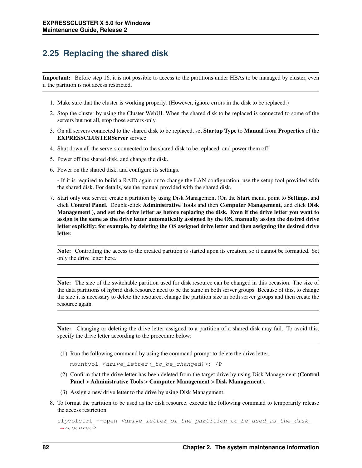## **2.25 Replacing the shared disk**

Important: Before step 16, it is not possible to access to the partitions under HBAs to be managed by cluster, even if the partition is not access restricted.

- 1. Make sure that the cluster is working properly. (However, ignore errors in the disk to be replaced.)
- 2. Stop the cluster by using the Cluster WebUI. When the shared disk to be replaced is connected to some of the servers but not all, stop those servers only.
- 3. On all servers connected to the shared disk to be replaced, set Startup Type to Manual from Properties of the EXPRESSCLUSTERServer service.
- 4. Shut down all the servers connected to the shared disk to be replaced, and power them off.
- 5. Power off the shared disk, and change the disk.
- 6. Power on the shared disk, and configure its settings.

- If it is required to build a RAID again or to change the LAN configuration, use the setup tool provided with the shared disk. For details, see the manual provided with the shared disk.

7. Start only one server, create a partition by using Disk Management (On the Start menu, point to Settings, and click Control Panel. Double-click Administrative Tools and then Computer Management, and click Disk Management.), and set the drive letter as before replacing the disk. Even if the drive letter you want to assign is the same as the drive letter automatically assigned by the OS, manually assign the desired drive letter explicitly; for example, by deleting the OS assigned drive letter and then assigning the desired drive letter.

Note: Controlling the access to the created partition is started upon its creation, so it cannot be formatted. Set only the drive letter here.

Note: The size of the switchable partition used for disk resource can be changed in this occasion. The size of the data partitions of hybrid disk resource need to be the same in both server groups. Because of this, to change the size it is necessary to delete the resource, change the partition size in both server groups and then create the resource again.

Note: Changing or deleting the drive letter assigned to a partition of a shared disk may fail. To avoid this, specify the drive letter according to the procedure below:

(1) Run the following command by using the command prompt to delete the drive letter.

mountvol <drive\_letter(\_to\_be\_changed)>: /P

- (2) Confirm that the drive letter has been deleted from the target drive by using Disk Management (Control Panel > Administrative Tools > Computer Management > Disk Management).
- (3) Assign a new drive letter to the drive by using Disk Management.
- 8. To format the partition to be used as the disk resource, execute the following command to temporarily release the access restriction.

```
clpvolctrl --open <drive_letter_of_the_partition_to_be_used_as_the_disk_
\leftrightarrowresource>
```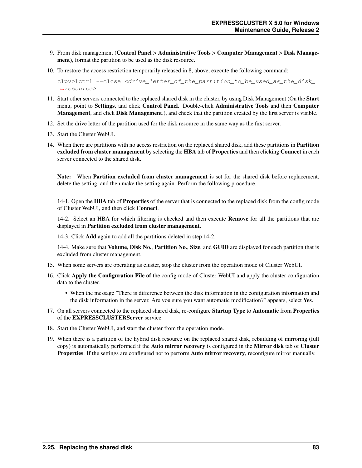- 9. From disk management (Control Panel > Administrative Tools > Computer Management > Disk Management), format the partition to be used as the disk resource.
- 10. To restore the access restriction temporarily released in 8, above, execute the following command:

clpvolctrl --close <drive\_letter\_of\_the\_partition\_to\_be\_used\_as\_the\_disk\_ ˓<sup>→</sup>resource>

- 11. Start other servers connected to the replaced shared disk in the cluster, by using Disk Management (On the Start menu, point to Settings, and click Control Panel. Double-click Administrative Tools and then Computer Management, and click Disk Management.), and check that the partition created by the first server is visible.
- 12. Set the drive letter of the partition used for the disk resource in the same way as the first server.
- 13. Start the Cluster WebUI.
- 14. When there are partitions with no access restriction on the replaced shared disk, add these partitions in Partition excluded from cluster management by selecting the HBA tab of Properties and then clicking Connect in each server connected to the shared disk.

Note: When Partition excluded from cluster management is set for the shared disk before replacement, delete the setting, and then make the setting again. Perform the following procedure.

14-1. Open the HBA tab of Properties of the server that is connected to the replaced disk from the config mode of Cluster WebUI, and then click Connect.

14-2. Select an HBA for which filtering is checked and then execute **Remove** for all the partitions that are displayed in Partition excluded from cluster management.

14-3. Click Add again to add all the partitions deleted in step 14-2.

14-4. Make sure that Volume, Disk No., Partition No., Size, and GUID are displayed for each partition that is excluded from cluster management.

- 15. When some servers are operating as cluster, stop the cluster from the operation mode of Cluster WebUI.
- 16. Click Apply the Configuration File of the config mode of Cluster WebUI and apply the cluster configuration data to the cluster.
	- When the message "There is difference between the disk information in the configuration information and the disk information in the server. Are you sure you want automatic modification?" appears, select Yes.
- 17. On all servers connected to the replaced shared disk, re-configure Startup Type to Automatic from Properties of the EXPRESSCLUSTERServer service.
- 18. Start the Cluster WebUI, and start the cluster from the operation mode.
- 19. When there is a partition of the hybrid disk resource on the replaced shared disk, rebuilding of mirroring (full copy) is automatically performed if the Auto mirror recovery is configured in the Mirror disk tab of Cluster Properties. If the settings are configured not to perform Auto mirror recovery, reconfigure mirror manually.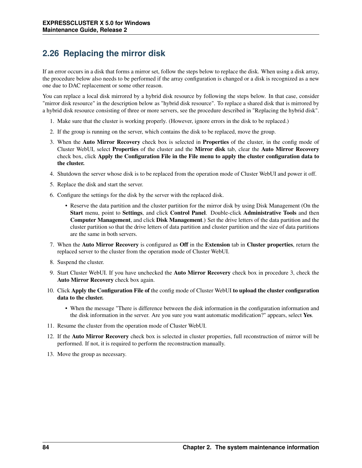# <span id="page-87-0"></span>**2.26 Replacing the mirror disk**

If an error occurs in a disk that forms a mirror set, follow the steps below to replace the disk. When using a disk array, the procedure below also needs to be performed if the array configuration is changed or a disk is recognized as a new one due to DAC replacement or some other reason.

You can replace a local disk mirrored by a hybrid disk resource by following the steps below. In that case, consider "mirror disk resource" in the description below as "hybrid disk resource". To replace a shared disk that is mirrored by a hybrid disk resource consisting of three or more servers, see the procedure described in "Replacing the hybrid disk".

- 1. Make sure that the cluster is working properly. (However, ignore errors in the disk to be replaced.)
- 2. If the group is running on the server, which contains the disk to be replaced, move the group.
- 3. When the Auto Mirror Recovery check box is selected in Properties of the cluster, in the config mode of Cluster WebUI, select Properties of the cluster and the Mirror disk tab, clear the Auto Mirror Recovery check box, click Apply the Configuration File in the File menu to apply the cluster configuration data to the cluster.
- 4. Shutdown the server whose disk is to be replaced from the operation mode of Cluster WebUI and power it off.
- 5. Replace the disk and start the server.
- 6. Configure the settings for the disk by the server with the replaced disk.
	- Reserve the data partition and the cluster partition for the mirror disk by using Disk Management (On the Start menu, point to Settings, and click Control Panel. Double-click Administrative Tools and then Computer Management, and click Disk Management.) Set the drive letters of the data partition and the cluster partition so that the drive letters of data partition and cluster partition and the size of data partitions are the same in both servers.
- 7. When the Auto Mirror Recovery is configured as Off in the Extension tab in Cluster properties, return the replaced server to the cluster from the operation mode of Cluster WebUI.
- 8. Suspend the cluster.
- 9. Start Cluster WebUI. If you have unchecked the Auto Mirror Recovery check box in procedure 3, check the Auto Mirror Recovery check box again.
- 10. Click Apply the Configuration File of the config mode of Cluster WebUI to upload the cluster configuration data to the cluster.
	- When the message "There is difference between the disk information in the configuration information and the disk information in the server. Are you sure you want automatic modification?" appears, select Yes.
- 11. Resume the cluster from the operation mode of Cluster WebUI.
- 12. If the Auto Mirror Recovery check box is selected in cluster properties, full reconstruction of mirror will be performed. If not, it is required to perform the reconstruction manually.
- 13. Move the group as necessary.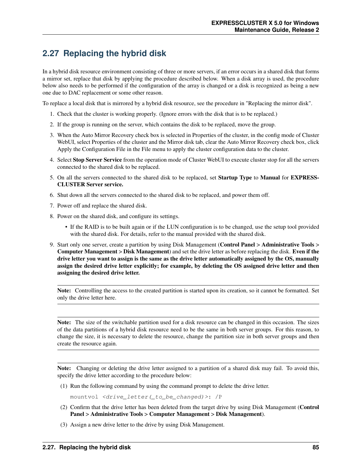# **2.27 Replacing the hybrid disk**

In a hybrid disk resource environment consisting of three or more servers, if an error occurs in a shared disk that forms a mirror set, replace that disk by applying the procedure described below. When a disk array is used, the procedure below also needs to be performed if the configuration of the array is changed or a disk is recognized as being a new one due to DAC replacement or some other reason.

To replace a local disk that is mirrored by a hybrid disk resource, see the procedure in "Replacing the mirror disk".

- 1. Check that the cluster is working properly. (Ignore errors with the disk that is to be replaced.)
- 2. If the group is running on the server, which contains the disk to be replaced, move the group.
- 3. When the Auto Mirror Recovery check box is selected in Properties of the cluster, in the config mode of Cluster WebUI, select Properties of the cluster and the Mirror disk tab, clear the Auto Mirror Recovery check box, click Apply the Configuration File in the File menu to apply the cluster configuration data to the cluster.
- 4. Select Stop Server Service from the operation mode of Cluster WebUI to execute cluster stop for all the servers connected to the shared disk to be replaced.
- 5. On all the servers connected to the shared disk to be replaced, set Startup Type to Manual for EXPRESS-CLUSTER Server service.
- 6. Shut down all the servers connected to the shared disk to be replaced, and power them off.
- 7. Power off and replace the shared disk.
- 8. Power on the shared disk, and configure its settings.
	- If the RAID is to be built again or if the LUN configuration is to be changed, use the setup tool provided with the shared disk. For details, refer to the manual provided with the shared disk.
- 9. Start only one server, create a partition by using Disk Management (Control Panel > Administrative Tools > Computer Management > Disk Management) and set the drive letter as before replacing the disk. Even if the drive letter you want to assign is the same as the drive letter automatically assigned by the OS, manually assign the desired drive letter explicitly; for example, by deleting the OS assigned drive letter and then assigning the desired drive letter.

Note: Controlling the access to the created partition is started upon its creation, so it cannot be formatted. Set only the drive letter here.

Note: The size of the switchable partition used for a disk resource can be changed in this occasion. The sizes of the data partitions of a hybrid disk resource need to be the same in both server groups. For this reason, to change the size, it is necessary to delete the resource, change the partition size in both server groups and then create the resource again.

Note: Changing or deleting the drive letter assigned to a partition of a shared disk may fail. To avoid this, specify the drive letter according to the procedure below:

(1) Run the following command by using the command prompt to delete the drive letter.

mountvol <drive\_letter(\_to\_be\_changed)>: /P

- (2) Confirm that the drive letter has been deleted from the target drive by using Disk Management (Control Panel > Administrative Tools > Computer Management > Disk Management).
- (3) Assign a new drive letter to the drive by using Disk Management.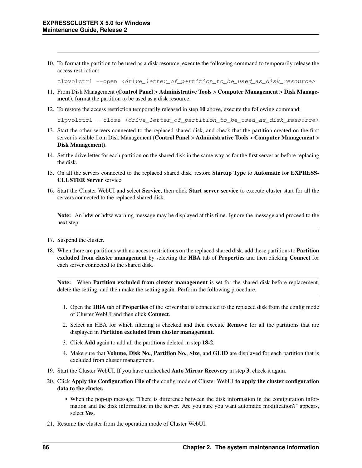10. To format the partition to be used as a disk resource, execute the following command to temporarily release the access restriction:

clpvolctrl --open <drive\_letter\_of\_partition\_to\_be\_used\_as\_disk\_resource>

- 11. From Disk Management (Control Panel > Administrative Tools > Computer Management > Disk Management), format the partition to be used as a disk resource.
- 12. To restore the access restriction temporarily released in step 10 above, execute the following command:

clpvolctrl --close <drive\_letter\_of\_partition\_to\_be\_used\_as\_disk\_resource>

- 13. Start the other servers connected to the replaced shared disk, and check that the partition created on the first server is visible from Disk Management (Control Panel > Administrative Tools > Computer Management > Disk Management).
- 14. Set the drive letter for each partition on the shared disk in the same way as for the first server as before replacing the disk.
- 15. On all the servers connected to the replaced shared disk, restore Startup Type to Automatic for EXPRESS-CLUSTER Server service.
- 16. Start the Cluster WebUI and select Service, then click Start server service to execute cluster start for all the servers connected to the replaced shared disk.

Note: An hdw or hdtw warning message may be displayed at this time. Ignore the message and proceed to the next step.

- 17. Suspend the cluster.
- 18. When there are partitions with no access restrictions on the replaced shared disk, add these partitions to **Partition** excluded from cluster management by selecting the HBA tab of Properties and then clicking Connect for each server connected to the shared disk.

Note: When Partition excluded from cluster management is set for the shared disk before replacement, delete the setting, and then make the setting again. Perform the following procedure.

- 1. Open the HBA tab of Properties of the server that is connected to the replaced disk from the config mode of Cluster WebUI and then click Connect.
- 2. Select an HBA for which filtering is checked and then execute Remove for all the partitions that are displayed in Partition excluded from cluster management.
- 3. Click Add again to add all the partitions deleted in step 18-2.
- 4. Make sure that Volume, Disk No., Partition No., Size, and GUID are displayed for each partition that is excluded from cluster management.
- 19. Start the Cluster WebUI. If you have unchecked Auto Mirror Recovery in step 3, check it again.
- 20. Click Apply the Configuration File of the config mode of Cluster WebUI to apply the cluster configuration data to the cluster.
	- When the pop-up message "There is difference between the disk information in the configuration information and the disk information in the server. Are you sure you want automatic modification?" appears, select Yes.
- 21. Resume the cluster from the operation mode of Cluster WebUI.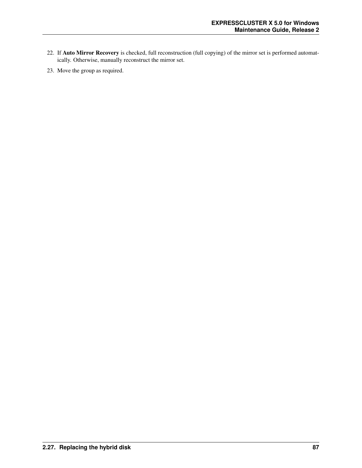- 22. If Auto Mirror Recovery is checked, full reconstruction (full copying) of the mirror set is performed automatically. Otherwise, manually reconstruct the mirror set.
- 23. Move the group as required.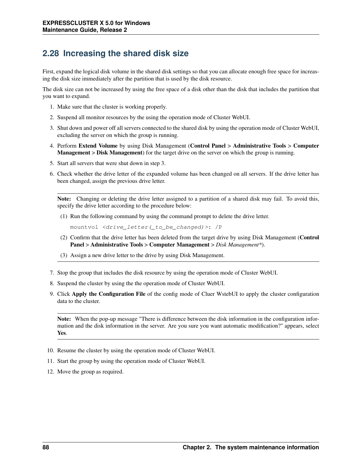### **2.28 Increasing the shared disk size**

First, expand the logical disk volume in the shared disk settings so that you can allocate enough free space for increasing the disk size immediately after the partition that is used by the disk resource.

The disk size can not be increased by using the free space of a disk other than the disk that includes the partition that you want to expand.

- 1. Make sure that the cluster is working properly.
- 2. Suspend all monitor resources by the using the operation mode of Cluster WebUI.
- 3. Shut down and power off all servers connected to the shared disk by using the operation mode of Cluster WebUI, excluding the server on which the group is running.
- 4. Perform Extend Volume by using Disk Management (Control Panel > Administrative Tools > Computer Management > Disk Management) for the target drive on the server on which the group is running.
- 5. Start all servers that were shut down in step 3.
- 6. Check whether the drive letter of the expanded volume has been changed on all servers. If the drive letter has been changed, assign the previous drive letter.

Note: Changing or deleting the drive letter assigned to a partition of a shared disk may fail. To avoid this, specify the drive letter according to the procedure below:

(1) Run the following command by using the command prompt to delete the drive letter.

mountvol <drive\_letter(\_to\_be\_changed)>: /P

- (2) Confirm that the drive letter has been deleted from the target drive by using Disk Management (Control Panel > Administrative Tools > Computer Management > *Disk Management\**).
- (3) Assign a new drive letter to the drive by using Disk Management.
- 7. Stop the group that includes the disk resource by using the operation mode of Cluster WebUI.
- 8. Suspend the cluster by using the the operation mode of Cluster WebUI.
- 9. Click Apply the Configuration File of the config mode of Cluer WstebUI to apply the cluster configuration data to the cluster.

Note: When the pop-up message "There is difference between the disk information in the configuration information and the disk information in the server. Are you sure you want automatic modification?" appears, select Yes.

- 10. Resume the cluster by using the operation mode of Cluster WebUI.
- 11. Start the group by using the operation mode of Cluster WebUI.
- 12. Move the group as required.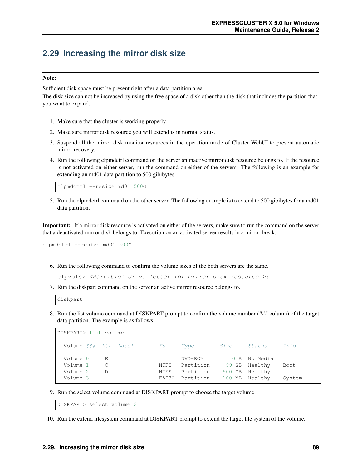### **2.29 Increasing the mirror disk size**

### Note:

Sufficient disk space must be present right after a data partition area.

The disk size can not be increased by using the free space of a disk other than the disk that includes the partition that you want to expand.

- 1. Make sure that the cluster is working properly.
- 2. Make sure mirror disk resource you will extend is in normal status.
- 3. Suspend all the mirror disk monitor resources in the operation mode of Cluster WebUI to prevent automatic mirror recovery.
- 4. Run the following clpmdctrl command on the server an inactive mirror disk resource belongs to. If the resource is not activated on either server, run the command on either of the servers. The following is an example for extending an md01 data partition to 500 gibibytes.

clpmdctrl --resize md01 500G

5. Run the clpmdctrl command on the other server. The following example is to extend to 500 gibibytes for a md01 data partition.

Important: If a mirror disk resource is activated on either of the servers, make sure to run the command on the server that a deactivated mirror disk belongs to. Execution on an activated server results in a mirror break.

clpmdctrl --resize md01 500G

6. Run the following command to confirm the volume sizes of the both servers are the same.

clpvolsz <Partition drive letter for mirror disk resource >:

7. Run the diskpart command on the server an active mirror resource belongs to.

8. Run the list volume command at DISKPART prompt to confirm the volume number (### column) of the target data partition. The example is as follows:

| DISKPART> list volume |              |             |           |        |          |      |
|-----------------------|--------------|-------------|-----------|--------|----------|------|
| Volume ### Ltr Label  |              | $F_{S}$     | Type      | Size   | Status   | Tnfo |
|                       |              |             |           |        |          |      |
| Volume 0              | $\mathbf{E}$ |             | DVD-ROM   | 0 B    | No Media |      |
|                       |              |             |           |        |          |      |
| Volume 1              | C            | NTFS        | Partition | 99 GB  | Healthy  | Boot |
| Volume 2              | $\mathbb D$  | <b>NTFS</b> | Partition | 500 GB | Healthy  |      |

9. Run the select volume command at DISKPART prompt to choose the target volume.

DISKPART> select volume 2

10. Run the extend filesystem command at DISKPART prompt to extend the target file system of the volume.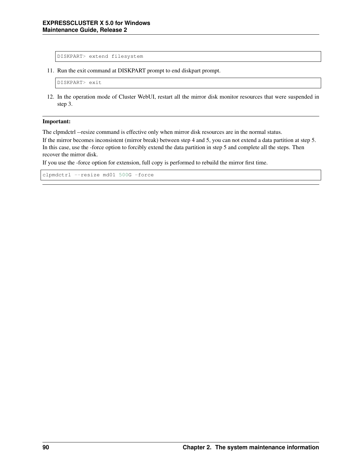```
DISKPART> extend filesystem
```
11. Run the exit command at DISKPART prompt to end diskpart prompt.

DISKPART> exit

12. In the operation mode of Cluster WebUI, restart all the mirror disk monitor resources that were suspended in step 3.

#### Important:

The clpmdctrl --resize command is effective only when mirror disk resources are in the normal status.

If the mirror becomes inconsistent (mirror break) between step 4 and 5, you can not extend a data partition at step 5. In this case, use the -force option to forcibly extend the data partition in step 5 and complete all the steps. Then recover the mirror disk.

If you use the -force option for extension, full copy is performed to rebuild the mirror first time.

```
clpmdctrl --resize md01 500G -force
```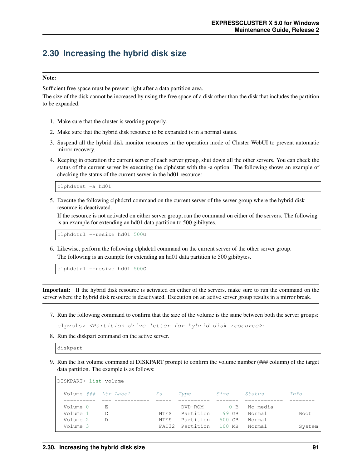## **2.30 Increasing the hybrid disk size**

### Note:

Sufficient free space must be present right after a data partition area.

The size of the disk cannot be increased by using the free space of a disk other than the disk that includes the partition to be expanded.

- 1. Make sure that the cluster is working properly.
- 2. Make sure that the hybrid disk resource to be expanded is in a normal status.
- 3. Suspend all the hybrid disk monitor resources in the operation mode of Cluster WebUI to prevent automatic mirror recovery.
- 4. Keeping in operation the current server of each server group, shut down all the other servers. You can check the status of the current server by executing the clphdstat with the -a option. The following shows an example of checking the status of the current server in the hd01 resource:

clphdstat -a hd01

5. Execute the following clphdctrl command on the current server of the server group where the hybrid disk resource is deactivated.

If the resource is not activated on either server group, run the command on either of the servers. The following is an example for extending an hd01 data partition to 500 gibibytes.

clphdctrl --resize hd01 500G

6. Likewise, perform the following clphdctrl command on the current server of the other server group. The following is an example for extending an hd01 data partition to 500 gibibytes.

clphdctrl --resize hd01 500G

Important: If the hybrid disk resource is activated on either of the servers, make sure to run the command on the server where the hybrid disk resource is deactivated. Execution on an active server group results in a mirror break.

7. Run the following command to confirm that the size of the volume is the same between both the server groups:

clpvolsz <Partition drive letter for hybrid disk resource>:

8. Run the diskpart command on the active server.

diskpart

9. Run the list volume command at DISKPART prompt to confirm the volume number (### column) of the target data partition. The example is as follows:

| DISKPART> list volume |         |                      |                        |                  |                    |        |
|-----------------------|---------|----------------------|------------------------|------------------|--------------------|--------|
| Volume ### Ltr Label  |         | $\mathit{FS}$        | Type                   | <i>Size</i>      | Status             | Tnfo   |
| Volume 0<br>Volume 1  | E.<br>C | NTFS.                | DVD-ROM<br>Partition   | 0 B<br>99 GB     | No media<br>Normal | Boot.  |
| Volume 2<br>Volume 3  | D       | <b>NTFS</b><br>FAT32 | Partition<br>Partition | 500 GB<br>100 MB | Normal<br>Normal   | System |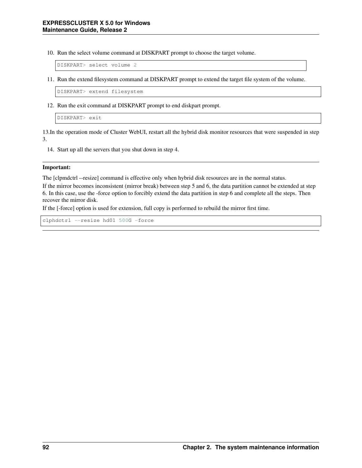10. Run the select volume command at DISKPART prompt to choose the target volume.

DISKPART> select volume 2

11. Run the extend filesystem command at DISKPART prompt to extend the target file system of the volume.

DISKPART> extend filesystem

12. Run the exit command at DISKPART prompt to end diskpart prompt.

```
DISKPART> exit
```
13.In the operation mode of Cluster WebUI, restart all the hybrid disk monitor resources that were suspended in step 3.

14. Start up all the servers that you shut down in step 4.

#### Important:

The [clpmdctrl --resize] command is effective only when hybrid disk resources are in the normal status.

If the mirror becomes inconsistent (mirror break) between step 5 and 6, the data partition cannot be extended at step 6. In this case, use the -force option to forcibly extend the data partition in step 6 and complete all the steps. Then recover the mirror disk.

If the [-force] option is used for extension, full copy is performed to rebuild the mirror first time.

clphdctrl --resize hd01 500G -force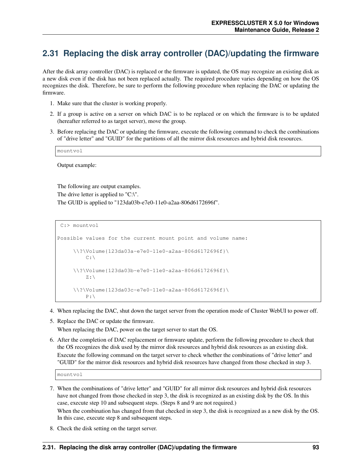### **2.31 Replacing the disk array controller (DAC)/updating the firmware**

After the disk array controller (DAC) is replaced or the firmware is updated, the OS may recognize an existing disk as a new disk even if the disk has not been replaced actually. The required procedure varies depending on how the OS recognizes the disk. Therefore, be sure to perform the following procedure when replacing the DAC or updating the firmware.

- 1. Make sure that the cluster is working properly.
- 2. If a group is active on a server on which DAC is to be replaced or on which the firmware is to be updated (hereafter referred to as target server), move the group.
- 3. Before replacing the DAC or updating the firmware, execute the following command to check the combinations of "drive letter" and "GUID" for the partitions of all the mirror disk resources and hybrid disk resources.

mountvol

Output example:

The following are output examples. The drive letter is applied to "C:\". The GUID is applied to "123da03b-e7e0-11e0-a2aa-806d6172696f".

```
C:> mountvol
Possible values for the current mount point and volume name:
     \\?\Volume{123da03a-e7e0-11e0-a2aa-806d6172696f}\
         C: \lambda\\?\Volume{123da03b-e7e0-11e0-a2aa-806d6172696f}\
         Z:\\?\Volume{123da03c-e7e0-11e0-a2aa-806d6172696f}\
         P:
```
- 4. When replacing the DAC, shut down the target server from the operation mode of Cluster WebUI to power off.
- 5. Replace the DAC or update the firmware.

When replacing the DAC, power on the target server to start the OS.

6. After the completion of DAC replacement or firmware update, perform the following procedure to check that the OS recognizes the disk used by the mirror disk resources and hybrid disk resources as an existing disk. Execute the following command on the target server to check whether the combinations of "drive letter" and "GUID" for the mirror disk resources and hybrid disk resources have changed from those checked in step 3.

mountvol

- 7. When the combinations of "drive letter" and "GUID" for all mirror disk resources and hybrid disk resources have not changed from those checked in step 3, the disk is recognized as an existing disk by the OS. In this case, execute step 10 and subsequent steps. (Steps 8 and 9 are not required.) When the combination has changed from that checked in step 3, the disk is recognized as a new disk by the OS. In this case, execute step 8 and subsequent steps.
- 8. Check the disk setting on the target server.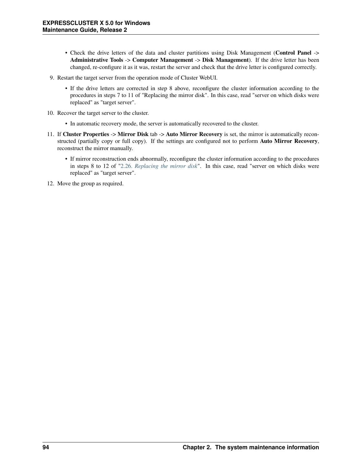- Check the drive letters of the data and cluster partitions using Disk Management (Control Panel -> Administrative Tools -> Computer Management -> Disk Management). If the drive letter has been changed, re-configure it as it was, restart the server and check that the drive letter is configured correctly.
- 9. Restart the target server from the operation mode of Cluster WebUI.
	- If the drive letters are corrected in step 8 above, reconfigure the cluster information according to the procedures in steps 7 to 11 of "Replacing the mirror disk". In this case, read "server on which disks were replaced" as "target server".
- 10. Recover the target server to the cluster.
	- In automatic recovery mode, the server is automatically recovered to the cluster.
- 11. If Cluster Properties -> Mirror Disk tab -> Auto Mirror Recovery is set, the mirror is automatically reconstructed (partially copy or full copy). If the settings are configured not to perform Auto Mirror Recovery, reconstruct the mirror manually.
	- If mirror reconstruction ends abnormally, reconfigure the cluster information according to the procedures in steps 8 to 12 of ["2.26.](#page-87-0) *[Replacing the mirror disk](#page-87-0)*". In this case, read "server on which disks were replaced" as "target server".
- 12. Move the group as required.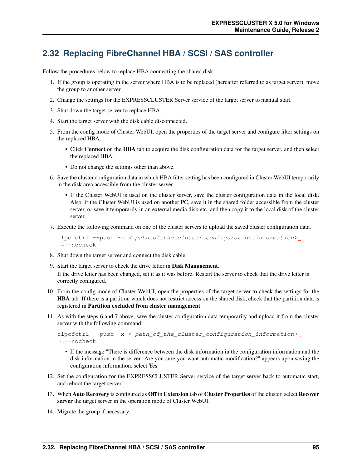## **2.32 Replacing FibreChannel HBA / SCSI / SAS controller**

Follow the procedures below to replace HBA connecting the shared disk.

- 1. If the group is operating in the server where HBA is to be replaced (hereafter referred to as target server), move the group to another server.
- 2. Change the settings for the EXPRESSCLUSTER Server service of the target server to manual start.
- 3. Shut down the target server to replace HBA.
- 4. Start the target server with the disk cable disconnected.
- 5. From the config mode of Cluster WebUI, open the properties of the target server and configure filter settings on the replaced HBA.
	- Click Connect on the HBA tab to acquire the disk configuration data for the target server, and then select the replaced HBA.
	- Do not change the settings other than above.
- 6. Save the cluster configuration data in which HBA filter setting has been configured in Cluster WebUI temporarily in the disk area accessible from the cluster server.
	- If the Cluster WebUI is used on the cluster server, save the cluster configuration data in the local disk. Also, if the Cluster WebUI is used on another PC, save it in the shared folder accessible from the cluster server, or save it temporarily in an external media disk etc. and then copy it to the local disk of the cluster server.
- 7. Execute the following command on one of the cluster servers to upload the saved cluster configuration data.

```
clpcfctrl --push -x < path_of_the_cluster_configuration_information>
˓→--nocheck
```
- 8. Shut down the target server and connect the disk cable.
- 9. Start the target server to check the drive letter in Disk Management. If the drive letter has been changed, set it as it was before. Restart the server to check that the drive letter is correctly configured.
- 10. From the config mode of Cluster WebUI, open the properties of the target server to check the settings for the HBA tab. If there is a partition which does not restrict access on the shared disk, check that the partition data is registered in Partition excluded from cluster management.
- 11. As with the steps 6 and 7 above, save the cluster configuration data temporarily and upload it from the cluster server with the following command:

```
clpcfctrl --push -x < path_of_the_cluster_configuration_information>,
˓→--nocheck
```
- If the message "There is difference between the disk information in the configuration information and the disk information in the server. Are you sure you want automatic modification?" appears upon saving the configuration information, select Yes.
- 12. Set the configuration for the EXPRESSCLUSTER Server service of the target server back to automatic start, and reboot the target server.
- 13. When Auto Recovery is configured as Off in Extension tab of Cluster Properties of the cluster, select Recover server the target server in the operation mode of Cluster WebUI.
- 14. Migrate the group if necessary.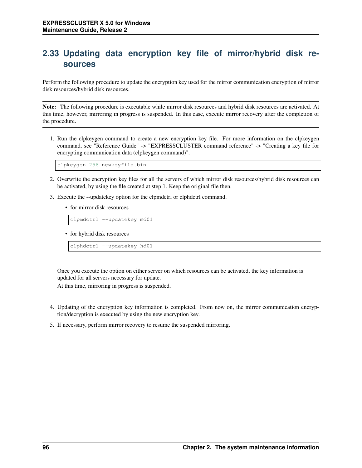## **2.33 Updating data encryption key file of mirror/hybrid disk resources**

Perform the following procedure to update the encryption key used for the mirror communication encryption of mirror disk resources/hybrid disk resources.

Note: The following procedure is executable while mirror disk resources and hybrid disk resources are activated. At this time, however, mirroring in progress is suspended. In this case, execute mirror recovery after the completion of the procedure.

1. Run the clpkeygen command to create a new encryption key file. For more information on the clpkeygen command, see "Reference Guide" -> "EXPRESSCLUSTER command reference" -> "Creating a key file for encrypting communication data (clpkeygen command)".

```
clpkeygen 256 newkeyfile.bin
```
- 2. Overwrite the encryption key files for all the servers of which mirror disk resources/hybrid disk resources can be activated, by using the file created at step 1. Keep the original file then.
- 3. Execute the --updatekey option for the clpmdctrl or clphdctrl command.
	- for mirror disk resources

clpmdctrl --updatekey md01

• for hybrid disk resources

clphdctrl --updatekey hd01

Once you execute the option on either server on which resources can be activated, the key information is updated for all servers necessary for update.

At this time, mirroring in progress is suspended.

- 4. Updating of the encryption key information is completed. From now on, the mirror communication encryption/decryption is executed by using the new encryption key.
- 5. If necessary, perform mirror recovery to resume the suspended mirroring.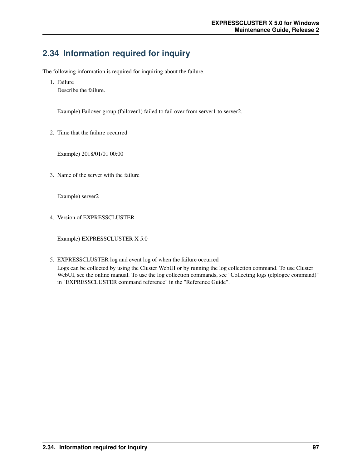# **2.34 Information required for inquiry**

The following information is required for inquiring about the failure.

1. Failure

Describe the failure.

Example) Failover group (failover1) failed to fail over from server1 to server2.

2. Time that the failure occurred

Example) 2018/01/01 00:00

3. Name of the server with the failure

Example) server2

4. Version of EXPRESSCLUSTER

Example) EXPRESSCLUSTER X 5.0

5. EXPRESSCLUSTER log and event log of when the failure occurred Logs can be collected by using the Cluster WebUI or by running the log collection command. To use Cluster WebUI, see the online manual. To use the log collection commands, see "Collecting logs (clplogcc command)" in "EXPRESSCLUSTER command reference" in the "Reference Guide".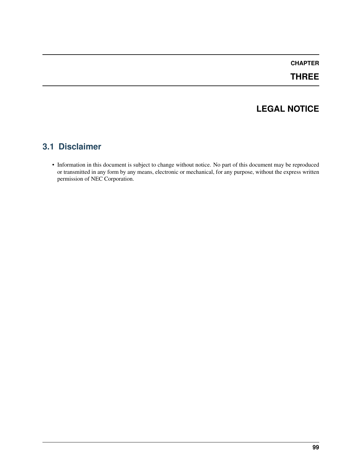### **CHAPTER**

## **THREE**

## **LEGAL NOTICE**

### **3.1 Disclaimer**

• Information in this document is subject to change without notice. No part of this document may be reproduced or transmitted in any form by any means, electronic or mechanical, for any purpose, without the express written permission of NEC Corporation.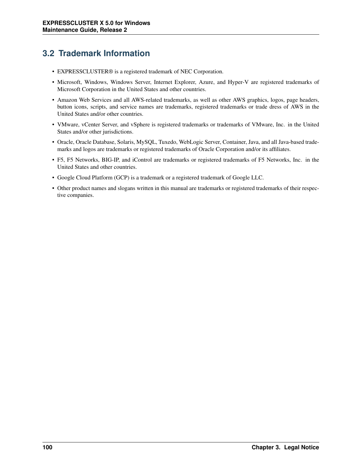# **3.2 Trademark Information**

- EXPRESSCLUSTER® is a registered trademark of NEC Corporation.
- Microsoft, Windows, Windows Server, Internet Explorer, Azure, and Hyper-V are registered trademarks of Microsoft Corporation in the United States and other countries.
- Amazon Web Services and all AWS-related trademarks, as well as other AWS graphics, logos, page headers, button icons, scripts, and service names are trademarks, registered trademarks or trade dress of AWS in the United States and/or other countries.
- VMware, vCenter Server, and vSphere is registered trademarks or trademarks of VMware, Inc. in the United States and/or other jurisdictions.
- Oracle, Oracle Database, Solaris, MySQL, Tuxedo, WebLogic Server, Container, Java, and all Java-based trademarks and logos are trademarks or registered trademarks of Oracle Corporation and/or its affiliates.
- F5, F5 Networks, BIG-IP, and iControl are trademarks or registered trademarks of F5 Networks, Inc. in the United States and other countries.
- Google Cloud Platform (GCP) is a trademark or a registered trademark of Google LLC.
- Other product names and slogans written in this manual are trademarks or registered trademarks of their respective companies.